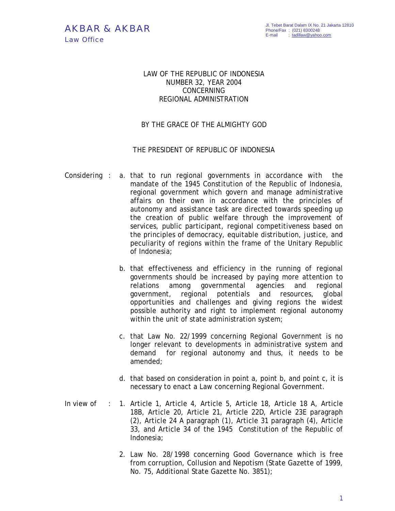## LAW OF THE REPUBLIC OF INDONESIA NUMBER 32, YEAR 2004 CONCERNING REGIONAL ADMINISTRATION

## BY THE GRACE OF THE ALMIGHTY GOD

## THE PRESIDENT OF REPUBLIC OF INDONESIA

- Considering : a. that to run regional governments in accordance with the mandate of the 1945 Constitution of the Republic of Indonesia, regional government which govern and manage administrative affairs on their own in accordance with the principles of autonomy and assistance task are directed towards speeding up the creation of public welfare through the improvement of services, public participant, regional competitiveness based on the principles of democracy, equitable distribution, justice, and peculiarity of regions within the frame of the Unitary Republic of Indonesia;
	- b. that effectiveness and efficiency in the running of regional governments should be increased by paying more attention to relations among governmental agencies and regional government, regional potentials and resources, global opportunities and challenges and giving regions the widest possible authority and right to implement regional autonomy within the unit of state administration system;
	- c. that Law No. 22/1999 concerning Regional Government is no longer relevant to developments in administrative system and demand for regional autonomy and thus, it needs to be amended;
	- d. that based on consideration in point a, point b, and point c, it is necessary to enact a Law concerning Regional Government.
- In view of : 1. Article 1, Article 4, Article 5, Article 18, Article 18 A, Article 18B, Article 20, Article 21, Article 22D, Article 23E paragraph (2), Article 24 A paragraph (1), Article 31 paragraph (4), Article 33, and Article 34 of the 1945 Constitution of the Republic of Indonesia;
	- 2. Law No. 28/1998 concerning Good Governance which is free from corruption, Collusion and Nepotism (State Gazette of 1999, No. 75, Additional State Gazette No. 3851);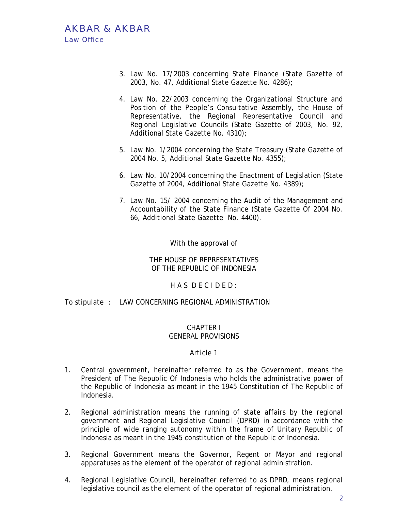# AKBAR & AKBAR Law Office

- 3. Law No. 17/2003 concerning State Finance (State Gazette of 2003, No. 47, Additional State Gazette No. 4286);
- 4. Law No. 22/2003 concerning the Organizational Structure and Position of the People's Consultative Assembly, the House of Representative, the Regional Representative Council and Regional Legislative Councils (State Gazette of 2003, No. 92, Additional State Gazette No. 4310);
- 5. Law No. 1/2004 concerning the State Treasury (State Gazette of 2004 No. 5, Additional State Gazette No. 4355);
- 6. Law No. 10/2004 concerning the Enactment of Legislation (State Gazette of 2004, Additional State Gazette No. 4389);
- 7. Law No. 15/ 2004 concerning the Audit of the Management and Accountability of the State Finance (State Gazette Of 2004 No. 66, Additional State Gazette No. 4400).

With the approval of

THE HOUSE OF REPRESENTATIVES OF THE REPUBLIC OF INDONESIA

HAS DECIDED:

To stipulate : LAW CONCERNING REGIONAL ADMINISTRATION

## CHAPTER I GENERAL PROVISIONS

- 1. Central government, hereinafter referred to as the Government, means the President of The Republic Of Indonesia who holds the administrative power of the Republic of Indonesia as meant in the 1945 Constitution of The Republic of Indonesia.
- 2. Regional administration means the running of state affairs by the regional government and Regional Legislative Council (DPRD) in accordance with the principle of wide ranging autonomy within the frame of Unitary Republic of Indonesia as meant in the 1945 constitution of the Republic of Indonesia.
- 3. Regional Government means the Governor, Regent or Mayor and regional apparatuses as the element of the operator of regional administration.
- 4. Regional Legislative Council, hereinafter referred to as DPRD, means regional legislative council as the element of the operator of regional administration.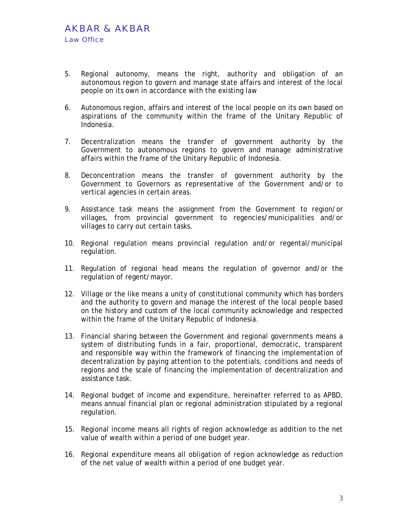- 5. Regional autonomy, means the right, authority and obligation of an autonomous region to govern and manage state affairs and interest of the local people on its own in accordance with the existing law
- 6. Autonomous region, affairs and interest of the local people on its own based on aspirations of the community within the frame of the Unitary Republic of Indonesia.
- 7. Decentralization means the transfer of government authority by the Government to autonomous regions to govern and manage administrative affairs within the frame of the Unitary Republic of Indonesia.
- 8. Deconcentration means the transfer of government authority by the Government to Governors as representative of the Government and/or to vertical agencies in certain areas.
- 9. Assistance task means the assignment from the Government to region/or villages, from provincial government to regencies/municipalities and/or villages to carry out certain tasks.
- 10. Regional regulation means provincial regulation and/or regental/municipal regulation.
- 11. Regulation of regional head means the regulation of governor and/or the regulation of regent/mayor.
- 12. Village or the like means a unity of constitutional community which has borders and the authority to govern and manage the interest of the local people based on the history and custom of the local community acknowledge and respected within the frame of the Unitary Republic of Indonesia.
- 13. Financial sharing between the Government and regional governments means a system of distributing funds in a fair, proportional, democratic, transparent and responsible way within the framework of financing the implementation of decentralization by paying attention to the potentials, conditions and needs of regions and the scale of financing the implementation of decentralization and assistance task.
- 14. Regional budget of income and expenditure, hereinafter referred to as APBD, means annual financial plan or regional administration stipulated by a regional regulation.
- 15. Regional income means all rights of region acknowledge as addition to the net value of wealth within a period of one budget year.
- 16. Regional expenditure means all obligation of region acknowledge as reduction of the net value of wealth within a period of one budget year.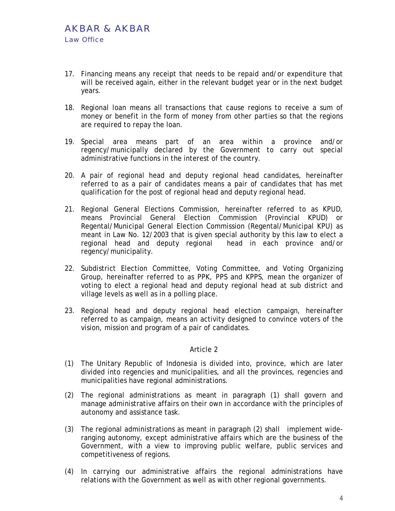- 17. Financing means any receipt that needs to be repaid and/or expenditure that will be received again, either in the relevant budget year or in the next budget years.
- 18. Regional loan means all transactions that cause regions to receive a sum of money or benefit in the form of money from other parties so that the regions are required to repay the loan.
- 19. Special area means part of an area within a province and/or regency/municipally declared by the Government to carry out special administrative functions in the interest of the country.
- 20. A pair of regional head and deputy regional head candidates, hereinafter referred to as a pair of candidates means a pair of candidates that has met qualification for the post of regional head and deputy regional head.
- 21. Regional General Elections Commission, hereinafter referred to as KPUD, means Provincial General Election Commission (Provincial KPUD) or Regental/Municipal General Election Commission (Regental/Municipal KPU) as meant in Law No. 12/2003 that is given special authority by this law to elect a regional head and deputy regional head in each province and/or regency/municipality.
- 22. Subdistrict Election Committee, Voting Committee, and Voting Organizing Group, hereinafter referred to as PPK, PPS and KPPS, mean the organizer of voting to elect a regional head and deputy regional head at sub district and village levels as well as in a polling place.
- 23. Regional head and deputy regional head election campaign, hereinafter referred to as campaign, means an activity designed to convince voters of the vision, mission and program of a pair of candidates.

- (1) The Unitary Republic of Indonesia is divided into, province, which are later divided into regencies and municipalities, and all the provinces, regencies and municipalities have regional administrations.
- (2) The regional administrations as meant in paragraph (1) shall govern and manage administrative affairs on their own in accordance with the principles of autonomy and assistance task.
- (3) The regional administrations as meant in paragraph (2) shall implement wideranging autonomy, except administrative affairs which are the business of the Government, with a view to improving public welfare, public services and competitiveness of regions.
- (4) In carrying our administrative affairs the regional administrations have relations with the Government as well as with other regional governments.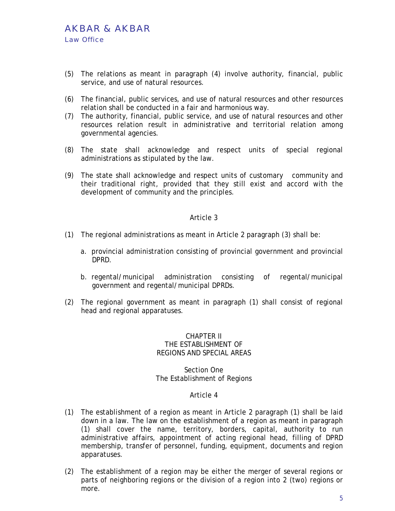- (5) The relations as meant in paragraph (4) involve authority, financial, public service, and use of natural resources.
- (6) The financial, public services, and use of natural resources and other resources relation shall be conducted in a fair and harmonious way.
- (7) The authority, financial, public service, and use of natural resources and other resources relation result in administrative and territorial relation among governmental agencies.
- (8) The state shall acknowledge and respect units of special regional administrations as stipulated by the law.
- (9) The state shall acknowledge and respect units of customary community and their traditional right, provided that they still exist and accord with the development of community and the principles.

- (1) The regional administrations as meant in Article 2 paragraph (3) shall be:
	- a. provincial administration consisting of provincial government and provincial DPRD.
	- b. regental/municipal administration consisting of regental/municipal government and regental/municipal DPRDs.
- (2) The regional government as meant in paragraph (1) shall consist of regional head and regional apparatuses.

#### CHAPTER II THE ESTABLISHMENT OF REGIONS AND SPECIAL AREAS

#### Section One The Establishment of Regions

- (1) The establishment of a region as meant in Article 2 paragraph (1) shall be laid down in a law. The law on the establishment of a region as meant in paragraph (1) shall cover the name, territory, borders, capital, authority to run administrative affairs, appointment of acting regional head, filling of DPRD membership, transfer of personnel, funding, equipment, documents and region apparatuses.
- (2) The establishment of a region may be either the merger of several regions or parts of neighboring regions or the division of a region into 2 (two) regions or more.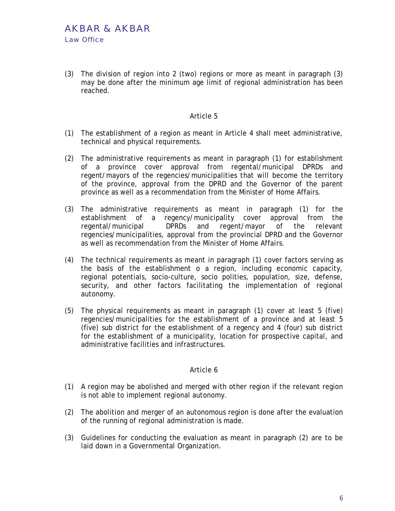(3) The division of region into 2 (two) regions or more as meant in paragraph (3) may be done after the minimum age limit of regional administration has been reached.

#### Article 5

- (1) The establishment of a region as meant in Article 4 shall meet administrative, technical and physical requirements.
- (2) The administrative requirements as meant in paragraph (1) for establishment of a province cover approval from regental/municipal DPRDs and regent/mayors of the regencies/municipalities that will become the territory of the province, approval from the DPRD and the Governor of the parent province as well as a recommendation from the Minister of Home Affairs.
- (3) The administrative requirements as meant in paragraph (1) for the establishment of a regency/municipality cover approval from the regental/municipal DPRDs and regent/mayor of the relevant regencies/municipalities, approval from the provincial DPRD and the Governor as well as recommendation from the Minister of Home Affairs.
- (4) The technical requirements as meant in paragraph (1) cover factors serving as the basis of the establishment o a region, including economic capacity, regional potentials, socio-culture, socio polities, population, size, defense, security, and other factors facilitating the implementation of regional autonomy.
- (5) The physical requirements as meant in paragraph (1) cover at least 5 (five) regencies/municipalities for the establishment of a province and at least 5 (five) sub district for the establishment of a regency and 4 (four) sub district for the establishment of a municipality, location for prospective capital, and administrative facilities and infrastructures.

- (1) A region may be abolished and merged with other region if the relevant region is not able to implement regional autonomy.
- (2) The abolition and merger of an autonomous region is done after the evaluation of the running of regional administration is made.
- (3) Guidelines for conducting the evaluation as meant in paragraph (2) are to be laid down in a Governmental Organization.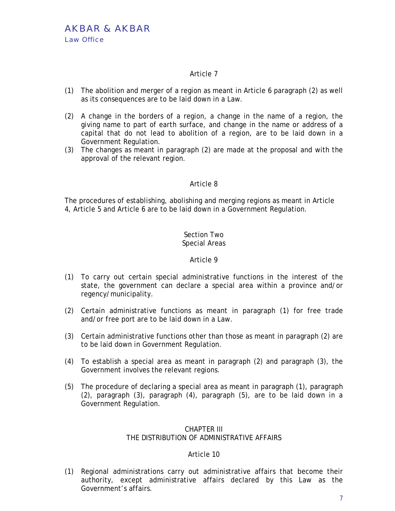- (1) The abolition and merger of a region as meant in Article 6 paragraph (2) as well as its consequences are to be laid down in a Law.
- (2) A change in the borders of a region, a change in the name of a region, the giving name to part of earth surface, and change in the name or address of a capital that do not lead to abolition of a region, are to be laid down in a Government Regulation.
- (3) The changes as meant in paragraph (2) are made at the proposal and with the approval of the relevant region.

## Article 8

The procedures of establishing, abolishing and merging regions as meant in Article 4, Article 5 and Article 6 are to be laid down in a Government Regulation.

#### Section Two Special Areas

## Article 9

- (1) To carry out certain special administrative functions in the interest of the state, the government can declare a special area within a province and/or regency/municipality.
- (2) Certain administrative functions as meant in paragraph (1) for free trade and/or free port are to be laid down in a Law.
- (3) Certain administrative functions other than those as meant in paragraph (2) are to be laid down in Government Regulation.
- (4) To establish a special area as meant in paragraph (2) and paragraph (3), the Government involves the relevant regions.
- (5) The procedure of declaring a special area as meant in paragraph (1), paragraph (2), paragraph (3), paragraph (4), paragraph (5), are to be laid down in a Government Regulation.

# CHAPTER III

## THE DISTRIBUTION OF ADMINISTRATIVE AFFAIRS

## Article 10

(1) Regional administrations carry out administrative affairs that become their authority, except administrative affairs declared by this Law as the Government's affairs.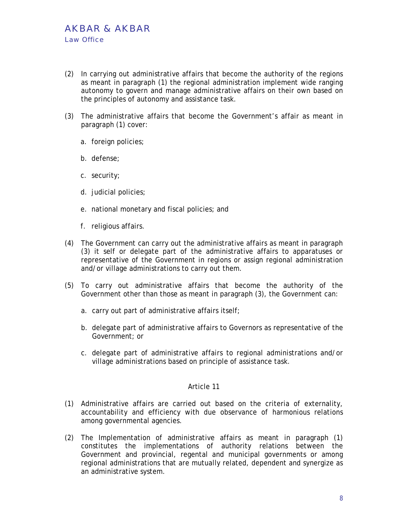- (2) In carrying out administrative affairs that become the authority of the regions as meant in paragraph (1) the regional administration implement wide ranging autonomy to govern and manage administrative affairs on their own based on the principles of autonomy and assistance task.
- (3) The administrative affairs that become the Government's affair as meant in paragraph (1) cover:
	- a. foreign policies;
	- b. defense;
	- c. security;
	- d. judicial policies;
	- e. national monetary and fiscal policies; and
	- f. religious affairs.
- (4) The Government can carry out the administrative affairs as meant in paragraph (3) it self or delegate part of the administrative affairs to apparatuses or representative of the Government in regions or assign regional administration and/or village administrations to carry out them.
- (5) To carry out administrative affairs that become the authority of the Government other than those as meant in paragraph (3), the Government can:
	- a. carry out part of administrative affairs itself;
	- b. delegate part of administrative affairs to Governors as representative of the Government; or
	- c. delegate part of administrative affairs to regional administrations and/or village administrations based on principle of assistance task.

- (1) Administrative affairs are carried out based on the criteria of externality, accountability and efficiency with due observance of harmonious relations among governmental agencies.
- (2) The Implementation of administrative affairs as meant in paragraph (1) constitutes the implementations of authority relations between the Government and provincial, regental and municipal governments or among regional administrations that are mutually related, dependent and synergize as an administrative system.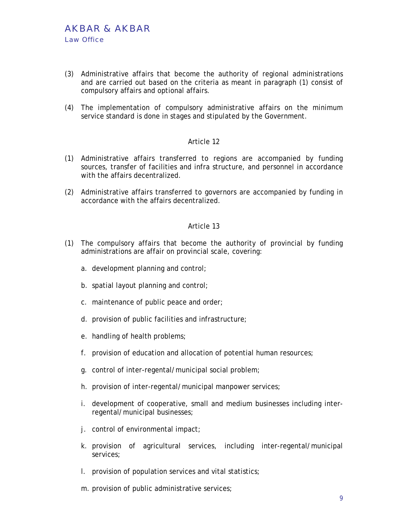- (3) Administrative affairs that become the authority of regional administrations and are carried out based on the criteria as meant in paragraph (1) consist of compulsory affairs and optional affairs.
- (4) The implementation of compulsory administrative affairs on the minimum service standard is done in stages and stipulated by the Government.

- (1) Administrative affairs transferred to regions are accompanied by funding sources, transfer of facilities and infra structure, and personnel in accordance with the affairs decentralized.
- (2) Administrative affairs transferred to governors are accompanied by funding in accordance with the affairs decentralized.

- (1) The compulsory affairs that become the authority of provincial by funding administrations are affair on provincial scale, covering:
	- a. development planning and control;
	- b. spatial layout planning and control;
	- c. maintenance of public peace and order;
	- d. provision of public facilities and infrastructure;
	- e. handling of health problems;
	- f. provision of education and allocation of potential human resources;
	- g. control of inter-regental/municipal social problem;
	- h. provision of inter-regental/municipal manpower services;
	- i. development of cooperative, small and medium businesses including interregental/municipal businesses;
	- j. control of environmental impact;
	- k. provision of agricultural services, including inter-regental/municipal services;
	- l. provision of population services and vital statistics;
	- m. provision of public administrative services;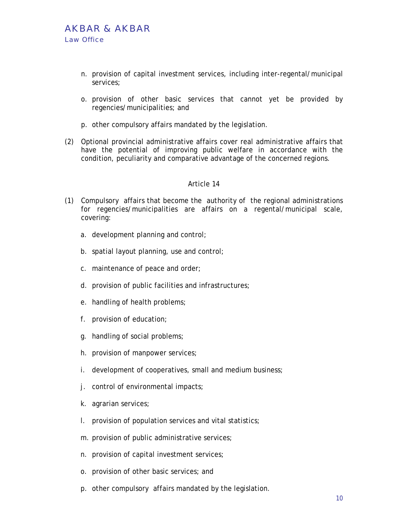- n. provision of capital investment services, including inter-regental/municipal services;
- o. provision of other basic services that cannot yet be provided by regencies/municipalities; and
- p. other compulsory affairs mandated by the legislation.
- (2) Optional provincial administrative affairs cover real administrative affairs that have the potential of improving public welfare in accordance with the condition, peculiarity and comparative advantage of the concerned regions.

- (1) Compulsory affairs that become the authority of the regional administrations for regencies/municipalities are affairs on a regental/municipal scale, covering:
	- a. development planning and control;
	- b. spatial layout planning, use and control;
	- c. maintenance of peace and order;
	- d. provision of public facilities and infrastructures;
	- e. handling of health problems;
	- f. provision of education;
	- g. handling of social problems;
	- h. provision of manpower services;
	- i. development of cooperatives, small and medium business;
	- j. control of environmental impacts;
	- k. agrarian services;
	- l. provision of population services and vital statistics;
	- m. provision of public administrative services;
	- n. provision of capital investment services;
	- o. provision of other basic services; and
	- p. other compulsory affairs mandated by the legislation.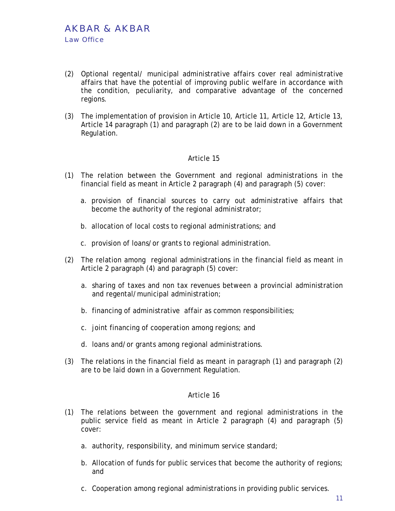- (2) Optional regental/ municipal administrative affairs cover real administrative affairs that have the potential of improving public welfare in accordance with the condition, peculiarity, and comparative advantage of the concerned regions.
- (3) The implementation of provision in Article 10, Article 11, Article 12, Article 13, Article 14 paragraph (1) and paragraph (2) are to be laid down in a Government Regulation.

- (1) The relation between the Government and regional administrations in the financial field as meant in Article 2 paragraph (4) and paragraph (5) cover:
	- a. provision of financial sources to carry out administrative affairs that become the authority of the regional administrator;
	- b. allocation of local costs to regional administrations; and
	- c. provision of loans/or grants to regional administration.
- (2) The relation among regional administrations in the financial field as meant in Article 2 paragraph (4) and paragraph (5) cover:
	- a. sharing of taxes and non tax revenues between a provincial administration and regental/municipal administration;
	- b. financing of administrative affair as common responsibilities;
	- c. joint financing of cooperation among regions; and
	- d. loans and/or grants among regional administrations.
- (3) The relations in the financial field as meant in paragraph (1) and paragraph (2) are to be laid down in a Government Regulation.

- (1) The relations between the government and regional administrations in the public service field as meant in Article 2 paragraph (4) and paragraph (5) cover:
	- a. authority, responsibility, and minimum service standard;
	- b. Allocation of funds for public services that become the authority of regions; and
	- c. Cooperation among regional administrations in providing public services.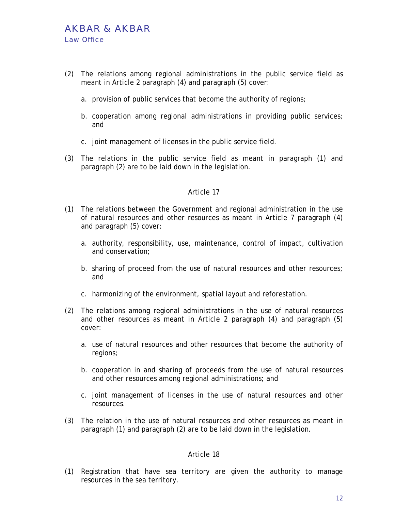- (2) The relations among regional administrations in the public service field as meant in Article 2 paragraph (4) and paragraph (5) cover:
	- a. provision of public services that become the authority of regions;
	- b. cooperation among regional administrations in providing public services; and
	- c. joint management of licenses in the public service field.
- (3) The relations in the public service field as meant in paragraph (1) and paragraph (2) are to be laid down in the legislation.

- (1) The relations between the Government and regional administration in the use of natural resources and other resources as meant in Article 7 paragraph (4) and paragraph (5) cover:
	- a. authority, responsibility, use, maintenance, control of impact, cultivation and conservation;
	- b. sharing of proceed from the use of natural resources and other resources; and
	- c. harmonizing of the environment, spatial layout and reforestation.
- (2) The relations among regional administrations in the use of natural resources and other resources as meant in Article 2 paragraph (4) and paragraph (5) cover:
	- a. use of natural resources and other resources that become the authority of regions;
	- b. cooperation in and sharing of proceeds from the use of natural resources and other resources among regional administrations; and
	- c. joint management of licenses in the use of natural resources and other resources.
- (3) The relation in the use of natural resources and other resources as meant in paragraph (1) and paragraph (2) are to be laid down in the legislation.

#### Article 18

(1) Registration that have sea territory are given the authority to manage resources in the sea territory.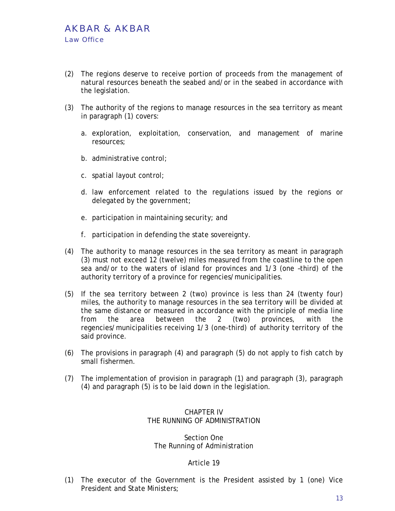- (2) The regions deserve to receive portion of proceeds from the management of natural resources beneath the seabed and/or in the seabed in accordance with the legislation.
- (3) The authority of the regions to manage resources in the sea territory as meant in paragraph (1) covers:
	- a. exploration, exploitation, conservation, and management of marine resources;
	- b. administrative control;
	- c. spatial layout control;
	- d. law enforcement related to the regulations issued by the regions or delegated by the government;
	- e. participation in maintaining security; and
	- f. participation in defending the state sovereignty.
- (4) The authority to manage resources in the sea territory as meant in paragraph (3) must not exceed 12 (twelve) miles measured from the coastline to the open sea and/or to the waters of island for provinces and 1/3 (one –third) of the authority territory of a province for regencies/municipalities.
- (5) If the sea territory between 2 (two) province is less than 24 (twenty four) miles, the authority to manage resources in the sea territory will be divided at the same distance or measured in accordance with the principle of media line from the area between the 2 (two) provinces, with the regencies/municipalities receiving 1/3 (one-third) of authority territory of the said province.
- (6) The provisions in paragraph (4) and paragraph (5) do not apply to fish catch by small fishermen.
- (7) The implementation of provision in paragraph (1) and paragraph (3), paragraph (4) and paragraph (5) is to be laid down in the legislation.

## CHAPTER IV THE RUNNING OF ADMINISTRATION

#### Section One The Running of Administration

#### Article 19

(1) The executor of the Government is the President assisted by 1 (one) Vice President and State Ministers;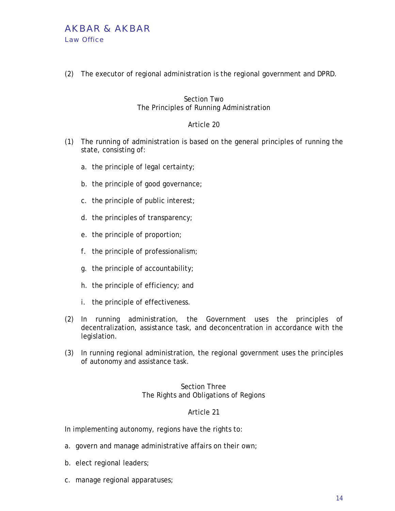## AKBAR & AKBAR Law Office

(2) The executor of regional administration is the regional government and DPRD.

## Section Two The Principles of Running Administration

## Article 20

- (1) The running of administration is based on the general principles of running the state, consisting of:
	- a. the principle of legal certainty;
	- b. the principle of good governance;
	- c. the principle of public interest;
	- d. the principles of transparency;
	- e. the principle of proportion;
	- f. the principle of professionalism;
	- g. the principle of accountability;
	- h. the principle of efficiency; and
	- i. the principle of effectiveness.
- (2) In running administration, the Government uses the principles of decentralization, assistance task, and deconcentration in accordance with the legislation.
- (3) In running regional administration, the regional government uses the principles of autonomy and assistance task.

## Section Three The Rights and Obligations of Regions

## Article 21

In implementing autonomy, regions have the rights to:

- a. govern and manage administrative affairs on their own;
- b. elect regional leaders;
- c. manage regional apparatuses;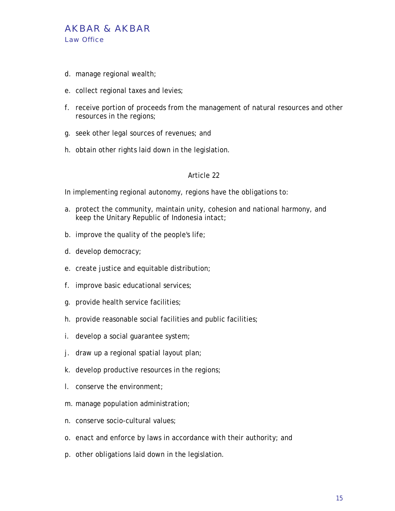

- d. manage regional wealth;
- e. collect regional taxes and levies;
- f. receive portion of proceeds from the management of natural resources and other resources in the regions;
- g. seek other legal sources of revenues; and
- h. obtain other rights laid down in the legislation.

In implementing regional autonomy, regions have the obligations to:

- a. protect the community, maintain unity, cohesion and national harmony, and keep the Unitary Republic of Indonesia intact;
- b. improve the quality of the people's life;
- d. develop democracy;
- e. create justice and equitable distribution;
- f. improve basic educational services;
- g. provide health service facilities;
- h. provide reasonable social facilities and public facilities;
- i. develop a social guarantee system;
- j. draw up a regional spatial layout plan;
- k. develop productive resources in the regions;
- l. conserve the environment;
- m. manage population administration;
- n. conserve socio-cultural values;
- o. enact and enforce by laws in accordance with their authority; and
- p. other obligations laid down in the legislation.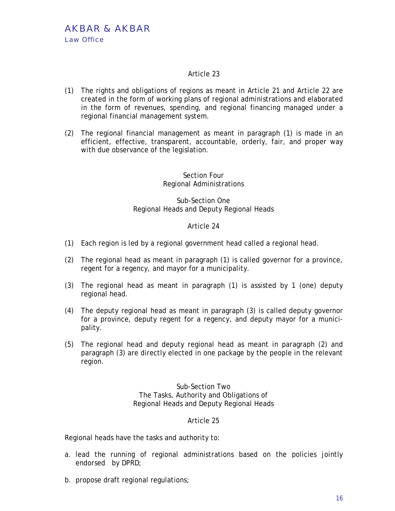- (1) The rights and obligations of regions as meant in Article 21 and Article 22 are created in the form of working plans of regional administrations and elaborated in the form of revenues, spending, and regional financing managed under a regional financial management system.
- (2) The regional financial management as meant in paragraph (1) is made in an efficient, effective, transparent, accountable, orderly, fair, and proper way with due observance of the legislation.

## Section Four Regional Administrations

## Sub-Section One Regional Heads and Deputy Regional Heads

## Article 24

- (1) Each region is led by a regional government head called a regional head.
- (2) The regional head as meant in paragraph (1) is called governor for a province, regent for a regency, and mayor for a municipality.
- (3) The regional head as meant in paragraph (1) is assisted by 1 (one) deputy regional head.
- (4) The deputy regional head as meant in paragraph (3) is called deputy governor for a province, deputy regent for a regency, and deputy mayor for a municipality.
- (5) The regional head and deputy regional head as meant in paragraph (2) and paragraph (3) are directly elected in one package by the people in the relevant region.

Sub-Section Two The Tasks, Authority and Obligations of Regional Heads and Deputy Regional Heads

## Article 25

Regional heads have the tasks and authority to:

- a. lead the running of regional administrations based on the policies jointly endorsed by DPRD;
- b. propose draft regional regulations;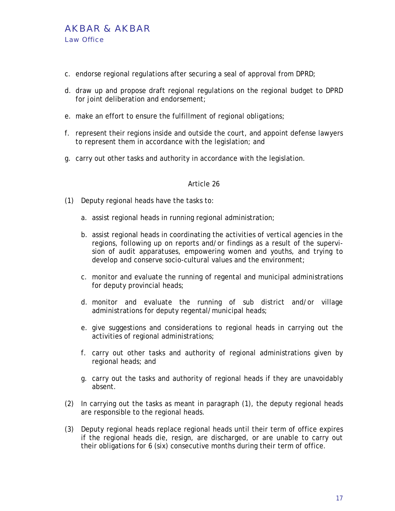## AKBAR & AKBAR Law Office

- c. endorse regional regulations after securing a seal of approval from DPRD;
- d. draw up and propose draft regional regulations on the regional budget to DPRD for joint deliberation and endorsement;
- e. make an effort to ensure the fulfillment of regional obligations;
- f. represent their regions inside and outside the court, and appoint defense lawyers to represent them in accordance with the legislation; and
- g. carry out other tasks and authority in accordance with the legislation.

- (1) Deputy regional heads have the tasks to:
	- a. assist regional heads in running regional administration;
	- b. assist regional heads in coordinating the activities of vertical agencies in the regions, following up on reports and/or findings as a result of the supervision of audit apparatuses, empowering women and youths, and trying to develop and conserve socio-cultural values and the environment;
	- c. monitor and evaluate the running of regental and municipal administrations for deputy provincial heads;
	- d. monitor and evaluate the running of sub district and/or village administrations for deputy regental/municipal heads;
	- e. give suggestions and considerations to regional heads in carrying out the activities of regional administrations;
	- f. carry out other tasks and authority of regional administrations given by regional heads; and
	- g. carry out the tasks and authority of regional heads if they are unavoidably absent.
- (2) In carrying out the tasks as meant in paragraph (1), the deputy regional heads are responsible to the regional heads.
- (3) Deputy regional heads replace regional heads until their term of office expires if the regional heads die, resign, are discharged, or are unable to carry out their obligations for 6 (six) consecutive months during their term of office.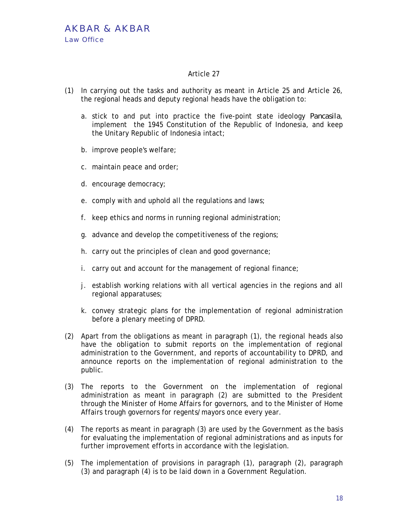- (1) In carrying out the tasks and authority as meant in Article 25 and Article 26, the regional heads and deputy regional heads have the obligation to:
	- a. stick to and put into practice the five-point state ideology *Pancasila*, implement the 1945 Constitution of the Republic of Indonesia, and keep the Unitary Republic of Indonesia intact;
	- b. improve people's welfare;
	- c. maintain peace and order;
	- d. encourage democracy;
	- e. comply with and uphold all the regulations and laws;
	- f. keep ethics and norms in running regional administration;
	- g. advance and develop the competitiveness of the regions;
	- h. carry out the principles of clean and good governance;
	- i. carry out and account for the management of regional finance;
	- j. establish working relations with all vertical agencies in the regions and all regional apparatuses;
	- k. convey strategic plans for the implementation of regional administration before a plenary meeting of DPRD.
- (2) Apart from the obligations as meant in paragraph (1), the regional heads also have the obligation to submit reports on the implementation of regional administration to the Government, and reports of accountability to DPRD, and announce reports on the implementation of regional administration to the public.
- (3) The reports to the Government on the implementation of regional administration as meant in paragraph (2) are submitted to the President through the Minister of Home Affairs for governors, and to the Minister of Home Affairs trough governors for regents/mayors once every year.
- (4) The reports as meant in paragraph (3) are used by the Government as the basis for evaluating the implementation of regional administrations and as inputs for further improvement efforts in accordance with the legislation.
- (5) The implementation of provisions in paragraph (1), paragraph (2), paragraph (3) and paragraph (4) is to be laid down in a Government Regulation.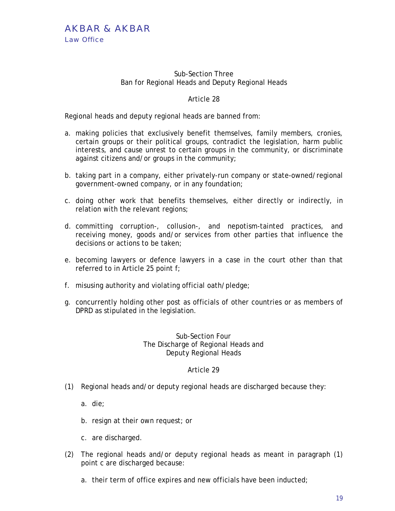#### Sub-Section Three Ban for Regional Heads and Deputy Regional Heads

## Article 28

Regional heads and deputy regional heads are banned from:

- a. making policies that exclusively benefit themselves, family members, cronies, certain groups or their political groups, contradict the legislation, harm public interests, and cause unrest to certain groups in the community, or discriminate against citizens and/or groups in the community;
- b. taking part in a company, either privately-run company or state-owned/regional government-owned company, or in any foundation;
- c. doing other work that benefits themselves, either directly or indirectly, in relation with the relevant regions;
- d. committing corruption-, collusion-, and nepotism-tainted practices, and receiving money, goods and/or services from other parties that influence the decisions or actions to be taken;
- e. becoming lawyers or defence lawyers in a case in the court other than that referred to in Article 25 point f;
- f. misusing authority and violating official oath/pledge;
- g. concurrently holding other post as officials of other countries or as members of DPRD as stipulated in the legislation.

#### Sub-Section Four The Discharge of Regional Heads and Deputy Regional Heads

- (1) Regional heads and/or deputy regional heads are discharged because they:
	- a. die;
	- b. resign at their own request; or
	- c. are discharged.
- (2) The regional heads and/or deputy regional heads as meant in paragraph (1) point c are discharged because:
	- a. their term of office expires and new officials have been inducted;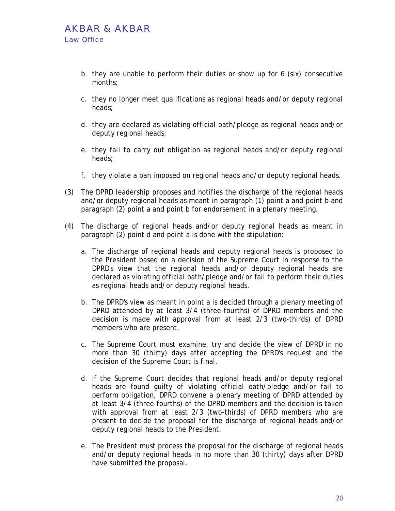- b. they are unable to perform their duties or show up for 6 (six) consecutive months;
- c. they no longer meet qualifications as regional heads and/or deputy regional heads;
- d. they are declared as violating official oath/pledge as regional heads and/or deputy regional heads;
- e. they fail to carry out obligation as regional heads and/or deputy regional heads;
- f. they violate a ban imposed on regional heads and/or deputy regional heads.
- (3) The DPRD leadership proposes and notifies the discharge of the regional heads and/or deputy regional heads as meant in paragraph (1) point a and point b and paragraph (2) point a and point b for endorsement in a plenary meeting.
- (4) The discharge of regional heads and/or deputy regional heads as meant in paragraph (2) point d and point a is done with the stipulation:
	- a. The discharge of regional heads and deputy regional heads is proposed to the President based on a decision of the Supreme Court in response to the DPRD's view that the regional heads and/or deputy regional heads are declared as violating official oath/pledge and/or fail to perform their duties as regional heads and/or deputy regional heads.
	- b. The DPRD's view as meant in point a is decided through a plenary meeting of DPRD attended by at least 3/4 (three-fourths) of DPRD members and the decision is made with approval from at least 2/3 (two-thirds) of DPRD members who are present.
	- c. The Supreme Court must examine, try and decide the view of DPRD in no more than 30 (thirty) days after accepting the DPRD's request and the decision of the Supreme Court is final.
	- d. If the Supreme Court decides that regional heads and/or deputy regional heads are found guilty of violating official oath/pledge and/or fail to perform obligation, DPRD convene a plenary meeting of DPRD attended by at least 3/4 (three-fourths) of the DPRD members and the decision is taken with approval from at least 2/3 (two-thirds) of DPRD members who are present to decide the proposal for the discharge of regional heads and/or deputy regional heads to the President.
	- e. The President must process the proposal for the discharge of regional heads and/or deputy regional heads in no more than 30 (thirty) days after DPRD have submitted the proposal.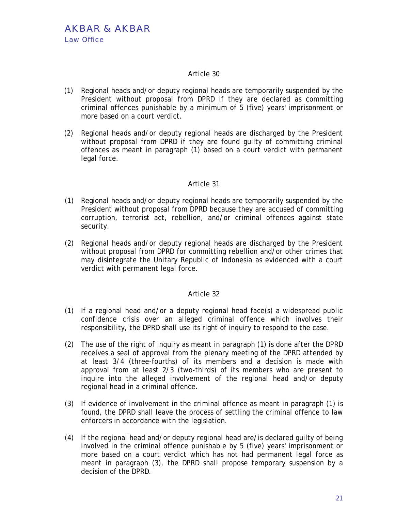- (1) Regional heads and/or deputy regional heads are temporarily suspended by the President without proposal from DPRD if they are declared as committing criminal offences punishable by a minimum of 5 (five) years' imprisonment or more based on a court verdict.
- (2) Regional heads and/or deputy regional heads are discharged by the President without proposal from DPRD if they are found guilty of committing criminal offences as meant in paragraph (1) based on a court verdict with permanent legal force.

#### Article 31

- (1) Regional heads and/or deputy regional heads are temporarily suspended by the President without proposal from DPRD because they are accused of committing corruption, terrorist act, rebellion, and/or criminal offences against state security.
- (2) Regional heads and/or deputy regional heads are discharged by the President without proposal from DPRD for committing rebellion and/or other crimes that may disintegrate the Unitary Republic of Indonesia as evidenced with a court verdict with permanent legal force.

- (1) If a regional head and/or a deputy regional head face(s) a widespread public confidence crisis over an alleged criminal offence which involves their responsibility, the DPRD shall use its right of inquiry to respond to the case.
- (2) The use of the right of inquiry as meant in paragraph (1) is done after the DPRD receives a seal of approval from the plenary meeting of the DPRD attended by at least 3/4 (three-fourths) of its members and a decision is made with approval from at least 2/3 (two-thirds) of its members who are present to inquire into the alleged involvement of the regional head and/or deputy regional head in a criminal offence.
- (3) If evidence of involvement in the criminal offence as meant in paragraph (1) is found, the DPRD shall leave the process of settling the criminal offence to law enforcers in accordance with the legislation.
- (4) If the regional head and/or deputy regional head are/is declared guilty of being involved in the criminal offence punishable by 5 (five) years' imprisonment or more based on a court verdict which has not had permanent legal force as meant in paragraph (3), the DPRD shall propose temporary suspension by a decision of the DPRD.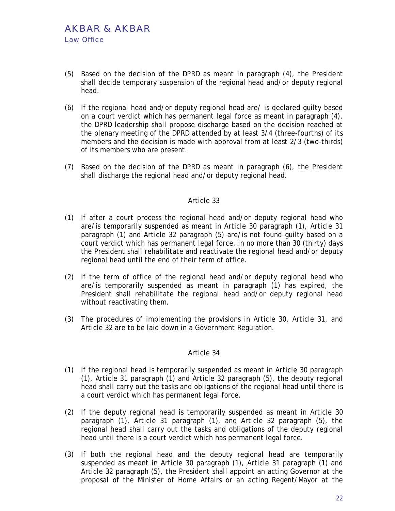- (5) Based on the decision of the DPRD as meant in paragraph (4), the President shall decide temporary suspension of the regional head and/or deputy regional head.
- (6) If the regional head and/or deputy regional head are/ is declared guilty based on a court verdict which has permanent legal force as meant in paragraph (4), the DPRD leadership shall propose discharge based on the decision reached at the plenary meeting of the DPRD attended by at least 3/4 (three-fourths) of its members and the decision is made with approval from at least 2/3 (two-thirds) of its members who are present.
- (7) Based on the decision of the DPRD as meant in paragraph (6), the President shall discharge the regional head and/or deputy regional head.

- (1) If after a court process the regional head and/or deputy regional head who are/is temporarily suspended as meant in Article 30 paragraph (1), Article 31 paragraph (1) and Article 32 paragraph (5) are/is not found guilty based on a court verdict which has permanent legal force, in no more than 30 (thirty) days the President shall rehabilitate and reactivate the regional head and/or deputy regional head until the end of their term of office.
- (2) If the term of office of the regional head and/or deputy regional head who are/is temporarily suspended as meant in paragraph (1) has expired, the President shall rehabilitate the regional head and/or deputy regional head without reactivating them.
- (3) The procedures of implementing the provisions in Article 30, Article 31, and Article 32 are to be laid down in a Government Regulation.

- (1) If the regional head is temporarily suspended as meant in Article 30 paragraph (1), Article 31 paragraph (1) and Article 32 paragraph (5), the deputy regional head shall carry out the tasks and obligations of the regional head until there is a court verdict which has permanent legal force.
- (2) If the deputy regional head is temporarily suspended as meant in Article 30 paragraph (1), Article 31 paragraph (1), and Article 32 paragraph (5), the regional head shall carry out the tasks and obligations of the deputy regional head until there is a court verdict which has permanent legal force.
- (3) If both the regional head and the deputy regional head are temporarily suspended as meant in Article 30 paragraph (1), Article 31 paragraph (1) and Article 32 paragraph (5), the President shall appoint an acting Governor at the proposal of the Minister of Home Affairs or an acting Regent/Mayor at the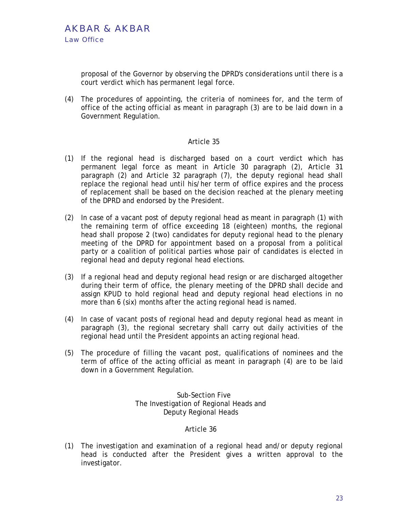proposal of the Governor by observing the DPRD's considerations until there is a court verdict which has permanent legal force.

(4) The procedures of appointing, the criteria of nominees for, and the term of office of the acting official as meant in paragraph (3) are to be laid down in a Government Regulation.

## Article 35

- (1) If the regional head is discharged based on a court verdict which has permanent legal force as meant in Article 30 paragraph (2), Article 31 paragraph (2) and Article 32 paragraph (7), the deputy regional head shall replace the regional head until his/her term of office expires and the process of replacement shall be based on the decision reached at the plenary meeting of the DPRD and endorsed by the President.
- (2) In case of a vacant post of deputy regional head as meant in paragraph (1) with the remaining term of office exceeding 18 (eighteen) months, the regional head shall propose 2 (two) candidates for deputy regional head to the plenary meeting of the DPRD for appointment based on a proposal from a political party or a coalition of political parties whose pair of candidates is elected in regional head and deputy regional head elections.
- (3) If a regional head and deputy regional head resign or are discharged altogether during their term of office, the plenary meeting of the DPRD shall decide and assign KPUD to hold regional head and deputy regional head elections in no more than 6 (six) months after the acting regional head is named.
- (4) In case of vacant posts of regional head and deputy regional head as meant in paragraph (3), the regional secretary shall carry out daily activities of the regional head until the President appoints an acting regional head.
- (5) The procedure of filling the vacant post, qualifications of nominees and the term of office of the acting official as meant in paragraph (4) are to be laid down in a Government Regulation.

Sub-Section Five The Investigation of Regional Heads and Deputy Regional Heads

## Article 36

(1) The investigation and examination of a regional head and/or deputy regional head is conducted after the President gives a written approval to the investigator.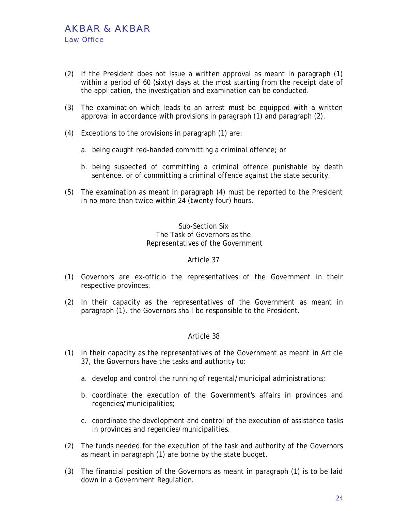- (2) If the President does not issue a written approval as meant in paragraph (1) within a period of 60 (sixty) days at the most starting from the receipt date of the application, the investigation and examination can be conducted.
- (3) The examination which leads to an arrest must be equipped with a written approval in accordance with provisions in paragraph (1) and paragraph (2).
- (4) Exceptions to the provisions in paragraph (1) are:
	- a. being caught red-handed committing a criminal offence; or
	- b. being suspected of committing a criminal offence punishable by death sentence, or of committing a criminal offence against the state security.
- (5) The examination as meant in paragraph (4) must be reported to the President in no more than twice within 24 (twenty four) hours.

## Sub-Section Six The Task of Governors as the Representatives of the Government

#### Article 37

- (1) Governors are ex-officio the representatives of the Government in their respective provinces.
- (2) In their capacity as the representatives of the Government as meant in paragraph (1), the Governors shall be responsible to the President.

- (1) In their capacity as the representatives of the Government as meant in Article 37, the Governors have the tasks and authority to:
	- a. develop and control the running of regental/municipal administrations;
	- b. coordinate the execution of the Government's affairs in provinces and regencies/municipalities;
	- c. coordinate the development and control of the execution of assistance tasks in provinces and regencies/municipalities.
- (2) The funds needed for the execution of the task and authority of the Governors as meant in paragraph (1) are borne by the state budget.
- (3) The financial position of the Governors as meant in paragraph (1) is to be laid down in a Government Regulation.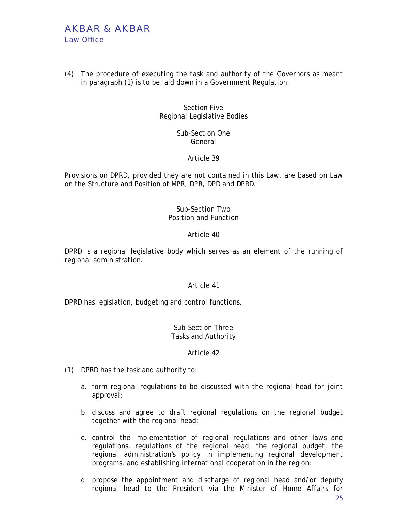# AKBAR & AKBAR Law Office

(4) The procedure of executing the task and authority of the Governors as meant in paragraph (1) is to be laid down in a Government Regulation.

> Section Five Regional Legislative Bodies

> > Sub-Section One General

> > > Article 39

Provisions on DPRD, provided they are not contained in this Law, are based on Law on the Structure and Position of MPR, DPR, DPD and DPRD.

## Sub-Section Two Position and Function

## Article 40

DPRD is a regional legislative body which serves as an element of the running of regional administration.

## Article 41

DPRD has legislation, budgeting and control functions.

#### Sub-Section Three Tasks and Authority

- (1) DPRD has the task and authority to:
	- a. form regional regulations to be discussed with the regional head for joint approval;
	- b. discuss and agree to draft regional regulations on the regional budget together with the regional head;
	- c. control the implementation of regional regulations and other laws and regulations, regulations of the regional head, the regional budget, the regional administration's policy in implementing regional development programs, and establishing international cooperation in the region;
	- d. propose the appointment and discharge of regional head and/or deputy regional head to the President via the Minister of Home Affairs for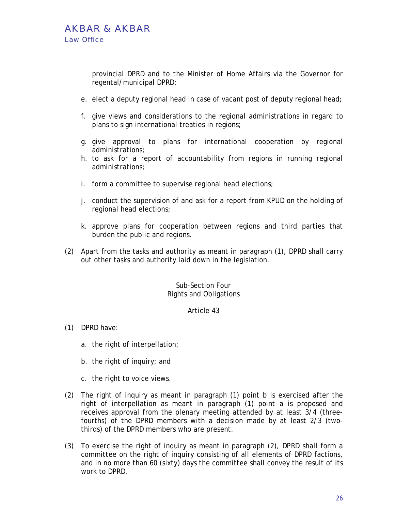provincial DPRD and to the Minister of Home Affairs via the Governor for regental/municipal DPRD;

- e. elect a deputy regional head in case of vacant post of deputy regional head;
- f. give views and considerations to the regional administrations in regard to plans to sign international treaties in regions;
- g. give approval to plans for international cooperation by regional administrations;
- h. to ask for a report of accountability from regions in running regional administrations;
- i. form a committee to supervise regional head elections;
- j. conduct the supervision of and ask for a report from KPUD on the holding of regional head elections;
- k. approve plans for cooperation between regions and third parties that burden the public and regions.
- (2) Apart from the tasks and authority as meant in paragraph (1), DPRD shall carry out other tasks and authority laid down in the legislation.

#### Sub-Section Four Rights and Obligations

- (1) DPRD have:
	- a. the right of interpellation;
	- b. the right of inquiry; and
	- c. the right to voice views.
- (2) The right of inquiry as meant in paragraph (1) point b is exercised after the right of interpellation as meant in paragraph (1) point a is proposed and receives approval from the plenary meeting attended by at least 3/4 (threefourths) of the DPRD members with a decision made by at least 2/3 (twothirds) of the DPRD members who are present.
- (3) To exercise the right of inquiry as meant in paragraph (2), DPRD shall form a committee on the right of inquiry consisting of all elements of DPRD factions, and in no more than 60 (sixty) days the committee shall convey the result of its work to DPRD.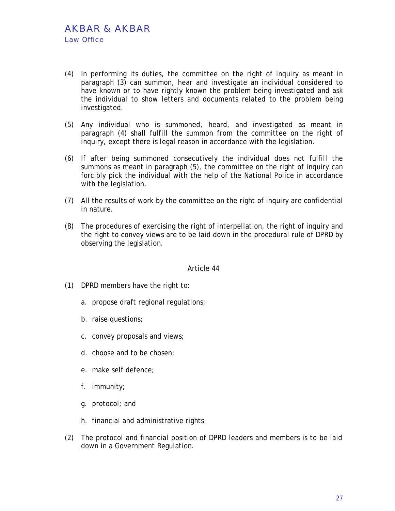- (4) In performing its duties, the committee on the right of inquiry as meant in paragraph (3) can summon, hear and investigate an individual considered to have known or to have rightly known the problem being investigated and ask the individual to show letters and documents related to the problem being investigated.
- (5) Any individual who is summoned, heard, and investigated as meant in paragraph (4) shall fulfill the summon from the committee on the right of inquiry, except there is legal reason in accordance with the legislation.
- (6) If after being summoned consecutively the individual does not fulfill the summons as meant in paragraph (5), the committee on the right of inquiry can forcibly pick the individual with the help of the National Police in accordance with the legislation.
- (7) All the results of work by the committee on the right of inquiry are confidential in nature.
- (8) The procedures of exercising the right of interpellation, the right of inquiry and the right to convey views are to be laid down in the procedural rule of DPRD by observing the legislation.

- (1) DPRD members have the right to:
	- a. propose draft regional regulations;
	- b. raise questions;
	- c. convey proposals and views;
	- d. choose and to be chosen;
	- e. make self defence;
	- f. immunity;
	- g. protocol; and
	- h. financial and administrative rights.
- (2) The protocol and financial position of DPRD leaders and members is to be laid down in a Government Regulation.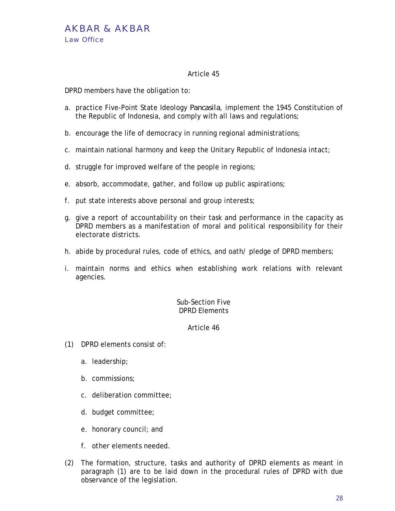DPRD members have the obligation to:

- a. practice Five-Point State Ideology *Pancasila*, implement the 1945 Constitution of the Republic of Indonesia, and comply with all laws and regulations;
- b. encourage the life of democracy in running regional administrations;
- c. maintain national harmony and keep the Unitary Republic of Indonesia intact;
- d. struggle for improved welfare of the people in regions;
- e. absorb, accommodate, gather, and follow up public aspirations;
- f. put state interests above personal and group interests;
- g. give a report of accountability on their task and performance in the capacity as DPRD members as a manifestation of moral and political responsibility for their electorate districts.
- h. abide by procedural rules, code of ethics, and oath/ pledge of DPRD members;
- i. maintain norms and ethics when establishing work relations with relevant agencies.

## Sub-Section Five DPRD Elements

- (1) DPRD elements consist of:
	- a. leadership;
	- b. commissions;
	- c. deliberation committee;
	- d. budget committee;
	- e. honorary council; and
	- f. other elements needed.
- (2) The formation, structure, tasks and authority of DPRD elements as meant in paragraph (1) are to be laid down in the procedural rules of DPRD with due observance of the legislation.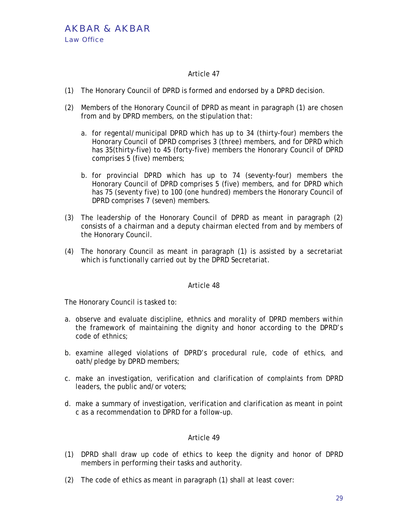- (1) The Honorary Council of DPRD is formed and endorsed by a DPRD decision.
- (2) Members of the Honorary Council of DPRD as meant in paragraph (1) are chosen from and by DPRD members, on the stipulation that:
	- a. for regental/municipal DPRD which has up to 34 (thirty-four) members the Honorary Council of DPRD comprises 3 (three) members, and for DPRD which has 35(thirty-five) to 45 (forty-five) members the Honorary Council of DPRD comprises 5 (five) members;
	- b. for provincial DPRD which has up to 74 (seventy-four) members the Honorary Council of DPRD comprises 5 (five) members, and for DPRD which has 75 (seventy five) to 100 (one hundred) members the Honorary Council of DPRD comprises 7 (seven) members.
- (3) The leadership of the Honorary Council of DPRD as meant in paragraph (2) consists of a chairman and a deputy chairman elected from and by members of the Honorary Council.
- (4) The honorary Council as meant in paragraph (1) is assisted by a secretariat which is functionally carried out by the DPRD Secretariat.

## Article 48

The Honorary Council is tasked to:

- a. observe and evaluate discipline, ethnics and morality of DPRD members within the framework of maintaining the dignity and honor according to the DPRD's code of ethnics;
- b. examine alleged violations of DPRD's procedural rule, code of ethics, and oath/pledge by DPRD members;
- c. make an investigation, verification and clarification of complaints from DPRD leaders, the public and/or voters;
- d. make a summary of investigation, verification and clarification as meant in point c as a recommendation to DPRD for a follow-up.

- (1) DPRD shall draw up code of ethics to keep the dignity and honor of DPRD members in performing their tasks and authority.
- (2) The code of ethics as meant in paragraph (1) shall at least cover: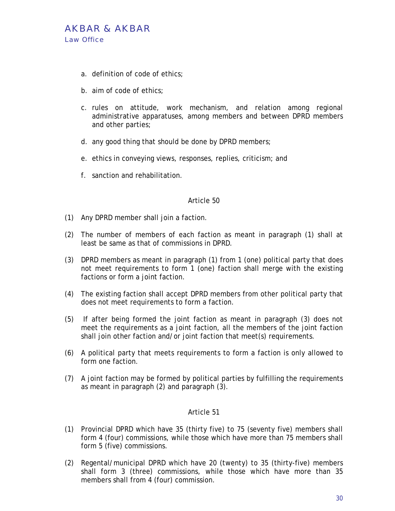

- a. definition of code of ethics;
- b. aim of code of ethics;
- c. rules on attitude, work mechanism, and relation among regional administrative apparatuses, among members and between DPRD members and other parties;
- d. any good thing that should be done by DPRD members;
- e. ethics in conveying views, responses, replies, criticism; and
- f. sanction and rehabilitation.

- (1) Any DPRD member shall join a faction.
- (2) The number of members of each faction as meant in paragraph (1) shall at least be same as that of commissions in DPRD.
- (3) DPRD members as meant in paragraph (1) from 1 (one) political party that does not meet requirements to form 1 (one) faction shall merge with the existing factions or form a joint faction.
- (4) The existing faction shall accept DPRD members from other political party that does not meet requirements to form a faction.
- (5) If after being formed the joint faction as meant in paragraph (3) does not meet the requirements as a joint faction, all the members of the joint faction shall join other faction and/or joint faction that meet(s) requirements.
- (6) A political party that meets requirements to form a faction is only allowed to form one faction.
- (7) A joint faction may be formed by political parties by fulfilling the requirements as meant in paragraph (2) and paragraph (3).

- (1) Provincial DPRD which have 35 (thirty five) to 75 (seventy five) members shall form 4 (four) commissions, while those which have more than 75 members shall form 5 (five) commissions.
- (2) Regental/municipal DPRD which have 20 (twenty) to 35 (thirty-five) members shall form 3 (three) commissions, while those which have more than 35 members shall from 4 (four) commission.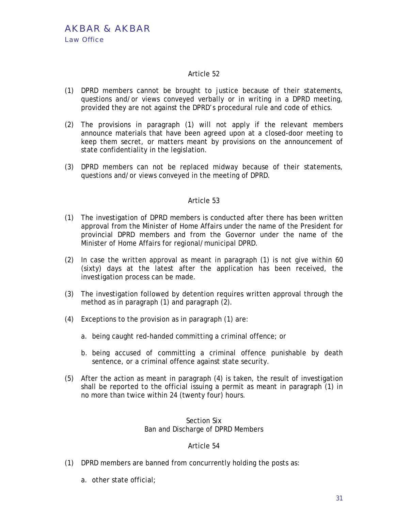- (1) DPRD members cannot be brought to justice because of their statements, questions and/or views conveyed verbally or in writing in a DPRD meeting, provided they are not against the DPRD's procedural rule and code of ethics.
- (2) The provisions in paragraph (1) will not apply if the relevant members announce materials that have been agreed upon at a closed-door meeting to keep them secret, or matters meant by provisions on the announcement of state confidentiality in the legislation.
- (3) DPRD members can not be replaced midway because of their statements, questions and/or views conveyed in the meeting of DPRD.

#### Article 53

- (1) The investigation of DPRD members is conducted after there has been written approval from the Minister of Home Affairs under the name of the President for provincial DPRD members and from the Governor under the name of the Minister of Home Affairs for regional/municipal DPRD.
- (2) In case the written approval as meant in paragraph (1) is not give within 60 (sixty) days at the latest after the application has been received, the investigation process can be made.
- (3) The investigation followed by detention requires written approval through the method as in paragraph (1) and paragraph (2).
- (4) Exceptions to the provision as in paragraph (1) are:
	- a. being caught red-handed committing a criminal offence; or
	- b. being accused of committing a criminal offence punishable by death sentence, or a criminal offence against state security.
- (5) After the action as meant in paragraph (4) is taken, the result of investigation shall be reported to the official issuing a permit as meant in paragraph (1) in no more than twice within 24 (twenty four) hours.

## Section Six Ban and Discharge of DPRD Members

- (1) DPRD members are banned from concurrently holding the posts as:
	- a. other state official;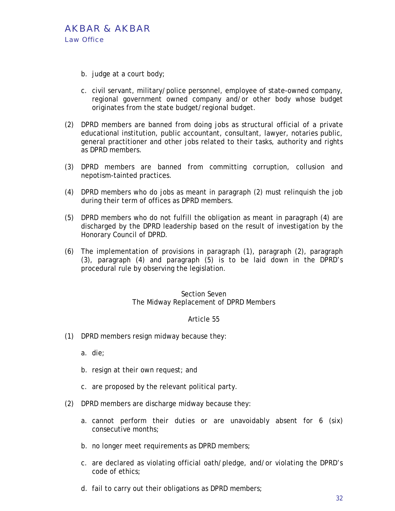

- b. judge at a court body;
- c. civil servant, military/police personnel, employee of state-owned company, regional government owned company and/or other body whose budget originates from the state budget/regional budget.
- (2) DPRD members are banned from doing jobs as structural official of a private educational institution, public accountant, consultant, lawyer, notaries public, general practitioner and other jobs related to their tasks, authority and rights as DPRD members.
- (3) DPRD members are banned from committing corruption, collusion and nepotism-tainted practices.
- (4) DPRD members who do jobs as meant in paragraph (2) must relinquish the job during their term of offices as DPRD members.
- (5) DPRD members who do not fulfill the obligation as meant in paragraph (4) are discharged by the DPRD leadership based on the result of investigation by the Honorary Council of DPRD.
- (6) The implementation of provisions in paragraph (1), paragraph (2), paragraph (3), paragraph (4) and paragraph (5) is to be laid down in the DPRD's procedural rule by observing the legislation.

#### Section Seven The Midway Replacement of DPRD Members

#### Article 55

(1) DPRD members resign midway because they:

a. die;

- b. resign at their own request; and
- c. are proposed by the relevant political party.
- (2) DPRD members are discharge midway because they:
	- a. cannot perform their duties or are unavoidably absent for 6 (six) consecutive months;
	- b. no longer meet requirements as DPRD members;
	- c. are declared as violating official oath/pledge, and/or violating the DPRD's code of ethics;
	- d. fail to carry out their obligations as DPRD members;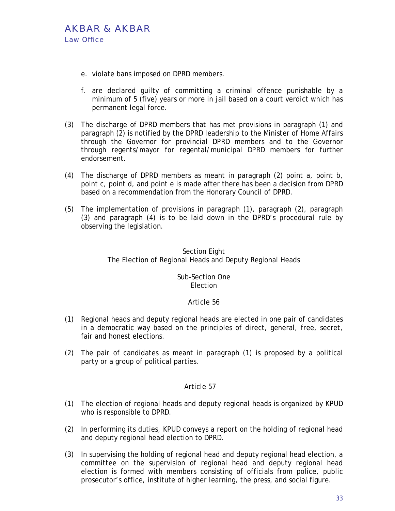

- e. violate bans imposed on DPRD members.
- f. are declared guilty of committing a criminal offence punishable by a minimum of 5 (five) years or more in jail based on a court verdict which has permanent legal force.
- (3) The discharge of DPRD members that has met provisions in paragraph (1) and paragraph (2) is notified by the DPRD leadership to the Minister of Home Affairs through the Governor for provincial DPRD members and to the Governor through regents/mayor for regental/municipal DPRD members for further endorsement.
- (4) The discharge of DPRD members as meant in paragraph (2) point a, point b, point c, point d, and point e is made after there has been a decision from DPRD based on a recommendation from the Honorary Council of DPRD.
- (5) The implementation of provisions in paragraph (1), paragraph (2), paragraph (3) and paragraph (4) is to be laid down in the DPRD's procedural rule by observing the legislation.

## Section Eight The Election of Regional Heads and Deputy Regional Heads

## Sub-Section One **Election**

## Article 56

- (1) Regional heads and deputy regional heads are elected in one pair of candidates in a democratic way based on the principles of direct, general, free, secret, fair and honest elections.
- (2) The pair of candidates as meant in paragraph (1) is proposed by a political party or a group of political parties.

- (1) The election of regional heads and deputy regional heads is organized by KPUD who is responsible to DPRD.
- (2) In performing its duties, KPUD conveys a report on the holding of regional head and deputy regional head election to DPRD.
- (3) In supervising the holding of regional head and deputy regional head election, a committee on the supervision of regional head and deputy regional head election is formed with members consisting of officials from police, public prosecutor's office, institute of higher learning, the press, and social figure.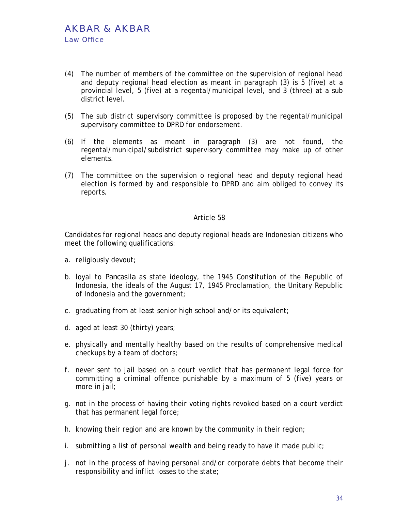- (4) The number of members of the committee on the supervision of regional head and deputy regional head election as meant in paragraph (3) is 5 (five) at a provincial level, 5 (five) at a regental/municipal level, and 3 (three) at a sub district level.
- (5) The sub district supervisory committee is proposed by the regental/municipal supervisory committee to DPRD for endorsement.
- (6) If the elements as meant in paragraph (3) are not found, the regental/municipal/subdistrict supervisory committee may make up of other elements.
- (7) The committee on the supervision o regional head and deputy regional head election is formed by and responsible to DPRD and aim obliged to convey its reports.

Candidates for regional heads and deputy regional heads are Indonesian citizens who meet the following qualifications:

- a. religiously devout;
- b. loyal to *Pancasila* as state ideology, the 1945 Constitution of the Republic of Indonesia, the ideals of the August 17, 1945 Proclamation, the Unitary Republic of Indonesia and the government;
- c. graduating from at least senior high school and/or its equivalent;
- d. aged at least 30 (thirty) years;
- e. physically and mentally healthy based on the results of comprehensive medical checkups by a team of doctors;
- f. never sent to jail based on a court verdict that has permanent legal force for committing a criminal offence punishable by a maximum of 5 (five) years or more in jail;
- g. not in the process of having their voting rights revoked based on a court verdict that has permanent legal force;
- h. knowing their region and are known by the community in their region;
- i. submitting a list of personal wealth and being ready to have it made public;
- j. not in the process of having personal and/or corporate debts that become their responsibility and inflict losses to the state;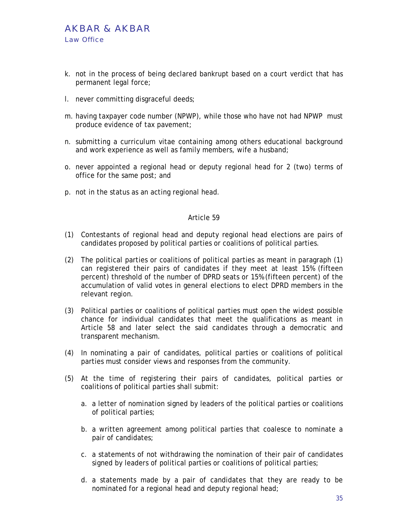- k. not in the process of being declared bankrupt based on a court verdict that has permanent legal force;
- l. never committing disgraceful deeds;
- m. having taxpayer code number (NPWP), while those who have not had NPWP must produce evidence of tax pavement;
- n. submitting a curriculum vitae containing among others educational background and work experience as well as family members, wife a husband;
- o. never appointed a regional head or deputy regional head for 2 (two) terms of office for the same post; and
- p. not in the status as an acting regional head.

- (1) Contestants of regional head and deputy regional head elections are pairs of candidates proposed by political parties or coalitions of political parties.
- (2) The political parties or coalitions of political parties as meant in paragraph (1) can registered their pairs of candidates if they meet at least 15% (fifteen percent) threshold of the number of DPRD seats or 15% (fifteen percent) of the accumulation of valid votes in general elections to elect DPRD members in the relevant region.
- (3) Political parties or coalitions of political parties must open the widest possible chance for individual candidates that meet the qualifications as meant in Article 58 and later select the said candidates through a democratic and transparent mechanism.
- (4) In nominating a pair of candidates, political parties or coalitions of political parties must consider views and responses from the community.
- (5) At the time of registering their pairs of candidates, political parties or coalitions of political parties shall submit:
	- a. a letter of nomination signed by leaders of the political parties or coalitions of political parties;
	- b. a written agreement among political parties that coalesce to nominate a pair of candidates;
	- c. a statements of not withdrawing the nomination of their pair of candidates signed by leaders of political parties or coalitions of political parties;
	- d. a statements made by a pair of candidates that they are ready to be nominated for a regional head and deputy regional head;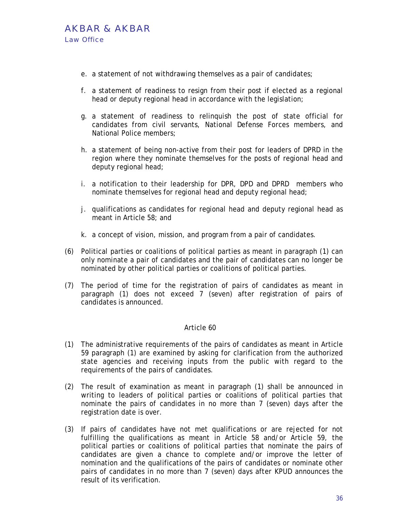- e. a statement of not withdrawing themselves as a pair of candidates;
- f. a statement of readiness to resign from their post if elected as a regional head or deputy regional head in accordance with the legislation;
- g. a statement of readiness to relinquish the post of state official for candidates from civil servants, National Defense Forces members, and National Police members;
- h. a statement of being non-active from their post for leaders of DPRD in the region where they nominate themselves for the posts of regional head and deputy regional head;
- i. a notification to their leadership for DPR, DPD and DPRD members who nominate themselves for regional head and deputy regional head;
- j. qualifications as candidates for regional head and deputy regional head as meant in Article 58; and
- k. a concept of vision, mission, and program from a pair of candidates.
- (6) Political parties or coalitions of political parties as meant in paragraph (1) can only nominate a pair of candidates and the pair of candidates can no longer be nominated by other political parties or coalitions of political parties.
- (7) The period of time for the registration of pairs of candidates as meant in paragraph (1) does not exceed 7 (seven) after registration of pairs of candidates is announced.

- (1) The administrative requirements of the pairs of candidates as meant in Article 59 paragraph (1) are examined by asking for clarification from the authorized state agencies and receiving inputs from the public with regard to the requirements of the pairs of candidates.
- (2) The result of examination as meant in paragraph (1) shall be announced in writing to leaders of political parties or coalitions of political parties that nominate the pairs of candidates in no more than 7 (seven) days after the registration date is over.
- (3) If pairs of candidates have not met qualifications or are rejected for not fulfilling the qualifications as meant in Article 58 and/or Article 59, the political parties or coalitions of political parties that nominate the pairs of candidates are given a chance to complete and/or improve the letter of nomination and the qualifications of the pairs of candidates or nominate other pairs of candidates in no more than 7 (seven) days after KPUD announces the result of its verification.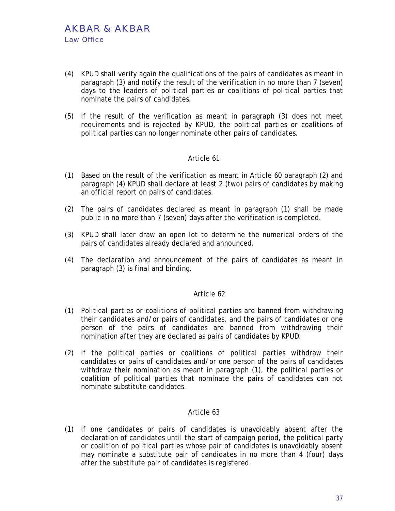- (4) KPUD shall verify again the qualifications of the pairs of candidates as meant in paragraph (3) and notify the result of the verification in no more than 7 (seven) days to the leaders of political parties or coalitions of political parties that nominate the pairs of candidates.
- (5) If the result of the verification as meant in paragraph (3) does not meet requirements and is rejected by KPUD, the political parties or coalitions of political parties can no longer nominate other pairs of candidates.

- (1) Based on the result of the verification as meant in Article 60 paragraph (2) and paragraph (4) KPUD shall declare at least 2 (two) pairs of candidates by making an official report on pairs of candidates.
- (2) The pairs of candidates declared as meant in paragraph (1) shall be made public in no more than 7 (seven) days after the verification is completed.
- (3) KPUD shall later draw an open lot to determine the numerical orders of the pairs of candidates already declared and announced.
- (4) The declaration and announcement of the pairs of candidates as meant in paragraph (3) is final and binding.

#### Article 62

- (1) Political parties or coalitions of political parties are banned from withdrawing their candidates and/or pairs of candidates, and the pairs of candidates or one person of the pairs of candidates are banned from withdrawing their nomination after they are declared as pairs of candidates by KPUD.
- (2) If the political parties or coalitions of political parties withdraw their candidates or pairs of candidates and/or one person of the pairs of candidates withdraw their nomination as meant in paragraph (1), the political parties or coalition of political parties that nominate the pairs of candidates can not nominate substitute candidates.

# Article 63

(1) If one candidates or pairs of candidates is unavoidably absent after the declaration of candidates until the start of campaign period, the political party or coalition of political parties whose pair of candidates is unavoidably absent may nominate a substitute pair of candidates in no more than 4 (four) days after the substitute pair of candidates is registered.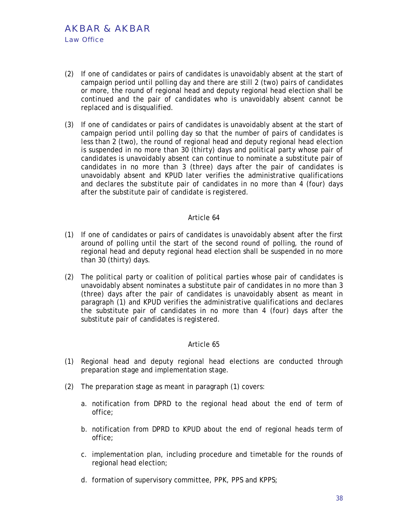- (2) If one of candidates or pairs of candidates is unavoidably absent at the start of campaign period until polling day and there are still 2 (two) pairs of candidates or more, the round of regional head and deputy regional head election shall be continued and the pair of candidates who is unavoidably absent cannot be replaced and is disqualified.
- (3) If one of candidates or pairs of candidates is unavoidably absent at the start of campaign period until polling day so that the number of pairs of candidates is less than 2 (two), the round of regional head and deputy regional head election is suspended in no more than 30 (thirty) days and political party whose pair of candidates is unavoidably absent can continue to nominate a substitute pair of candidates in no more than 3 (three) days after the pair of candidates is unavoidably absent and KPUD later verifies the administrative qualifications and declares the substitute pair of candidates in no more than 4 (four) days after the substitute pair of candidate is registered.

- (1) If one of candidates or pairs of candidates is unavoidably absent after the first around of polling until the start of the second round of polling, the round of regional head and deputy regional head election shall be suspended in no more than 30 (thirty) days.
- (2) The political party or coalition of political parties whose pair of candidates is unavoidably absent nominates a substitute pair of candidates in no more than 3 (three) days after the pair of candidates is unavoidably absent as meant in paragraph (1) and KPUD verifies the administrative qualifications and declares the substitute pair of candidates in no more than 4 (four) days after the substitute pair of candidates is registered.

- (1) Regional head and deputy regional head elections are conducted through preparation stage and implementation stage.
- (2) The preparation stage as meant in paragraph (1) covers:
	- a. notification from DPRD to the regional head about the end of term of office;
	- b. notification from DPRD to KPUD about the end of regional heads term of office;
	- c. implementation plan, including procedure and timetable for the rounds of regional head election;
	- d. formation of supervisory committee, PPK, PPS and KPPS;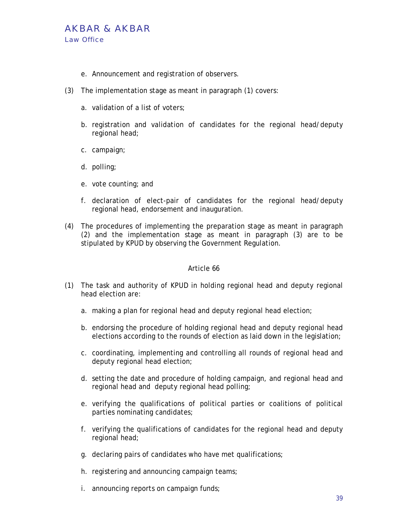# AKBAR & AKBAR Law Office

- e. Announcement and registration of observers.
- (3) The implementation stage as meant in paragraph (1) covers:
	- a. validation of a list of voters;
	- b. registration and validation of candidates for the regional head/deputy regional head;
	- c. campaign;
	- d. polling;
	- e. vote counting; and
	- f. declaration of elect-pair of candidates for the regional head/deputy regional head, endorsement and inauguration.
- (4) The procedures of implementing the preparation stage as meant in paragraph (2) and the implementation stage as meant in paragraph (3) are to be stipulated by KPUD by observing the Government Regulation.

- (1) The task and authority of KPUD in holding regional head and deputy regional head election are:
	- a. making a plan for regional head and deputy regional head election;
	- b. endorsing the procedure of holding regional head and deputy regional head elections according to the rounds of election as laid down in the legislation;
	- c. coordinating, implementing and controlling all rounds of regional head and deputy regional head election;
	- d. setting the date and procedure of holding campaign, and regional head and regional head and deputy regional head polling;
	- e. verifying the qualifications of political parties or coalitions of political parties nominating candidates;
	- f. verifying the qualifications of candidates for the regional head and deputy regional head;
	- g. declaring pairs of candidates who have met qualifications;
	- h. registering and announcing campaign teams;
	- i. announcing reports on campaign funds;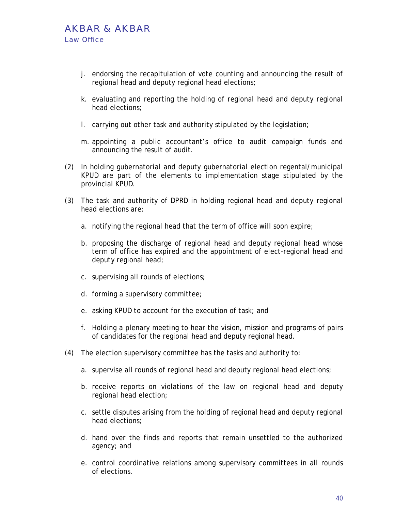- j. endorsing the recapitulation of vote counting and announcing the result of regional head and deputy regional head elections;
- k. evaluating and reporting the holding of regional head and deputy regional head elections;
- l. carrying out other task and authority stipulated by the legislation;
- m. appointing a public accountant's office to audit campaign funds and announcing the result of audit.
- (2) In holding gubernatorial and deputy gubernatorial election regental/municipal KPUD are part of the elements to implementation stage stipulated by the provincial KPUD.
- (3) The task and authority of DPRD in holding regional head and deputy regional head elections are:
	- a. notifying the regional head that the term of office will soon expire;
	- b. proposing the discharge of regional head and deputy regional head whose term of office has expired and the appointment of elect-regional head and deputy regional head;
	- c. supervising all rounds of elections;
	- d. forming a supervisory committee;
	- e. asking KPUD to account for the execution of task; and
	- f. Holding a plenary meeting to hear the vision, mission and programs of pairs of candidates for the regional head and deputy regional head.
- (4) The election supervisory committee has the tasks and authority to:
	- a. supervise all rounds of regional head and deputy regional head elections;
	- b. receive reports on violations of the law on regional head and deputy regional head election;
	- c. settle disputes arising from the holding of regional head and deputy regional head elections;
	- d. hand over the finds and reports that remain unsettled to the authorized agency; and
	- e. control coordinative relations among supervisory committees in all rounds of elections.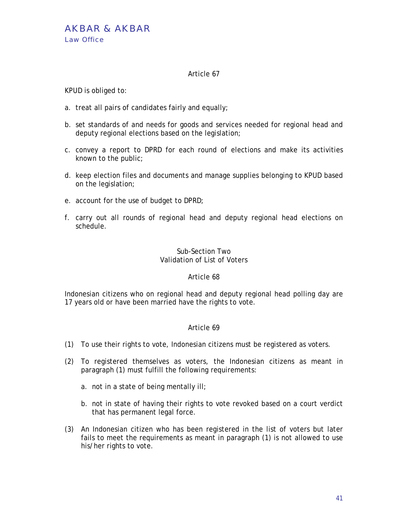KPUD is obliged to:

- a. treat all pairs of candidates fairly and equally;
- b. set standards of and needs for goods and services needed for regional head and deputy regional elections based on the legislation;
- c. convey a report to DPRD for each round of elections and make its activities known to the public;
- d. keep election files and documents and manage supplies belonging to KPUD based on the legislation;
- e. account for the use of budget to DPRD;
- f. carry out all rounds of regional head and deputy regional head elections on schedule.

# Sub-Section Two Validation of List of Voters

# Article 68

Indonesian citizens who on regional head and deputy regional head polling day are 17 years old or have been married have the rights to vote.

- (1) To use their rights to vote, Indonesian citizens must be registered as voters.
- (2) To registered themselves as voters, the Indonesian citizens as meant in paragraph (1) must fulfill the following requirements:
	- a. not in a state of being mentally ill;
	- b. not in state of having their rights to vote revoked based on a court verdict that has permanent legal force.
- (3) An Indonesian citizen who has been registered in the list of voters but later fails to meet the requirements as meant in paragraph (1) is not allowed to use his/her rights to vote.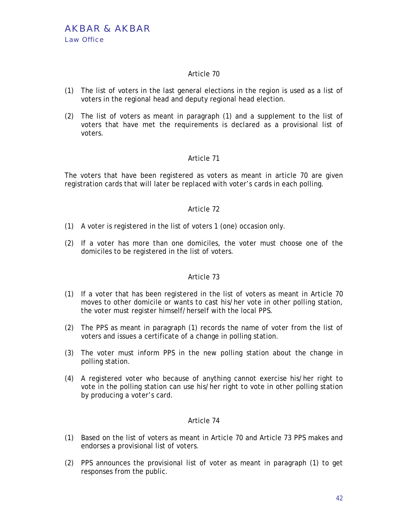- (1) The list of voters in the last general elections in the region is used as a list of voters in the regional head and deputy regional head election.
- (2) The list of voters as meant in paragraph (1) and a supplement to the list of voters that have met the requirements is declared as a provisional list of voters.

# Article 71

The voters that have been registered as voters as meant in article 70 are given registration cards that will later be replaced with voter's cards in each polling.

# Article 72

- (1) A voter is registered in the list of voters 1 (one) occasion only.
- (2) If a voter has more than one domiciles, the voter must choose one of the domiciles to be registered in the list of voters.

#### Article 73

- (1) If a voter that has been registered in the list of voters as meant in Article 70 moves to other domicile or wants to cast his/her vote in other polling station, the voter must register himself/herself with the local PPS.
- (2) The PPS as meant in paragraph (1) records the name of voter from the list of voters and issues a certificate of a change in polling station.
- (3) The voter must inform PPS in the new polling station about the change in polling station.
- (4) A registered voter who because of anything cannot exercise his/her right to vote in the polling station can use his/her right to vote in other polling station by producing a voter's card.

- (1) Based on the list of voters as meant in Article 70 and Article 73 PPS makes and endorses a provisional list of voters.
- (2) PPS announces the provisional list of voter as meant in paragraph (1) to get responses from the public.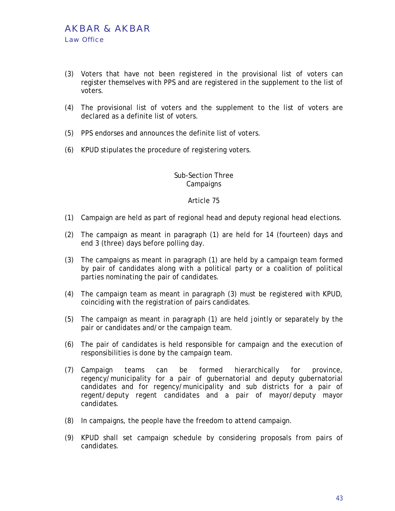- (3) Voters that have not been registered in the provisional list of voters can register themselves with PPS and are registered in the supplement to the list of voters.
- (4) The provisional list of voters and the supplement to the list of voters are declared as a definite list of voters.
- (5) PPS endorses and announces the definite list of voters.
- (6) KPUD stipulates the procedure of registering voters.

# Sub-Section Three **Campaigns**

- (1) Campaign are held as part of regional head and deputy regional head elections.
- (2) The campaign as meant in paragraph (1) are held for 14 (fourteen) days and end 3 (three) days before polling day.
- (3) The campaigns as meant in paragraph (1) are held by a campaign team formed by pair of candidates along with a political party or a coalition of political parties nominating the pair of candidates.
- (4) The campaign team as meant in paragraph (3) must be registered with KPUD, coinciding with the registration of pairs candidates.
- (5) The campaign as meant in paragraph (1) are held jointly or separately by the pair or candidates and/or the campaign team.
- (6) The pair of candidates is held responsible for campaign and the execution of responsibilities is done by the campaign team.
- (7) Campaign teams can be formed hierarchically for province, regency/municipality for a pair of gubernatorial and deputy gubernatorial candidates and for regency/municipality and sub districts for a pair of regent/deputy regent candidates and a pair of mayor/deputy mayor candidates.
- (8) In campaigns, the people have the freedom to attend campaign.
- (9) KPUD shall set campaign schedule by considering proposals from pairs of candidates.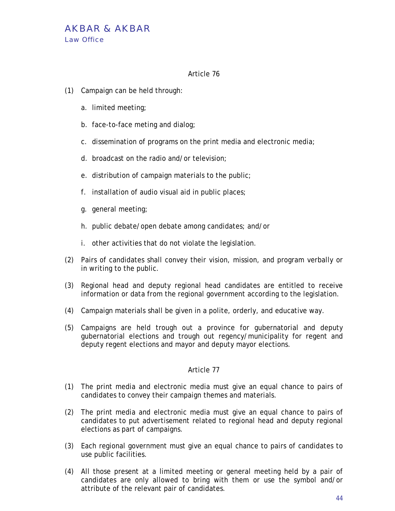- (1) Campaign can be held through:
	- a. limited meeting;
	- b. face-to-face meting and dialog;
	- c. dissemination of programs on the print media and electronic media;
	- d. broadcast on the radio and/or television;
	- e. distribution of campaign materials to the public;
	- f. installation of audio visual aid in public places;
	- g. general meeting;
	- h. public debate/open debate among candidates; and/or
	- i. other activities that do not violate the legislation.
- (2) Pairs of candidates shall convey their vision, mission, and program verbally or in writing to the public.
- (3) Regional head and deputy regional head candidates are entitled to receive information or data from the regional government according to the legislation.
- (4) Campaign materials shall be given in a polite, orderly, and educative way.
- (5) Campaigns are held trough out a province for gubernatorial and deputy gubernatorial elections and trough out regency/municipality for regent and deputy regent elections and mayor and deputy mayor elections.

- (1) The print media and electronic media must give an equal chance to pairs of candidates to convey their campaign themes and materials.
- (2) The print media and electronic media must give an equal chance to pairs of candidates to put advertisement related to regional head and deputy regional elections as part of campaigns.
- (3) Each regional government must give an equal chance to pairs of candidates to use public facilities.
- (4) All those present at a limited meeting or general meeting held by a pair of candidates are only allowed to bring with them or use the symbol and/or attribute of the relevant pair of candidates.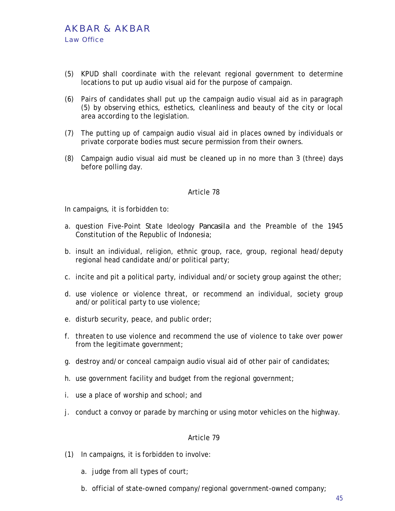- (5) KPUD shall coordinate with the relevant regional government to determine locations to put up audio visual aid for the purpose of campaign.
- (6) Pairs of candidates shall put up the campaign audio visual aid as in paragraph (5) by observing ethics, esthetics, cleanliness and beauty of the city or local area according to the legislation.
- (7) The putting up of campaign audio visual aid in places owned by individuals or private corporate bodies must secure permission from their owners.
- (8) Campaign audio visual aid must be cleaned up in no more than 3 (three) days before polling day.

In campaigns, it is forbidden to:

- a. question Five-Point State Ideology *Pancasila* and the Preamble of the 1945 Constitution of the Republic of Indonesia;
- b. insult an individual, religion, ethnic group, race, group, regional head/deputy regional head candidate and/or political party;
- c. incite and pit a political party, individual and/or society group against the other;
- d. use violence or violence threat, or recommend an individual, society group and/or political party to use violence;
- e. disturb security, peace, and public order;
- f. threaten to use violence and recommend the use of violence to take over power from the legitimate government;
- g. destroy and/or conceal campaign audio visual aid of other pair of candidates;
- h. use government facility and budget from the regional government;
- i. use a place of worship and school; and
- j. conduct a convoy or parade by marching or using motor vehicles on the highway.

- (1) In campaigns, it is forbidden to involve:
	- a. judge from all types of court;
	- b. official of state-owned company/regional government-owned company;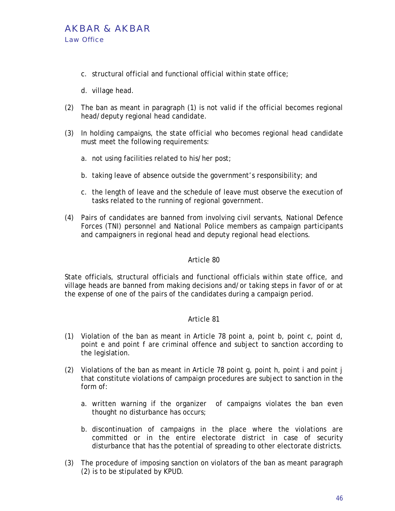

- c. structural official and functional official within state office;
- d. village head.
- (2) The ban as meant in paragraph (1) is not valid if the official becomes regional head/deputy regional head candidate.
- (3) In holding campaigns, the state official who becomes regional head candidate must meet the following requirements:
	- a. not using facilities related to his/her post;
	- b. taking leave of absence outside the government's responsibility; and
	- c. the length of leave and the schedule of leave must observe the execution of tasks related to the running of regional government.
- (4) Pairs of candidates are banned from involving civil servants, National Defence Forces (TNI) personnel and National Police members as campaign participants and campaigners in regional head and deputy regional head elections.

State officials, structural officials and functional officials within state office, and village heads are banned from making decisions and/or taking steps in favor of or at the expense of one of the pairs of the candidates during a campaign period.

- (1) Violation of the ban as meant in Article 78 point a, point b, point c, point d, point e and point f are criminal offence and subject to sanction according to the legislation.
- (2) Violations of the ban as meant in Article 78 point g, point h, point i and point j that constitute violations of campaign procedures are subject to sanction in the form of:
	- a. written warning if the organizer of campaigns violates the ban even thought no disturbance has occurs;
	- b. discontinuation of campaigns in the place where the violations are committed or in the entire electorate district in case of security disturbance that has the potential of spreading to other electorate districts.
- (3) The procedure of imposing sanction on violators of the ban as meant paragraph (2) is to be stipulated by KPUD.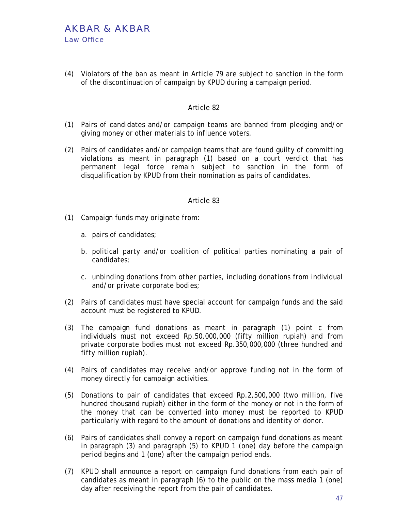(4) Violators of the ban as meant in Article 79 are subject to sanction in the form of the discontinuation of campaign by KPUD during a campaign period.

# Article 82

- (1) Pairs of candidates and/or campaign teams are banned from pledging and/or giving money or other materials to influence voters.
- (2) Pairs of candidates and/or campaign teams that are found guilty of committing violations as meant in paragraph (1) based on a court verdict that has permanent legal force remain subject to sanction in the form of disqualification by KPUD from their nomination as pairs of candidates.

- (1) Campaign funds may originate from:
	- a. pairs of candidates;
	- b. political party and/or coalition of political parties nominating a pair of candidates;
	- c. unbinding donations from other parties, including donations from individual and/or private corporate bodies;
- (2) Pairs of candidates must have special account for campaign funds and the said account must be registered to KPUD.
- (3) The campaign fund donations as meant in paragraph (1) point c from individuals must not exceed Rp.50,000,000 (fifty million rupiah) and from private corporate bodies must not exceed Rp.350,000,000 (three hundred and fifty million rupiah).
- (4) Pairs of candidates may receive and/or approve funding not in the form of money directly for campaign activities.
- (5) Donations to pair of candidates that exceed Rp.2,500,000 (two million, five hundred thousand rupiah) either in the form of the money or not in the form of the money that can be converted into money must be reported to KPUD particularly with regard to the amount of donations and identity of donor.
- (6) Pairs of candidates shall convey a report on campaign fund donations as meant in paragraph (3) and paragraph (5) to KPUD 1 (one) day before the campaign period begins and 1 (one) after the campaign period ends.
- (7) KPUD shall announce a report on campaign fund donations from each pair of candidates as meant in paragraph (6) to the public on the mass media 1 (one) day after receiving the report from the pair of candidates.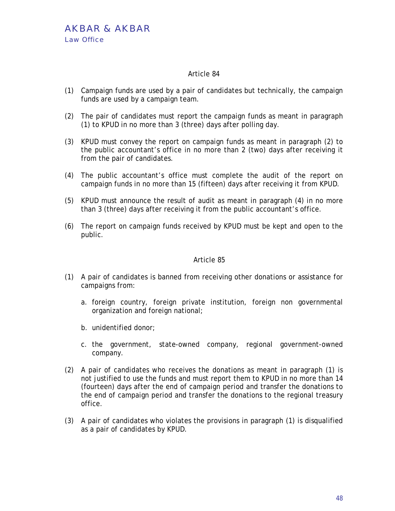- (1) Campaign funds are used by a pair of candidates but technically, the campaign funds are used by a campaign team.
- (2) The pair of candidates must report the campaign funds as meant in paragraph (1) to KPUD in no more than 3 (three) days after polling day.
- (3) KPUD must convey the report on campaign funds as meant in paragraph (2) to the public accountant's office in no more than 2 (two) days after receiving it from the pair of candidates.
- (4) The public accountant's office must complete the audit of the report on campaign funds in no more than 15 (fifteen) days after receiving it from KPUD.
- (5) KPUD must announce the result of audit as meant in paragraph (4) in no more than 3 (three) days after receiving it from the public accountant's office.
- (6) The report on campaign funds received by KPUD must be kept and open to the public.

- (1) A pair of candidates is banned from receiving other donations or assistance for campaigns from:
	- a. foreign country, foreign private institution, foreign non governmental organization and foreign national;
	- b. unidentified donor;
	- c. the government, state-owned company, regional government-owned company.
- (2) A pair of candidates who receives the donations as meant in paragraph (1) is not justified to use the funds and must report them to KPUD in no more than 14 (fourteen) days after the end of campaign period and transfer the donations to the end of campaign period and transfer the donations to the regional treasury office.
- (3) A pair of candidates who violates the provisions in paragraph (1) is disqualified as a pair of candidates by KPUD.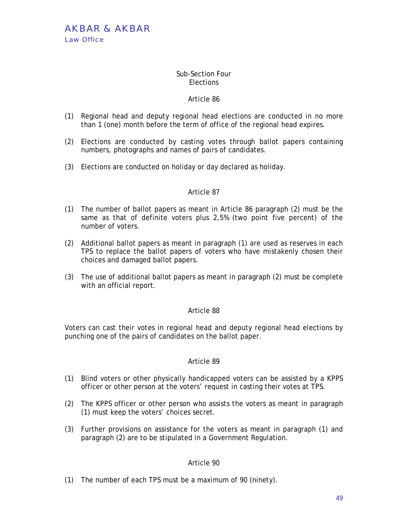# Sub-Section Four **Elections**

# Article 86

- (1) Regional head and deputy regional head elections are conducted in no more than 1 (one) month before the term of office of the regional head expires.
- (2) Elections are conducted by casting votes through ballot papers containing numbers, photographs and names of pairs of candidates.
- (3) Elections are conducted on holiday or day declared as holiday.

# Article 87

- (1) The number of ballot papers as meant in Article 86 paragraph (2) must be the same as that of definite voters plus 2,5% (two point five percent) of the number of voters.
- (2) Additional ballot papers as meant in paragraph (1) are used as reserves in each TPS to replace the ballot papers of voters who have mistakenly chosen their choices and damaged ballot papers.
- (3) The use of additional ballot papers as meant in paragraph (2) must be complete with an official report.

# Article 88

Voters can cast their votes in regional head and deputy regional head elections by punching one of the pairs of candidates on the ballot paper.

# Article 89

- (1) Blind voters or other physically handicapped voters can be assisted by a KPPS officer or other person at the voters' request in casting their votes at TPS.
- (2) The KPPS officer or other person who assists the voters as meant in paragraph (1) must keep the voters' choices secret.
- (3) Further provisions on assistance for the voters as meant in paragraph (1) and paragraph (2) are to be stipulated in a Government Regulation.

# Article 90

(1) The number of each TPS must be a maximum of 90 (ninety).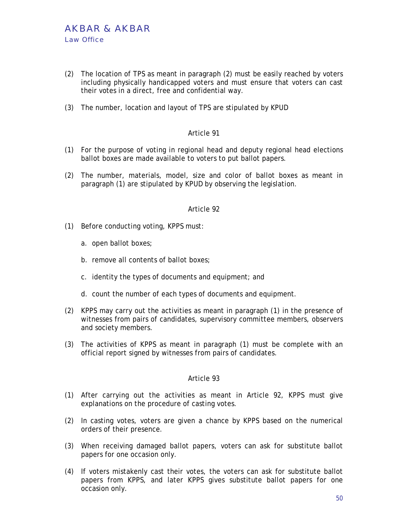- (2) The location of TPS as meant in paragraph (2) must be easily reached by voters including physically handicapped voters and must ensure that voters can cast their votes in a direct, free and confidential way.
- (3) The number, location and layout of TPS are stipulated by KPUD

- (1) For the purpose of voting in regional head and deputy regional head elections ballot boxes are made available to voters to put ballot papers.
- (2) The number, materials, model, size and color of ballot boxes as meant in paragraph (1) are stipulated by KPUD by observing the legislation.

#### Article 92

- (1) Before conducting voting, KPPS must:
	- a. open ballot boxes;
	- b. remove all contents of ballot boxes;
	- c. identity the types of documents and equipment; and
	- d. count the number of each types of documents and equipment.
- (2) KPPS may carry out the activities as meant in paragraph (1) in the presence of witnesses from pairs of candidates, supervisory committee members, observers and society members.
- (3) The activities of KPPS as meant in paragraph (1) must be complete with an official report signed by witnesses from pairs of candidates.

- (1) After carrying out the activities as meant in Article 92, KPPS must give explanations on the procedure of casting votes.
- (2) In casting votes, voters are given a chance by KPPS based on the numerical orders of their presence.
- (3) When receiving damaged ballot papers, voters can ask for substitute ballot papers for one occasion only.
- (4) If voters mistakenly cast their votes, the voters can ask for substitute ballot papers from KPPS, and later KPPS gives substitute ballot papers for one occasion only.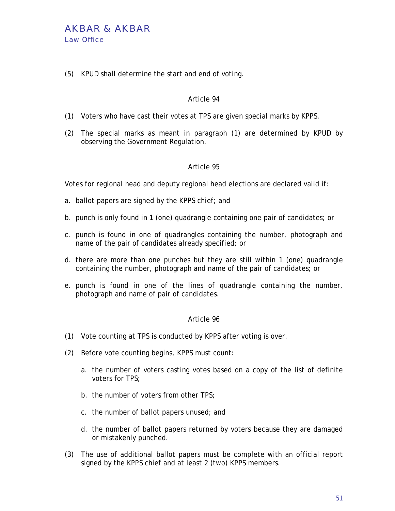(5) KPUD shall determine the start and end of voting.

# Article 94

- (1) Voters who have cast their votes at TPS are given special marks by KPPS.
- (2) The special marks as meant in paragraph (1) are determined by KPUD by observing the Government Regulation.

# Article 95

Votes for regional head and deputy regional head elections are declared valid if:

- a. ballot papers are signed by the KPPS chief; and
- b. punch is only found in 1 (one) quadrangle containing one pair of candidates; or
- c. punch is found in one of quadrangles containing the number, photograph and name of the pair of candidates already specified; or
- d. there are more than one punches but they are still within 1 (one) quadrangle containing the number, photograph and name of the pair of candidates; or
- e. punch is found in one of the lines of quadrangle containing the number, photograph and name of pair of candidates.

- (1) Vote counting at TPS is conducted by KPPS after voting is over.
- (2) Before vote counting begins, KPPS must count:
	- a. the number of voters casting votes based on a copy of the list of definite voters for TPS;
	- b. the number of voters from other TPS;
	- c. the number of ballot papers unused; and
	- d. the number of ballot papers returned by voters because they are damaged or mistakenly punched.
- (3) The use of additional ballot papers must be complete with an official report signed by the KPPS chief and at least 2 (two) KPPS members.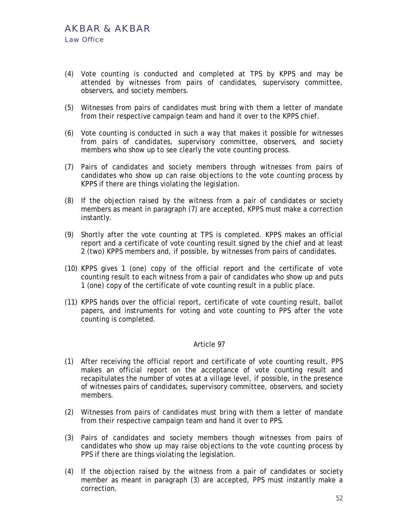- (4) Vote counting is conducted and completed at TPS by KPPS and may be attended by witnesses from pairs of candidates, supervisory committee, observers, and society members.
- (5) Witnesses from pairs of candidates must bring with them a letter of mandate from their respective campaign team and hand it over to the KPPS chief.
- (6) Vote counting is conducted in such a way that makes it possible for witnesses from pairs of candidates, supervisory committee, observers, and society members who show up to see clearly the vote counting process.
- (7) Pairs of candidates and society members through witnesses from pairs of candidates who show up can raise objections to the vote counting process by KPPS if there are things violating the legislation.
- (8) If the objection raised by the witness from a pair of candidates or society members as meant in paragraph (7) are accepted, KPPS must make a correction instantly.
- (9) Shortly after the vote counting at TPS is completed. KPPS makes an official report and a certificate of vote counting result signed by the chief and at least 2 (two) KPPS members and, if possible, by witnesses from pairs of candidates.
- (10) KPPS gives 1 (one) copy of the official report and the certificate of vote counting result to each witness from a pair of candidates who show up and puts 1 (one) copy of the certificate of vote counting result in a public place.
- (11) KPPS hands over the official report, certificate of vote counting result, ballot papers, and instruments for voting and vote counting to PPS after the vote counting is completed.

- (1) After receiving the official report and certificate of vote counting result, PPS makes an official report on the acceptance of vote counting result and recapitulates the number of votes at a village level, if possible, in the presence of witnesses pairs of candidates, supervisory committee, observers, and society members.
- (2) Witnesses from pairs of candidates must bring with them a letter of mandate from their respective campaign team and hand it over to PPS.
- (3) Pairs of candidates and society members though witnesses from pairs of candidates who show up may raise objections to the vote counting process by PPS if there are things violating the legislation.
- (4) If the objection raised by the witness from a pair of candidates or society member as meant in paragraph (3) are accepted, PPS must instantly make a correction.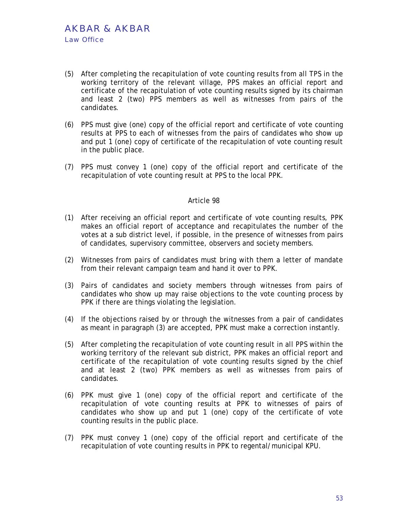- (5) After completing the recapitulation of vote counting results from all TPS in the working territory of the relevant village, PPS makes an official report and certificate of the recapitulation of vote counting results signed by its chairman and least 2 (two) PPS members as well as witnesses from pairs of the candidates.
- (6) PPS must give (one) copy of the official report and certificate of vote counting results at PPS to each of witnesses from the pairs of candidates who show up and put 1 (one) copy of certificate of the recapitulation of vote counting result in the public place.
- (7) PPS must convey 1 (one) copy of the official report and certificate of the recapitulation of vote counting result at PPS to the local PPK.

- (1) After receiving an official report and certificate of vote counting results, PPK makes an official report of acceptance and recapitulates the number of the votes at a sub district level, if possible, in the presence of witnesses from pairs of candidates, supervisory committee, observers and society members.
- (2) Witnesses from pairs of candidates must bring with them a letter of mandate from their relevant campaign team and hand it over to PPK.
- (3) Pairs of candidates and society members through witnesses from pairs of candidates who show up may raise objections to the vote counting process by PPK if there are things violating the legislation.
- (4) If the objections raised by or through the witnesses from a pair of candidates as meant in paragraph (3) are accepted, PPK must make a correction instantly.
- (5) After completing the recapitulation of vote counting result in all PPS within the working territory of the relevant sub district, PPK makes an official report and certificate of the recapitulation of vote counting results signed by the chief and at least 2 (two) PPK members as well as witnesses from pairs of candidates.
- (6) PPK must give 1 (one) copy of the official report and certificate of the recapitulation of vote counting results at PPK to witnesses of pairs of candidates who show up and put 1 (one) copy of the certificate of vote counting results in the public place.
- (7) PPK must convey 1 (one) copy of the official report and certificate of the recapitulation of vote counting results in PPK to regental/municipal KPU.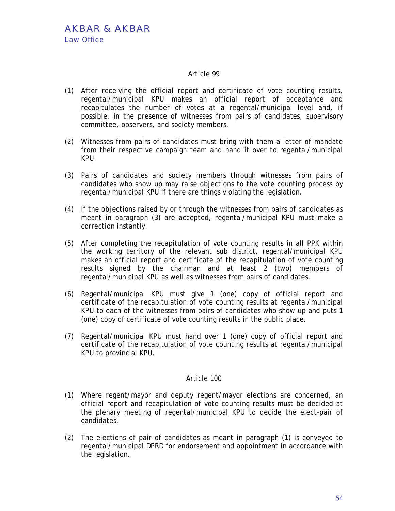- (1) After receiving the official report and certificate of vote counting results, regental/municipal KPU makes an official report of acceptance and recapitulates the number of votes at a regental/municipal level and, if possible, in the presence of witnesses from pairs of candidates, supervisory committee, observers, and society members.
- (2) Witnesses from pairs of candidates must bring with them a letter of mandate from their respective campaign team and hand it over to regental/municipal KPU.
- (3) Pairs of candidates and society members through witnesses from pairs of candidates who show up may raise objections to the vote counting process by regental/municipal KPU if there are things violating the legislation.
- (4) If the objections raised by or through the witnesses from pairs of candidates as meant in paragraph (3) are accepted, regental/municipal KPU must make a correction instantly.
- (5) After completing the recapitulation of vote counting results in all PPK within the working territory of the relevant sub district, regental/municipal KPU makes an official report and certificate of the recapitulation of vote counting results signed by the chairman and at least 2 (two) members of regental/municipal KPU as well as witnesses from pairs of candidates.
- (6) Regental/municipal KPU must give 1 (one) copy of official report and certificate of the recapitulation of vote counting results at regental/municipal KPU to each of the witnesses from pairs of candidates who show up and puts 1 (one) copy of certificate of vote counting results in the public place.
- (7) Regental/municipal KPU must hand over 1 (one) copy of official report and certificate of the recapitulation of vote counting results at regental/municipal KPU to provincial KPU.

- (1) Where regent/mayor and deputy regent/mayor elections are concerned, an official report and recapitulation of vote counting results must be decided at the plenary meeting of regental/municipal KPU to decide the elect-pair of candidates.
- (2) The elections of pair of candidates as meant in paragraph (1) is conveyed to regental/municipal DPRD for endorsement and appointment in accordance with the legislation.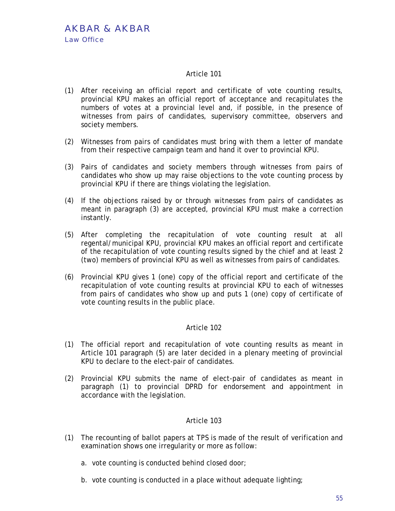- (1) After receiving an official report and certificate of vote counting results, provincial KPU makes an official report of acceptance and recapitulates the numbers of votes at a provincial level and, if possible, in the presence of witnesses from pairs of candidates, supervisory committee, observers and society members.
- (2) Witnesses from pairs of candidates must bring with them a letter of mandate from their respective campaign team and hand it over to provincial KPU.
- (3) Pairs of candidates and society members through witnesses from pairs of candidates who show up may raise objections to the vote counting process by provincial KPU if there are things violating the legislation.
- (4) If the objections raised by or through witnesses from pairs of candidates as meant in paragraph (3) are accepted, provincial KPU must make a correction instantly.
- (5) After completing the recapitulation of vote counting result at all regental/municipal KPU, provincial KPU makes an official report and certificate of the recapitulation of vote counting results signed by the chief and at least 2 (two) members of provincial KPU as well as witnesses from pairs of candidates.
- (6) Provincial KPU gives 1 (one) copy of the official report and certificate of the recapitulation of vote counting results at provincial KPU to each of witnesses from pairs of candidates who show up and puts 1 (one) copy of certificate of vote counting results in the public place.

# Article 102

- (1) The official report and recapitulation of vote counting results as meant in Article 101 paragraph (5) are later decided in a plenary meeting of provincial KPU to declare to the elect-pair of candidates.
- (2) Provincial KPU submits the name of elect-pair of candidates as meant in paragraph (1) to provincial DPRD for endorsement and appointment in accordance with the legislation.

- (1) The recounting of ballot papers at TPS is made of the result of verification and examination shows one irregularity or more as follow:
	- a. vote counting is conducted behind closed door;
	- b. vote counting is conducted in a place without adequate lighting;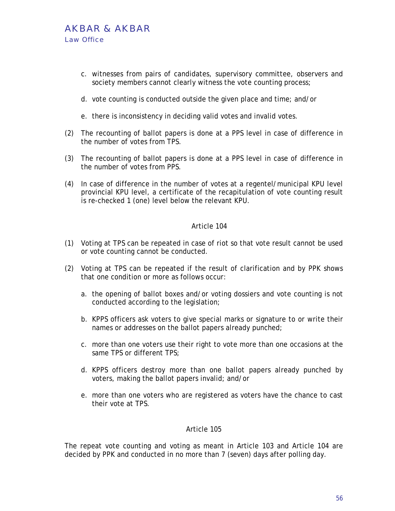# AKBAR & AKBAR Law Office

- c. witnesses from pairs of candidates, supervisory committee, observers and society members cannot clearly witness the vote counting process;
- d. vote counting is conducted outside the given place and time; and/or
- e. there is inconsistency in deciding valid votes and invalid votes.
- (2) The recounting of ballot papers is done at a PPS level in case of difference in the number of votes from TPS.
- (3) The recounting of ballot papers is done at a PPS level in case of difference in the number of votes from PPS.
- (4) In case of difference in the number of votes at a regentel/municipal KPU level provincial KPU level, a certificate of the recapitulation of vote counting result is re-checked 1 (one) level below the relevant KPU.

### Article 104

- (1) Voting at TPS can be repeated in case of riot so that vote result cannot be used or vote counting cannot be conducted.
- (2) Voting at TPS can be repeated if the result of clarification and by PPK shows that one condition or more as follows occur:
	- a. the opening of ballot boxes and/or voting dossiers and vote counting is not conducted according to the legislation;
	- b. KPPS officers ask voters to give special marks or signature to or write their names or addresses on the ballot papers already punched;
	- c. more than one voters use their right to vote more than one occasions at the same TPS or different TPS;
	- d. KPPS officers destroy more than one ballot papers already punched by voters, making the ballot papers invalid; and/or
	- e. more than one voters who are registered as voters have the chance to cast their vote at TPS.

# Article 105

The repeat vote counting and voting as meant in Article 103 and Article 104 are decided by PPK and conducted in no more than 7 (seven) days after polling day.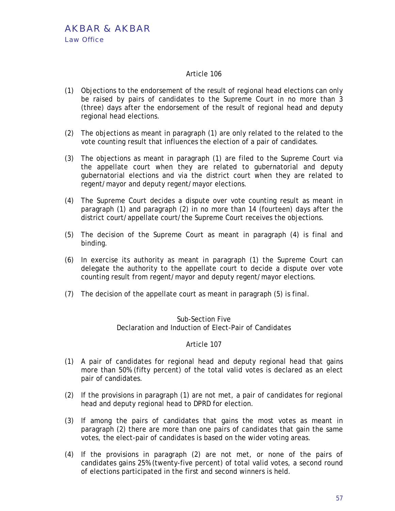- (1) Objections to the endorsement of the result of regional head elections can only be raised by pairs of candidates to the Supreme Court in no more than 3 (three) days after the endorsement of the result of regional head and deputy regional head elections.
- (2) The objections as meant in paragraph (1) are only related to the related to the vote counting result that influences the election of a pair of candidates.
- (3) The objections as meant in paragraph (1) are filed to the Supreme Court via the appellate court when they are related to gubernatorial and deputy gubernatorial elections and via the district court when they are related to regent/mayor and deputy regent/mayor elections.
- (4) The Supreme Court decides a dispute over vote counting result as meant in paragraph (1) and paragraph (2) in no more than 14 (fourteen) days after the district court/appellate court/the Supreme Court receives the objections.
- (5) The decision of the Supreme Court as meant in paragraph (4) is final and binding.
- (6) In exercise its authority as meant in paragraph (1) the Supreme Court can delegate the authority to the appellate court to decide a dispute over vote counting result from regent/mayor and deputy regent/mayor elections.
- (7) The decision of the appellate court as meant in paragraph (5) is final.

## Sub-Section Five Declaration and Induction of Elect-Pair of Candidates

- (1) A pair of candidates for regional head and deputy regional head that gains more than 50% (fifty percent) of the total valid votes is declared as an elect pair of candidates.
- (2) If the provisions in paragraph (1) are not met, a pair of candidates for regional head and deputy regional head to DPRD for election.
- (3) If among the pairs of candidates that gains the most votes as meant in paragraph (2) there are more than one pairs of candidates that gain the same votes, the elect-pair of candidates is based on the wider voting areas.
- (4) If the provisions in paragraph (2) are not met, or none of the pairs of candidates gains 25% (twenty-five percent) of total valid votes, a second round of elections participated in the first and second winners is held.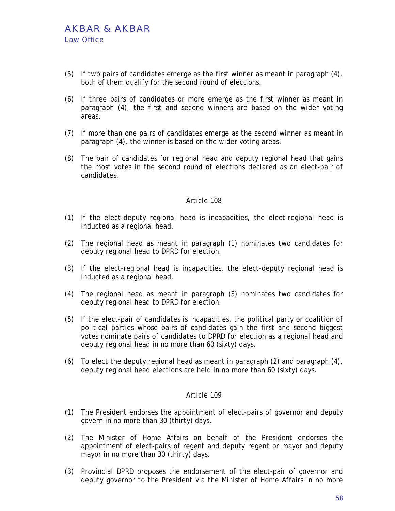- (5) If two pairs of candidates emerge as the first winner as meant in paragraph (4), both of them qualify for the second round of elections.
- (6) If three pairs of candidates or more emerge as the first winner as meant in paragraph (4), the first and second winners are based on the wider voting areas.
- (7) If more than one pairs of candidates emerge as the second winner as meant in paragraph (4), the winner is based on the wider voting areas.
- (8) The pair of candidates for regional head and deputy regional head that gains the most votes in the second round of elections declared as an elect-pair of candidates.

- (1) If the elect–deputy regional head is incapacities, the elect-regional head is inducted as a regional head.
- (2) The regional head as meant in paragraph (1) nominates two candidates for deputy regional head to DPRD for election.
- (3) If the elect-regional head is incapacities, the elect-deputy regional head is inducted as a regional head.
- (4) The regional head as meant in paragraph (3) nominates two candidates for deputy regional head to DPRD for election.
- (5) If the elect-pair of candidates is incapacities, the political party or coalition of political parties whose pairs of candidates gain the first and second biggest votes nominate pairs of candidates to DPRD for election as a regional head and deputy regional head in no more than 60 (sixty) days.
- (6) To elect the deputy regional head as meant in paragraph (2) and paragraph (4), deputy regional head elections are held in no more than 60 (sixty) days.

- (1) The President endorses the appointment of elect-pairs of governor and deputy govern in no more than 30 (thirty) days.
- (2) The Minister of Home Affairs on behalf of the President endorses the appointment of elect-pairs of regent and deputy regent or mayor and deputy mayor in no more than 30 (thirty) days.
- (3) Provincial DPRD proposes the endorsement of the elect-pair of governor and deputy governor to the President via the Minister of Home Affairs in no more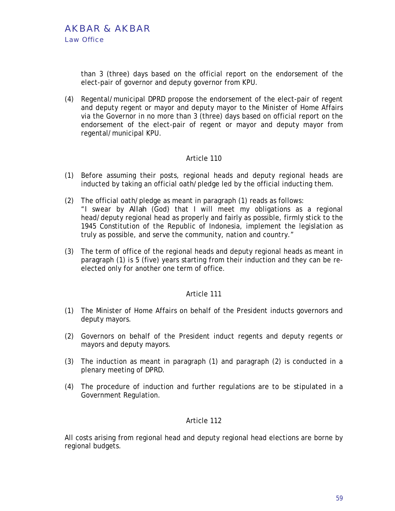than 3 (three) days based on the official report on the endorsement of the elect-pair of governor and deputy governor from KPU.

(4) Regental/municipal DPRD propose the endorsement of the elect-pair of regent and deputy regent or mayor and deputy mayor to the Minister of Home Affairs via the Governor in no more than 3 (three) days based on official report on the endorsement of the elect-pair of regent or mayor and deputy mayor from regental/municipal KPU.

# Article 110

- (1) Before assuming their posts, regional heads and deputy regional heads are inducted by taking an official oath/pledge led by the official inducting them.
- (2) The official oath/pledge as meant in paragraph (1) reads as follows: "I swear by *Allah* (God) that I will meet my obligations as a regional head/deputy regional head as properly and fairly as possible, firmly stick to the 1945 Constitution of the Republic of Indonesia, implement the legislation as truly as possible, and serve the community, nation and country."
- (3) The term of office of the regional heads and deputy regional heads as meant in paragraph (1) is 5 (five) years starting from their induction and they can be reelected only for another one term of office.

# Article 111

- (1) The Minister of Home Affairs on behalf of the President inducts governors and deputy mayors.
- (2) Governors on behalf of the President induct regents and deputy regents or mayors and deputy mayors.
- (3) The induction as meant in paragraph (1) and paragraph (2) is conducted in a plenary meeting of DPRD.
- (4) The procedure of induction and further regulations are to be stipulated in a Government Regulation.

# Article 112

All costs arising from regional head and deputy regional head elections are borne by regional budgets.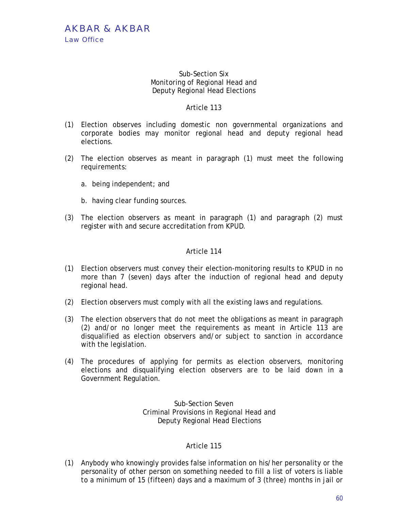# Sub-Section Six Monitoring of Regional Head and Deputy Regional Head Elections

# Article 113

- (1) Election observes including domestic non governmental organizations and corporate bodies may monitor regional head and deputy regional head elections.
- (2) The election observes as meant in paragraph (1) must meet the following requirements:
	- a. being independent; and
	- b. having clear funding sources.
- (3) The election observers as meant in paragraph (1) and paragraph (2) must register with and secure accreditation from KPUD.

# Article 114

- (1) Election observers must convey their election-monitoring results to KPUD in no more than 7 (seven) days after the induction of regional head and deputy regional head.
- (2) Election observers must comply with all the existing laws and regulations.
- (3) The election observers that do not meet the obligations as meant in paragraph (2) and/or no longer meet the requirements as meant in Article 113 are disqualified as election observers and/or subject to sanction in accordance with the legislation.
- (4) The procedures of applying for permits as election observers, monitoring elections and disqualifying election observers are to be laid down in a Government Regulation.

Sub-Section Seven Criminal Provisions in Regional Head and Deputy Regional Head Elections

# Article 115

(1) Anybody who knowingly provides false information on his/her personality or the personality of other person on something needed to fill a list of voters is liable to a minimum of 15 (fifteen) days and a maximum of 3 (three) months in jail or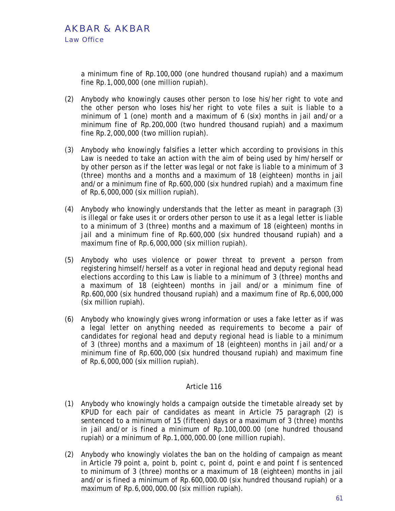a minimum fine of Rp.100,000 (one hundred thousand rupiah) and a maximum fine Rp.1,000,000 (one million rupiah).

- (2) Anybody who knowingly causes other person to lose his/her right to vote and the other person who loses his/her right to vote files a suit is liable to a minimum of 1 (one) month and a maximum of 6 (six) months in jail and/or a minimum fine of Rp.200,000 (two hundred thousand rupiah) and a maximum fine Rp.2,000,000 (two million rupiah).
- (3) Anybody who knowingly falsifies a letter which according to provisions in this Law is needed to take an action with the aim of being used by him/herself or by other person as if the letter was legal or not fake is liable to a minimum of 3 (three) months and a months and a maximum of 18 (eighteen) months in jail and/or a minimum fine of Rp.600,000 (six hundred rupiah) and a maximum fine of Rp.6,000,000 (six million rupiah).
- (4) Anybody who knowingly understands that the letter as meant in paragraph (3) is illegal or fake uses it or orders other person to use it as a legal letter is liable to a minimum of 3 (three) months and a maximum of 18 (eighteen) months in jail and a minimum fine of Rp.600,000 (six hundred thousand rupiah) and a maximum fine of Rp.6,000,000 (six million rupiah).
- (5) Anybody who uses violence or power threat to prevent a person from registering himself/herself as a voter in regional head and deputy regional head elections according to this Law is liable to a minimum of 3 (three) months and a maximum of 18 (eighteen) months in jail and/or a minimum fine of Rp.600,000 (six hundred thousand rupiah) and a maximum fine of Rp.6,000,000 (six million rupiah).
- (6) Anybody who knowingly gives wrong information or uses a fake letter as if was a legal letter on anything needed as requirements to become a pair of candidates for regional head and deputy regional head is liable to a minimum of 3 (three) months and a maximum of 18 (eighteen) months in jail and/or a minimum fine of Rp.600,000 (six hundred thousand rupiah) and maximum fine of Rp.6,000,000 (six million rupiah).

- (1) Anybody who knowingly holds a campaign outside the timetable already set by KPUD for each pair of candidates as meant in Article 75 paragraph (2) is sentenced to a minimum of 15 (fifteen) days or a maximum of 3 (three) months in jail and/or is fined a minimum of Rp.100,000.00 (one hundred thousand rupiah) or a minimum of Rp.1,000,000.00 (one million rupiah).
- (2) Anybody who knowingly violates the ban on the holding of campaign as meant in Article 79 point a, point b, point c, point d, point e and point f is sentenced to minimum of 3 (three) months or a maximum of 18 (eighteen) months in jail and/or is fined a minimum of Rp.600,000.00 (six hundred thousand rupiah) or a maximum of Rp.6,000,000.00 (six million rupiah).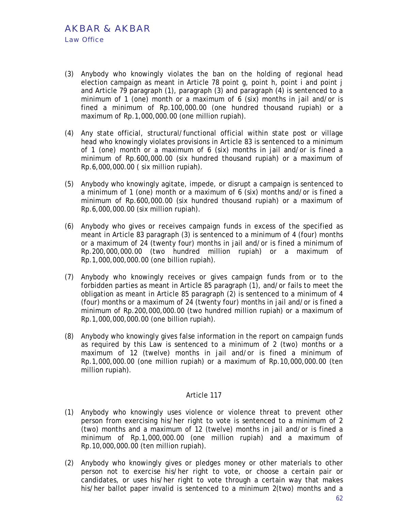- (3) Anybody who knowingly violates the ban on the holding of regional head election campaign as meant in Article 78 point q, point h, point i and point j and Article 79 paragraph (1), paragraph (3) and paragraph (4) is sentenced to a minimum of 1 (one) month or a maximum of 6 (six) months in jail and/or is fined a minimum of Rp.100,000.00 (one hundred thousand rupiah) or a maximum of Rp.1,000,000.00 (one million rupiah).
- (4) Any state official, structural/functional official within state post or village head who knowingly violates provisions in Article 83 is sentenced to a minimum of 1 (one) month or a maximum of 6 (six) months in jail and/or is fined a minimum of Rp.600,000.00 (six hundred thousand rupiah) or a maximum of Rp.6,000,000.00 ( six million rupiah).
- (5) Anybody who knowingly agitate, impede, or disrupt a campaign is sentenced to a minimum of 1 (one) month or a maximum of 6 (six) months and/or is fined a minimum of Rp.600,000.00 (six hundred thousand rupiah) or a maximum of Rp.6,000,000.00 (six million rupiah).
- (6) Anybody who gives or receives campaign funds in excess of the specified as meant in Article 83 paragraph (3) is sentenced to a minimum of 4 (four) months or a maximum of 24 (twenty four) months in jail and/or is fined a minimum of Rp.200,000,000.00 (two hundred million rupiah) or a maximum of Rp.1,000,000,000.00 (one billion rupiah).
- (7) Anybody who knowingly receives or gives campaign funds from or to the forbidden parties as meant in Article 85 paragraph (1), and/or fails to meet the obligation as meant in Article 85 paragraph (2) is sentenced to a minimum of 4 (four) months or a maximum of 24 (twenty four) months in jail and/or is fined a minimum of Rp.200,000,000.00 (two hundred million rupiah) or a maximum of Rp.1,000,000,000.00 (one billion rupiah).
- (8) Anybody who knowingly gives false information in the report on campaign funds as required by this Law is sentenced to a minimum of 2 (two) months or a maximum of 12 (twelve) months in jail and/or is fined a minimum of Rp.1,000,000.00 (one million rupiah) or a maximum of Rp.10,000,000.00 (ten million rupiah).

- (1) Anybody who knowingly uses violence or violence threat to prevent other person from exercising his/her right to vote is sentenced to a minimum of 2 (two) months and a maximum of 12 (twelve) months in jail and/or is fined a minimum of Rp.1,000,000.00 (one million rupiah) and a maximum of Rp.10,000,000.00 (ten million rupiah).
- (2) Anybody who knowingly gives or pledges money or other materials to other person not to exercise his/her right to vote, or choose a certain pair or candidates, or uses his/her right to vote through a certain way that makes his/her ballot paper invalid is sentenced to a minimum 2(two) months and a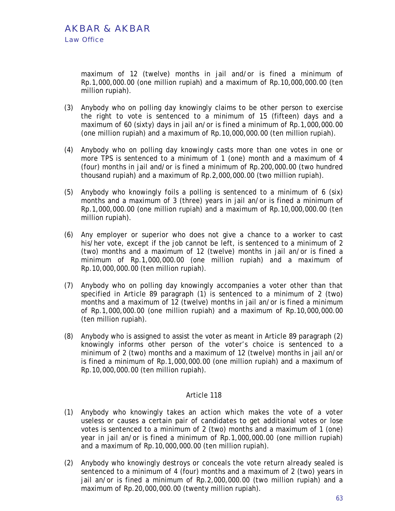maximum of 12 (twelve) months in jail and/or is fined a minimum of Rp.1,000,000.00 (one million rupiah) and a maximum of Rp.10,000,000.00 (ten million rupiah).

- (3) Anybody who on polling day knowingly claims to be other person to exercise the right to vote is sentenced to a minimum of 15 (fifteen) days and a maximum of 60 (sixty) days in jail an/or is fined a minimum of Rp.1,000,000.00 (one million rupiah) and a maximum of Rp.10,000,000.00 (ten million rupiah).
- (4) Anybody who on polling day knowingly casts more than one votes in one or more TPS is sentenced to a minimum of 1 (one) month and a maximum of 4 (four) months in jail and/or is fined a minimum of Rp.200,000.00 (two hundred thousand rupiah) and a maximum of Rp.2,000,000.00 (two million rupiah).
- (5) Anybody who knowingly foils a polling is sentenced to a minimum of 6 (six) months and a maximum of 3 (three) years in jail an/or is fined a minimum of Rp.1,000,000.00 (one million rupiah) and a maximum of Rp.10,000,000.00 (ten million rupiah).
- (6) Any employer or superior who does not give a chance to a worker to cast his/her vote, except if the job cannot be left, is sentenced to a minimum of 2 (two) months and a maximum of 12 (twelve) months in jail an/or is fined a minimum of Rp.1,000,000.00 (one million rupiah) and a maximum of Rp.10,000,000.00 (ten million rupiah).
- (7) Anybody who on polling day knowingly accompanies a voter other than that specified in Article 89 paragraph (1) is sentenced to a minimum of 2 (two) months and a maximum of 12 (twelve) months in jail an/or is fined a minimum of Rp.1,000,000.00 (one million rupiah) and a maximum of Rp.10,000,000.00 (ten million rupiah).
- (8) Anybody who is assigned to assist the voter as meant in Article 89 paragraph (2) knowingly informs other person of the voter's choice is sentenced to a minimum of 2 (two) months and a maximum of 12 (twelve) months in jail an/or is fined a minimum of Rp.1,000,000.00 (one million rupiah) and a maximum of Rp.10,000,000.00 (ten million rupiah).

- (1) Anybody who knowingly takes an action which makes the vote of a voter useless or causes a certain pair of candidates to get additional votes or lose votes is sentenced to a minimum of 2 (two) months and a maximum of 1 (one) year in jail an/or is fined a minimum of Rp.1,000,000.00 (one million rupiah) and a maximum of Rp.10,000,000.00 (ten million rupiah).
- (2) Anybody who knowingly destroys or conceals the vote return already sealed is sentenced to a minimum of 4 (four) months and a maximum of 2 (two) years in jail an/or is fined a minimum of Rp.2,000,000.00 (two million rupiah) and a maximum of Rp.20,000,000.00 (twenty million rupiah).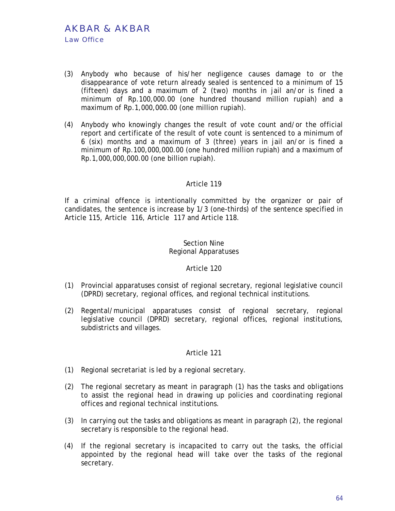- (3) Anybody who because of his/her negligence causes damage to or the disappearance of vote return already sealed is sentenced to a minimum of 15 (fifteen) days and a maximum of 2 (two) months in jail an/or is fined a minimum of Rp.100,000.00 (one hundred thousand million rupiah) and a maximum of Rp.1,000,000.00 (one million rupiah).
- (4) Anybody who knowingly changes the result of vote count and/or the official report and certificate of the result of vote count is sentenced to a minimum of 6 (six) months and a maximum of 3 (three) years in jail an/or is fined a minimum of Rp.100,000,000.00 (one hundred million rupiah) and a maximum of Rp.1,000,000,000.00 (one billion rupiah).

If a criminal offence is intentionally committed by the organizer or pair of candidates, the sentence is increase by 1/3 (one-thirds) of the sentence specified in Article 115, Article 116, Article 117 and Article 118.

### Section Nine Regional Apparatuses

#### Article 120

- (1) Provincial apparatuses consist of regional secretary, regional legislative council (DPRD) secretary, regional offices, and regional technical institutions.
- (2) Regental/municipal apparatuses consist of regional secretary, regional legislative council (DPRD) secretary, regional offices, regional institutions, subdistricts and villages.

- (1) Regional secretariat is led by a regional secretary.
- (2) The regional secretary as meant in paragraph (1) has the tasks and obligations to assist the regional head in drawing up policies and coordinating regional offices and regional technical institutions.
- (3) In carrying out the tasks and obligations as meant in paragraph (2), the regional secretary is responsible to the regional head.
- (4) If the regional secretary is incapacited to carry out the tasks, the official appointed by the regional head will take over the tasks of the regional secretary.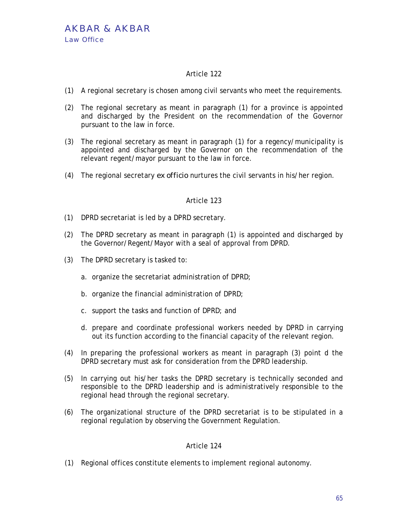- (1) A regional secretary is chosen among civil servants who meet the requirements.
- (2) The regional secretary as meant in paragraph (1) for a province is appointed and discharged by the President on the recommendation of the Governor pursuant to the law in force.
- (3) The regional secretary as meant in paragraph (1) for a regency/municipality is appointed and discharged by the Governor on the recommendation of the relevant regent/mayor pursuant to the law in force.
- (4) The regional secretary *ex officio* nurtures the civil servants in his/her region.

# Article 123

- (1) DPRD secretariat is led by a DPRD secretary.
- (2) The DPRD secretary as meant in paragraph (1) is appointed and discharged by the Governor/Regent/Mayor with a seal of approval from DPRD.
- (3) The DPRD secretary is tasked to:
	- a. organize the secretariat administration of DPRD;
	- b. organize the financial administration of DPRD;
	- c. support the tasks and function of DPRD; and
	- d. prepare and coordinate professional workers needed by DPRD in carrying out its function according to the financial capacity of the relevant region.
- (4) In preparing the professional workers as meant in paragraph (3) point d the DPRD secretary must ask for consideration from the DPRD leadership.
- (5) In carrying out his/her tasks the DPRD secretary is technically seconded and responsible to the DPRD leadership and is administratively responsible to the regional head through the regional secretary.
- (6) The organizational structure of the DPRD secretariat is to be stipulated in a regional regulation by observing the Government Regulation.

# Article 124

(1) Regional offices constitute elements to implement regional autonomy.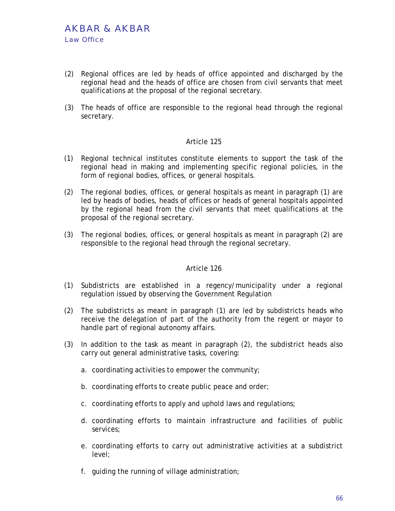- (2) Regional offices are led by heads of office appointed and discharged by the regional head and the heads of office are chosen from civil servants that meet qualifications at the proposal of the regional secretary.
- (3) The heads of office are responsible to the regional head through the regional secretary.

- (1) Regional technical institutes constitute elements to support the task of the regional head in making and implementing specific regional policies, in the form of regional bodies, offices, or general hospitals.
- (2) The regional bodies, offices, or general hospitals as meant in paragraph (1) are led by heads of bodies, heads of offices or heads of general hospitals appointed by the regional head from the civil servants that meet qualifications at the proposal of the regional secretary.
- (3) The regional bodies, offices, or general hospitals as meant in paragraph (2) are responsible to the regional head through the regional secretary.

- (1) Subdistricts are established in a regency/municipality under a regional regulation issued by observing the Government Regulation
- (2) The subdistricts as meant in paragraph (1) are led by subdistricts heads who receive the delegation of part of the authority from the regent or mayor to handle part of regional autonomy affairs.
- (3) In addition to the task as meant in paragraph (2), the subdistrict heads also carry out general administrative tasks, covering:
	- a. coordinating activities to empower the community;
	- b. coordinating efforts to create public peace and order;
	- c. coordinating efforts to apply and uphold laws and regulations;
	- d. coordinating efforts to maintain infrastructure and facilities of public services;
	- e. coordinating efforts to carry out administrative activities at a subdistrict level;
	- f. guiding the running of village administration;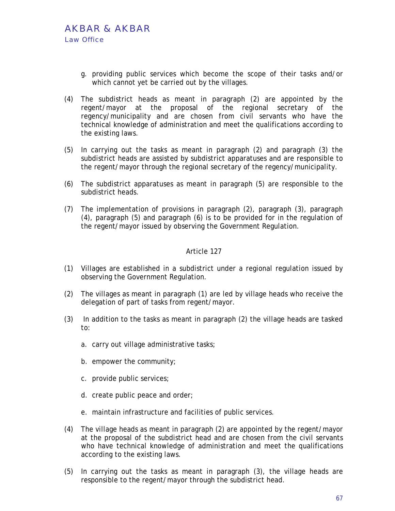- g. providing public services which become the scope of their tasks and/or which cannot yet be carried out by the villages.
- (4) The subdistrict heads as meant in paragraph (2) are appointed by the regent/mayor at the proposal of the regional secretary of the regency/municipality and are chosen from civil servants who have the technical knowledge of administration and meet the qualifications according to the existing laws.
- (5) In carrying out the tasks as meant in paragraph (2) and paragraph (3) the subdistrict heads are assisted by subdistrict apparatuses and are responsible to the regent/mayor through the regional secretary of the regency/municipality.
- (6) The subdistrict apparatuses as meant in paragraph (5) are responsible to the subdistrict heads.
- (7) The implementation of provisions in paragraph (2), paragraph (3), paragraph (4), paragraph (5) and paragraph (6) is to be provided for in the regulation of the regent/mayor issued by observing the Government Regulation.

- (1) Villages are established in a subdistrict under a regional regulation issued by observing the Government Regulation.
- (2) The villages as meant in paragraph (1) are led by village heads who receive the delegation of part of tasks from regent/mayor.
- (3) In addition to the tasks as meant in paragraph (2) the village heads are tasked to:
	- a. carry out village administrative tasks;
	- b. empower the community;
	- c. provide public services;
	- d. create public peace and order;
	- e. maintain infrastructure and facilities of public services.
- (4) The village heads as meant in paragraph (2) are appointed by the regent/mayor at the proposal of the subdistrict head and are chosen from the civil servants who have technical knowledge of administration and meet the qualifications according to the existing laws.
- (5) In carrying out the tasks as meant in paragraph (3), the village heads are responsible to the regent/mayor through the subdistrict head.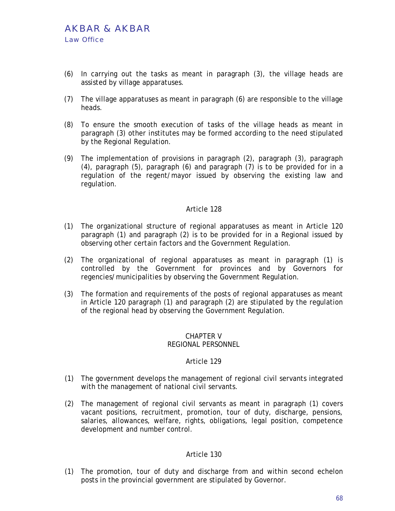- (6) In carrying out the tasks as meant in paragraph (3), the village heads are assisted by village apparatuses.
- (7) The village apparatuses as meant in paragraph (6) are responsible to the village heads.
- (8) To ensure the smooth execution of tasks of the village heads as meant in paragraph (3) other institutes may be formed according to the need stipulated by the Regional Regulation.
- (9) The implementation of provisions in paragraph (2), paragraph (3), paragraph (4), paragraph (5), paragraph (6) and paragraph (7) is to be provided for in a regulation of the regent/mayor issued by observing the existing law and regulation.

- (1) The organizational structure of regional apparatuses as meant in Article 120 paragraph (1) and paragraph (2) is to be provided for in a Regional issued by observing other certain factors and the Government Regulation.
- (2) The organizational of regional apparatuses as meant in paragraph (1) is controlled by the Government for provinces and by Governors for regencies/municipalities by observing the Government Regulation.
- (3) The formation and requirements of the posts of regional apparatuses as meant in Article 120 paragraph (1) and paragraph (2) are stipulated by the regulation of the regional head by observing the Government Regulation.

#### CHAPTER V REGIONAL PERSONNEL

# Article 129

- (1) The government develops the management of regional civil servants integrated with the management of national civil servants.
- (2) The management of regional civil servants as meant in paragraph (1) covers vacant positions, recruitment, promotion, tour of duty, discharge, pensions, salaries, allowances, welfare, rights, obligations, legal position, competence development and number control.

# Article 130

(1) The promotion, tour of duty and discharge from and within second echelon posts in the provincial government are stipulated by Governor.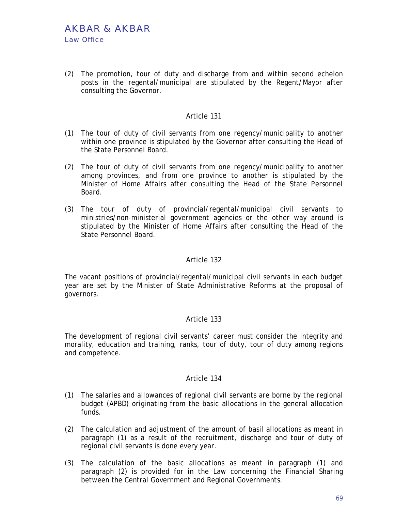(2) The promotion, tour of duty and discharge from and within second echelon posts in the regental/municipal are stipulated by the Regent/Mayor after consulting the Governor.

## Article 131

- (1) The tour of duty of civil servants from one regency/municipality to another within one province is stipulated by the Governor after consulting the Head of the State Personnel Board.
- (2) The tour of duty of civil servants from one regency/municipality to another among provinces, and from one province to another is stipulated by the Minister of Home Affairs after consulting the Head of the State Personnel Board.
- (3) The tour of duty of provincial/regental/municipal civil servants to ministries/non-ministerial government agencies or the other way around is stipulated by the Minister of Home Affairs after consulting the Head of the State Personnel Board.

# Article 132

The vacant positions of provincial/regental/municipal civil servants in each budget year are set by the Minister of State Administrative Reforms at the proposal of governors.

# Article 133

The development of regional civil servants' career must consider the integrity and morality, education and training, ranks, tour of duty, tour of duty among regions and competence.

- (1) The salaries and allowances of regional civil servants are borne by the regional budget (APBD) originating from the basic allocations in the general allocation funds.
- (2) The calculation and adjustment of the amount of basil allocations as meant in paragraph (1) as a result of the recruitment, discharge and tour of duty of regional civil servants is done every year.
- (3) The calculation of the basic allocations as meant in paragraph (1) and paragraph (2) is provided for in the Law concerning the Financial Sharing between the Central Government and Regional Governments.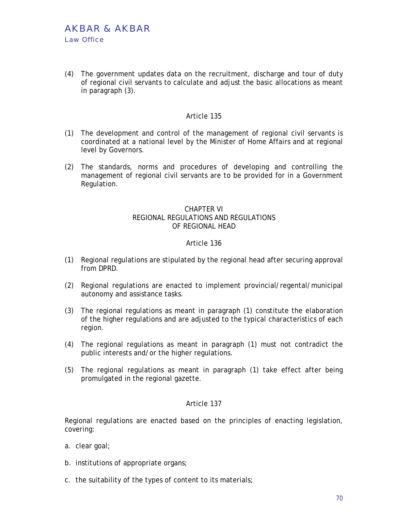(4) The government updates data on the recruitment, discharge and tour of duty of regional civil servants to calculate and adjust the basic allocations as meant in paragraph (3).

## Article 135

- (1) The development and control of the management of regional civil servants is coordinated at a national level by the Minister of Home Affairs and at regional level by Governors.
- (2) The standards, norms and procedures of developing and controlling the management of regional civil servants are to be provided for in a Government Regulation.

# CHAPTER VI REGIONAL REGULATIONS AND REGULATIONS OF REGIONAL HEAD

### Article 136

- (1) Regional regulations are stipulated by the regional head after securing approval from DPRD.
- (2) Regional regulations are enacted to implement provincial/regental/municipal autonomy and assistance tasks.
- (3) The regional regulations as meant in paragraph (1) constitute the elaboration of the higher regulations and are adjusted to the typical characteristics of each region.
- (4) The regional regulations as meant in paragraph (1) must not contradict the public interests and/or the higher regulations.
- (5) The regional regulations as meant in paragraph (1) take effect after being promulgated in the regional gazette.

#### Article 137

Regional regulations are enacted based on the principles of enacting legislation, covering:

- a. clear goal;
- b. institutions of appropriate organs;
- c. the suitability of the types of content to its materials;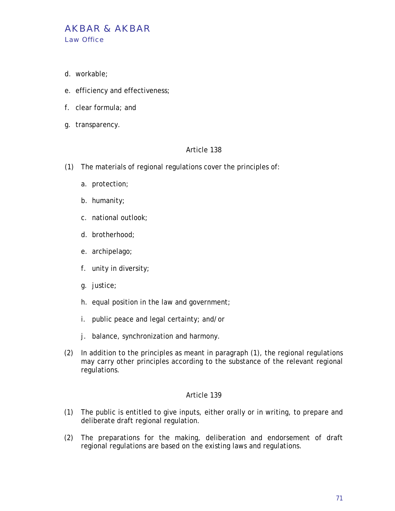- d. workable;
- e. efficiency and effectiveness;
- f. clear formula; and
- g. transparency.

- (1) The materials of regional regulations cover the principles of:
	- a. protection;
	- b. humanity;
	- c. national outlook;
	- d. brotherhood;
	- e. archipelago;
	- f. unity in diversity;
	- g. justice;
	- h. equal position in the law and government;
	- i. public peace and legal certainty; and/or
	- j. balance, synchronization and harmony.
- (2) In addition to the principles as meant in paragraph (1), the regional regulations may carry other principles according to the substance of the relevant regional regulations.

- (1) The public is entitled to give inputs, either orally or in writing, to prepare and deliberate draft regional regulation.
- (2) The preparations for the making, deliberation and endorsement of draft regional regulations are based on the existing laws and regulations.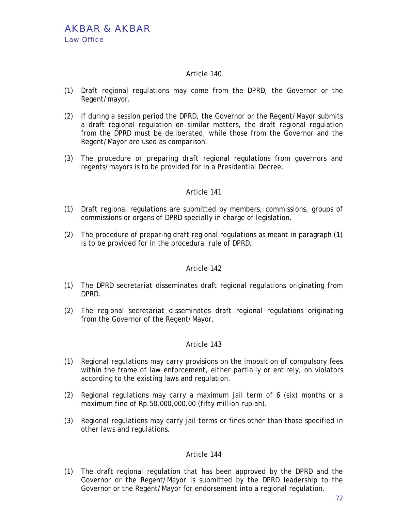- (1) Draft regional regulations may come from the DPRD, the Governor or the Regent/mayor.
- (2) If during a session period the DPRD, the Governor or the Regent/Mayor submits a draft regional regulation on similar matters, the draft regional regulation from the DPRD must be deliberated, while those from the Governor and the Regent/Mayor are used as comparison.
- (3) The procedure or preparing draft regional regulations from governors and regents/mayors is to be provided for in a Presidential Decree.

# Article 141

- (1) Draft regional regulations are submitted by members, commissions, groups of commissions or organs of DPRD specially in charge of legislation.
- (2) The procedure of preparing draft regional regulations as meant in paragraph (1) is to be provided for in the procedural rule of DPRD.

# Article 142

- (1) The DPRD secretariat disseminates draft regional regulations originating from DPRD.
- (2) The regional secretariat disseminates draft regional regulations originating from the Governor of the Regent/Mayor.

# Article 143

- (1) Regional regulations may carry provisions on the imposition of compulsory fees within the frame of law enforcement, either partially or entirely, on violators according to the existing laws and regulation.
- (2) Regional regulations may carry a maximum jail term of 6 (six) months or a maximum fine of Rp.50,000,000.00 (fifty million rupiah).
- (3) Regional regulations may carry jail terms or fines other than those specified in other laws and regulations.

# Article 144

(1) The draft regional regulation that has been approved by the DPRD and the Governor or the Regent/Mayor is submitted by the DPRD leadership to the Governor or the Regent/Mayor for endorsement into a regional regulation.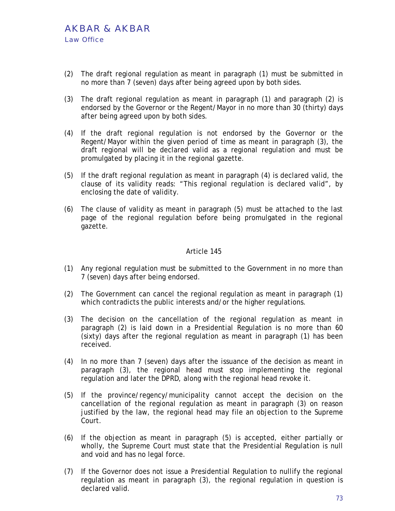- (2) The draft regional regulation as meant in paragraph (1) must be submitted in no more than 7 (seven) days after being agreed upon by both sides.
- (3) The draft regional regulation as meant in paragraph (1) and paragraph (2) is endorsed by the Governor or the Regent/Mayor in no more than 30 (thirty) days after being agreed upon by both sides.
- (4) If the draft regional regulation is not endorsed by the Governor or the Regent/Mayor within the given period of time as meant in paragraph (3), the draft regional will be declared valid as a regional regulation and must be promulgated by placing it in the regional gazette.
- (5) If the draft regional regulation as meant in paragraph (4) is declared valid, the clause of its validity reads: "This regional regulation is declared valid", by enclosing the date of validity.
- (6) The clause of validity as meant in paragraph (5) must be attached to the last page of the regional regulation before being promulgated in the regional gazette.

- (1) Any regional regulation must be submitted to the Government in no more than 7 (seven) days after being endorsed.
- (2) The Government can cancel the regional regulation as meant in paragraph (1) which contradicts the public interests and/or the higher regulations.
- (3) The decision on the cancellation of the regional regulation as meant in paragraph (2) is laid down in a Presidential Regulation is no more than 60 (sixty) days after the regional regulation as meant in paragraph (1) has been received.
- (4) In no more than 7 (seven) days after the issuance of the decision as meant in paragraph (3), the regional head must stop implementing the regional regulation and later the DPRD, along with the regional head revoke it.
- (5) If the province/regency/municipality cannot accept the decision on the cancellation of the regional regulation as meant in paragraph (3) on reason justified by the law, the regional head may file an objection to the Supreme Court.
- (6) If the objection as meant in paragraph (5) is accepted, either partially or wholly, the Supreme Court must state that the Presidential Regulation is null and void and has no legal force.
- (7) If the Governor does not issue a Presidential Regulation to nullify the regional regulation as meant in paragraph (3), the regional regulation in question is declared valid.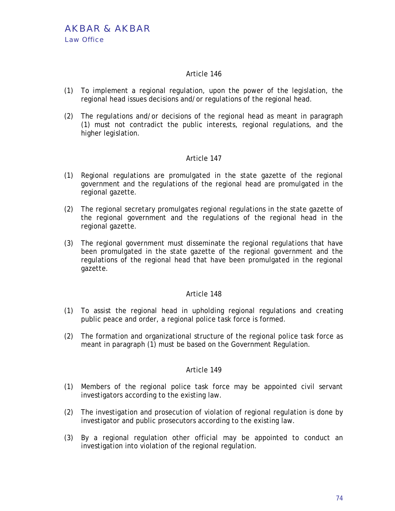- (1) To implement a regional regulation, upon the power of the legislation, the regional head issues decisions and/or regulations of the regional head.
- (2) The regulations and/or decisions of the regional head as meant in paragraph (1) must not contradict the public interests, regional regulations, and the higher legislation.

## Article 147

- (1) Regional regulations are promulgated in the state gazette of the regional government and the regulations of the regional head are promulgated in the regional gazette.
- (2) The regional secretary promulgates regional regulations in the state gazette of the regional government and the regulations of the regional head in the regional gazette.
- (3) The regional government must disseminate the regional regulations that have been promulgated in the state gazette of the regional government and the regulations of the regional head that have been promulgated in the regional gazette.

#### Article 148

- (1) To assist the regional head in upholding regional regulations and creating public peace and order, a regional police task force is formed.
- (2) The formation and organizational structure of the regional police task force as meant in paragraph (1) must be based on the Government Regulation.

- (1) Members of the regional police task force may be appointed civil servant investigators according to the existing law.
- (2) The investigation and prosecution of violation of regional regulation is done by investigator and public prosecutors according to the existing law.
- (3) By a regional regulation other official may be appointed to conduct an investigation into violation of the regional regulation.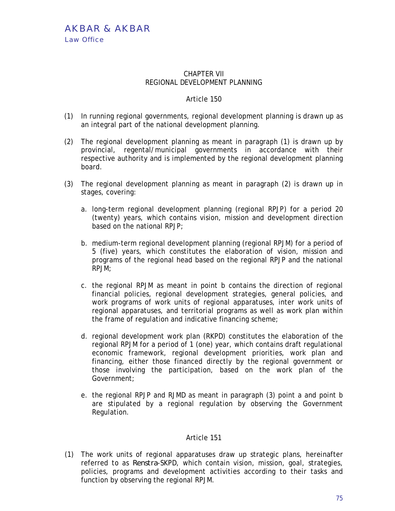AKBAR & AKBAR Law Office

### CHAPTER VII REGIONAL DEVELOPMENT PLANNING

## Article 150

- (1) In running regional governments, regional development planning is drawn up as an integral part of the national development planning.
- (2) The regional development planning as meant in paragraph (1) is drawn up by provincial, regental/municipal governments in accordance with their respective authority and is implemented by the regional development planning board.
- (3) The regional development planning as meant in paragraph (2) is drawn up in stages, covering:
	- a. long-term regional development planning (regional RPJP) for a period 20 (twenty) years, which contains vision, mission and development direction based on the national RPJP;
	- b. medium-term regional development planning (regional RPJM) for a period of 5 (five) years, which constitutes the elaboration of vision, mission and programs of the regional head based on the regional RPJP and the national RPJM;
	- c. the regional RPJM as meant in point b contains the direction of regional financial policies, regional development strategies, general policies, and work programs of work units of regional apparatuses, inter work units of regional apparatuses, and territorial programs as well as work plan within the frame of regulation and indicative financing scheme;
	- d. regional development work plan (RKPD) constitutes the elaboration of the regional RPJM for a period of 1 (one) year, which contains draft regulational economic framework, regional development priorities, work plan and financing, either those financed directly by the regional government or those involving the participation, based on the work plan of the Government;
	- e. the regional RPJP and RJMD as meant in paragraph (3) point a and point b are stipulated by a regional regulation by observing the Government Regulation.

## Article 151

(1) The work units of regional apparatuses draw up strategic plans, hereinafter referred to as *Renstra*-SKPD, which contain vision, mission, goal, strategies, policies, programs and development activities according to their tasks and function by observing the regional RPJM.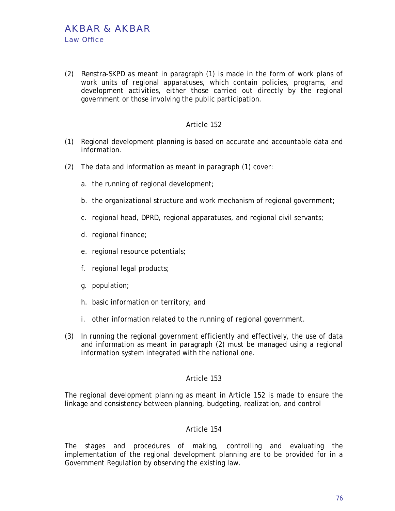(2) *Renstra*-SKPD as meant in paragraph (1) is made in the form of work plans of work units of regional apparatuses, which contain policies, programs, and development activities, either those carried out directly by the regional government or those involving the public participation.

## Article 152

- (1) Regional development planning is based on accurate and accountable data and information.
- (2) The data and information as meant in paragraph (1) cover:
	- a. the running of regional development;
	- b. the organizational structure and work mechanism of regional government;
	- c. regional head, DPRD, regional apparatuses, and regional civil servants;
	- d. regional finance;
	- e. regional resource potentials;
	- f. regional legal products;
	- g. population;
	- h. basic information on territory; and
	- i. other information related to the running of regional government.
- (3) In running the regional government efficiently and effectively, the use of data and information as meant in paragraph (2) must be managed using a regional information system integrated with the national one.

#### Article 153

The regional development planning as meant in Article 152 is made to ensure the linkage and consistency between planning, budgeting, realization, and control

#### Article 154

The stages and procedures of making, controlling and evaluating the implementation of the regional development planning are to be provided for in a Government Regulation by observing the existing law.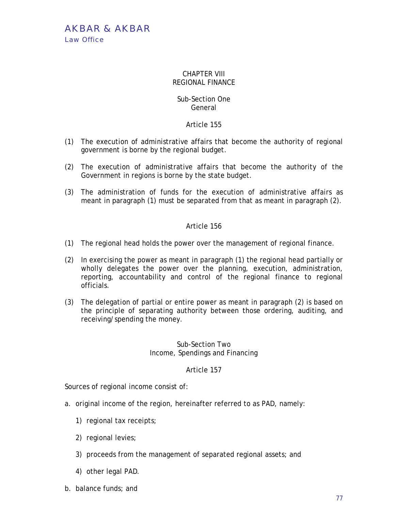AKBAR & AKBAR Law Office

### CHAPTER VIII REGIONAL FINANCE

## Sub-Section One General

# Article 155

- (1) The execution of administrative affairs that become the authority of regional government is borne by the regional budget.
- (2) The execution of administrative affairs that become the authority of the Government in regions is borne by the state budget.
- (3) The administration of funds for the execution of administrative affairs as meant in paragraph (1) must be separated from that as meant in paragraph (2).

## Article 156

- (1) The regional head holds the power over the management of regional finance.
- (2) In exercising the power as meant in paragraph (1) the regional head partially or wholly delegates the power over the planning, execution, administration, reporting, accountability and control of the regional finance to regional officials.
- (3) The delegation of partial or entire power as meant in paragraph (2) is based on the principle of separating authority between those ordering, auditing, and receiving/spending the money.

# Sub-Section Two Income, Spendings and Financing

## Article 157

Sources of regional income consist of:

- a. original income of the region, hereinafter referred to as PAD, namely:
	- 1) regional tax receipts;
	- 2) regional levies;
	- 3) proceeds from the management of separated regional assets; and
	- 4) other legal PAD.
- b. balance funds; and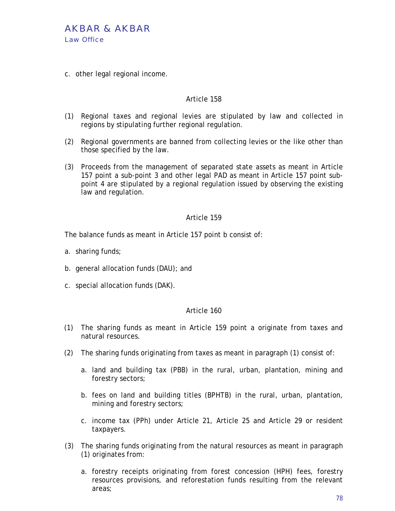

c. other legal regional income.

## Article 158

- (1) Regional taxes and regional levies are stipulated by law and collected in regions by stipulating further regional regulation.
- (2) Regional governments are banned from collecting levies or the like other than those specified by the law.
- (3) Proceeds from the management of separated state assets as meant in Article 157 point a sub-point 3 and other legal PAD as meant in Article 157 point subpoint 4 are stipulated by a regional regulation issued by observing the existing law and regulation.

### Article 159

The balance funds as meant in Article 157 point b consist of:

- a. sharing funds;
- b. general allocation funds (DAU); and
- c. special allocation funds (DAK).

- (1) The sharing funds as meant in Article 159 point a originate from taxes and natural resources.
- (2) The sharing funds originating from taxes as meant in paragraph (1) consist of:
	- a. land and building tax (PBB) in the rural, urban, plantation, mining and forestry sectors;
	- b. fees on land and building titles (BPHTB) in the rural, urban, plantation, mining and forestry sectors;
	- c. income tax (PPh) under Article 21, Article 25 and Article 29 or resident taxpayers.
- (3) The sharing funds originating from the natural resources as meant in paragraph (1) originates from:
	- a. forestry receipts originating from forest concession (HPH) fees, forestry resources provisions, and reforestation funds resulting from the relevant areas;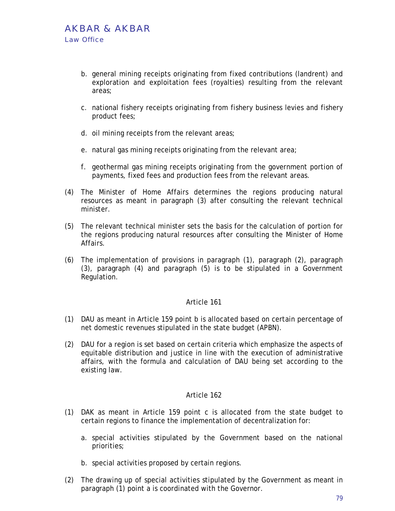- b. general mining receipts originating from fixed contributions (landrent) and exploration and exploitation fees (royalties) resulting from the relevant areas;
- c. national fishery receipts originating from fishery business levies and fishery product fees;
- d. oil mining receipts from the relevant areas;
- e. natural gas mining receipts originating from the relevant area;
- f. geothermal gas mining receipts originating from the government portion of payments, fixed fees and production fees from the relevant areas.
- (4) The Minister of Home Affairs determines the regions producing natural resources as meant in paragraph (3) after consulting the relevant technical minister.
- (5) The relevant technical minister sets the basis for the calculation of portion for the regions producing natural resources after consulting the Minister of Home Affairs.
- (6) The implementation of provisions in paragraph (1), paragraph (2), paragraph (3), paragraph (4) and paragraph (5) is to be stipulated in a Government Regulation.

- (1) DAU as meant in Article 159 point b is allocated based on certain percentage of net domestic revenues stipulated in the state budget (APBN).
- (2) DAU for a region is set based on certain criteria which emphasize the aspects of equitable distribution and justice in line with the execution of administrative affairs, with the formula and calculation of DAU being set according to the existing law.

- (1) DAK as meant in Article 159 point c is allocated from the state budget to certain regions to finance the implementation of decentralization for:
	- a. special activities stipulated by the Government based on the national priorities;
	- b. special activities proposed by certain regions.
- (2) The drawing up of special activities stipulated by the Government as meant in paragraph (1) point a is coordinated with the Governor.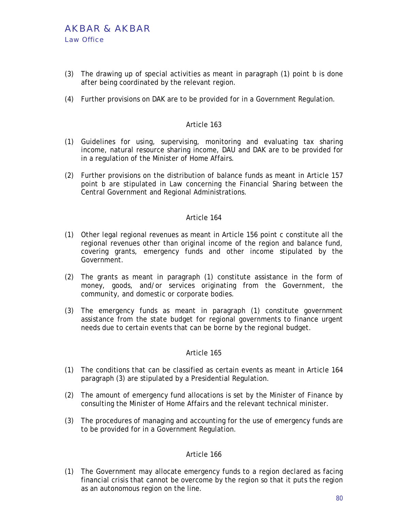- (3) The drawing up of special activities as meant in paragraph (1) point b is done after being coordinated by the relevant region.
- (4) Further provisions on DAK are to be provided for in a Government Regulation.

- (1) Guidelines for using, supervising, monitoring and evaluating tax sharing income, natural resource sharing income, DAU and DAK are to be provided for in a regulation of the Minister of Home Affairs.
- (2) Further provisions on the distribution of balance funds as meant in Article 157 point b are stipulated in Law concerning the Financial Sharing between the Central Government and Regional Administrations.

### Article 164

- (1) Other legal regional revenues as meant in Article 156 point c constitute all the regional revenues other than original income of the region and balance fund, covering grants, emergency funds and other income stipulated by the Government.
- (2) The grants as meant in paragraph (1) constitute assistance in the form of money, goods, and/or services originating from the Government, the community, and domestic or corporate bodies.
- (3) The emergency funds as meant in paragraph (1) constitute government assistance from the state budget for regional governments to finance urgent needs due to certain events that can be borne by the regional budget.

#### Article 165

- (1) The conditions that can be classified as certain events as meant in Article 164 paragraph (3) are stipulated by a Presidential Regulation.
- (2) The amount of emergency fund allocations is set by the Minister of Finance by consulting the Minister of Home Affairs and the relevant technical minister.
- (3) The procedures of managing and accounting for the use of emergency funds are to be provided for in a Government Regulation.

#### Article 166

(1) The Government may allocate emergency funds to a region declared as facing financial crisis that cannot be overcome by the region so that it puts the region as an autonomous region on the line.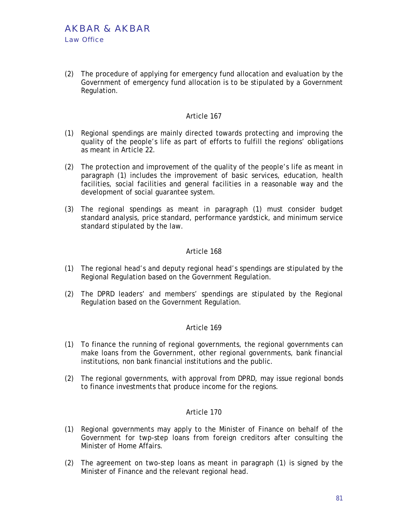(2) The procedure of applying for emergency fund allocation and evaluation by the Government of emergency fund allocation is to be stipulated by a Government Regulation.

### Article 167

- (1) Regional spendings are mainly directed towards protecting and improving the quality of the people's life as part of efforts to fulfill the regions' obligations as meant in Article 22.
- (2) The protection and improvement of the quality of the people's life as meant in paragraph (1) includes the improvement of basic services, education, health facilities, social facilities and general facilities in a reasonable way and the development of social guarantee system.
- (3) The regional spendings as meant in paragraph (1) must consider budget standard analysis, price standard, performance yardstick, and minimum service standard stipulated by the law.

### Article 168

- (1) The regional head's and deputy regional head's spendings are stipulated by the Regional Regulation based on the Government Regulation.
- (2) The DPRD leaders' and members' spendings are stipulated by the Regional Regulation based on the Government Regulation.

#### Article 169

- (1) To finance the running of regional governments, the regional governments can make loans from the Government, other regional governments, bank financial institutions, non bank financial institutions and the public.
- (2) The regional governments, with approval from DPRD, may issue regional bonds to finance investments that produce income for the regions.

- (1) Regional governments may apply to the Minister of Finance on behalf of the Government for twp-step loans from foreign creditors after consulting the Minister of Home Affairs.
- (2) The agreement on two-step loans as meant in paragraph (1) is signed by the Minister of Finance and the relevant regional head.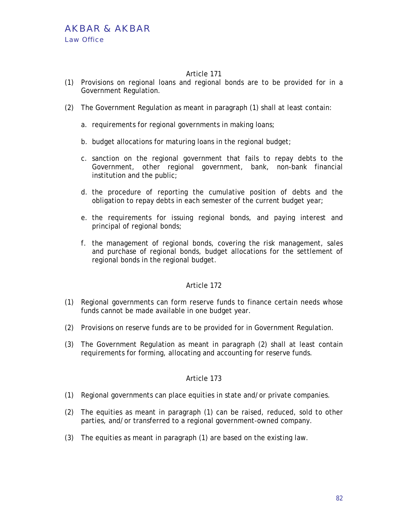- (1) Provisions on regional loans and regional bonds are to be provided for in a Government Regulation.
- (2) The Government Regulation as meant in paragraph (1) shall at least contain:
	- a. requirements for regional governments in making loans;
	- b. budget allocations for maturing loans in the regional budget;
	- c. sanction on the regional government that fails to repay debts to the Government, other regional government, bank, non-bank financial institution and the public;
	- d. the procedure of reporting the cumulative position of debts and the obligation to repay debts in each semester of the current budget year;
	- e. the requirements for issuing regional bonds, and paying interest and principal of regional bonds;
	- f. the management of regional bonds, covering the risk management, sales and purchase of regional bonds, budget allocations for the settlement of regional bonds in the regional budget.

## Article 172

- (1) Regional governments can form reserve funds to finance certain needs whose funds cannot be made available in one budget year.
- (2) Provisions on reserve funds are to be provided for in Government Regulation.
- (3) The Government Regulation as meant in paragraph (2) shall at least contain requirements for forming, allocating and accounting for reserve funds.

- (1) Regional governments can place equities in state and/or private companies.
- (2) The equities as meant in paragraph (1) can be raised, reduced, sold to other parties, and/or transferred to a regional government-owned company.
- (3) The equities as meant in paragraph (1) are based on the existing law.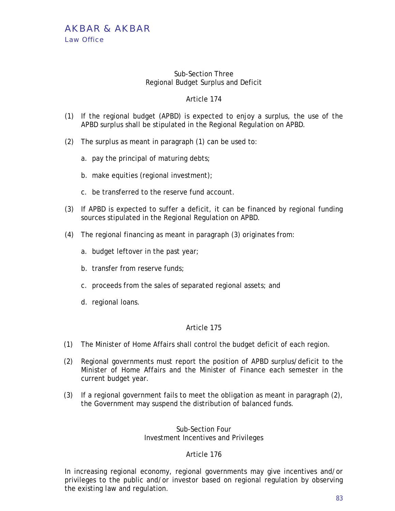### Sub-Section Three Regional Budget Surplus and Deficit

# Article 174

- (1) If the regional budget (APBD) is expected to enjoy a surplus, the use of the APBD surplus shall be stipulated in the Regional Regulation on APBD.
- (2) The surplus as meant in paragraph (1) can be used to:
	- a. pay the principal of maturing debts;
	- b. make equities (regional investment);
	- c. be transferred to the reserve fund account.
- (3) If APBD is expected to suffer a deficit, it can be financed by regional funding sources stipulated in the Regional Regulation on APBD.
- (4) The regional financing as meant in paragraph (3) originates from:
	- a. budget leftover in the past year;
	- b. transfer from reserve funds;
	- c. proceeds from the sales of separated regional assets; and
	- d. regional loans.

## Article 175

- (1) The Minister of Home Affairs shall control the budget deficit of each region.
- (2) Regional governments must report the position of APBD surplus/deficit to the Minister of Home Affairs and the Minister of Finance each semester in the current budget year.
- (3) If a regional government fails to meet the obligation as meant in paragraph (2), the Government may suspend the distribution of balanced funds.

## Sub-Section Four Investment Incentives and Privileges

## Article 176

In increasing regional economy, regional governments may give incentives and/or privileges to the public and/or investor based on regional regulation by observing the existing law and regulation.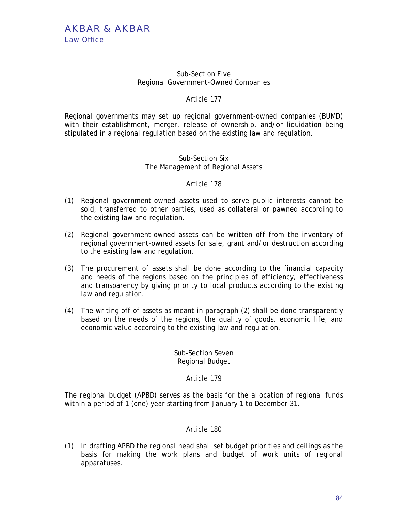### Sub-Section Five Regional Government-Owned Companies

# Article 177

Regional governments may set up regional government-owned companies (BUMD) with their establishment, merger, release of ownership, and/or liquidation being stipulated in a regional regulation based on the existing law and regulation.

## Sub-Section Six The Management of Regional Assets

## Article 178

- (1) Regional government-owned assets used to serve public interests cannot be sold, transferred to other parties, used as collateral or pawned according to the existing law and regulation.
- (2) Regional government-owned assets can be written off from the inventory of regional government-owned assets for sale, grant and/or destruction according to the existing law and regulation.
- (3) The procurement of assets shall be done according to the financial capacity and needs of the regions based on the principles of efficiency, effectiveness and transparency by giving priority to local products according to the existing law and regulation.
- (4) The writing off of assets as meant in paragraph (2) shall be done transparently based on the needs of the regions, the quality of goods, economic life, and economic value according to the existing law and regulation.

## Sub-Section Seven Regional Budget

# Article 179

The regional budget (APBD) serves as the basis for the allocation of regional funds within a period of 1 (one) year starting from January 1 to December 31.

## Article 180

(1) In drafting APBD the regional head shall set budget priorities and ceilings as the basis for making the work plans and budget of work units of regional apparatuses.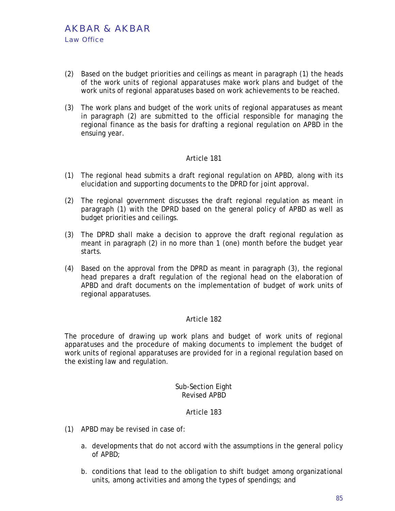- (2) Based on the budget priorities and ceilings as meant in paragraph (1) the heads of the work units of regional apparatuses make work plans and budget of the work units of regional apparatuses based on work achievements to be reached.
- (3) The work plans and budget of the work units of regional apparatuses as meant in paragraph (2) are submitted to the official responsible for managing the regional finance as the basis for drafting a regional regulation on APBD in the ensuing year.

- (1) The regional head submits a draft regional regulation on APBD, along with its elucidation and supporting documents to the DPRD for joint approval.
- (2) The regional government discusses the draft regional regulation as meant in paragraph (1) with the DPRD based on the general policy of APBD as well as budget priorities and ceilings.
- (3) The DPRD shall make a decision to approve the draft regional regulation as meant in paragraph (2) in no more than 1 (one) month before the budget year starts.
- (4) Based on the approval from the DPRD as meant in paragraph (3), the regional head prepares a draft regulation of the regional head on the elaboration of APBD and draft documents on the implementation of budget of work units of regional apparatuses.

## Article 182

The procedure of drawing up work plans and budget of work units of regional apparatuses and the procedure of making documents to implement the budget of work units of regional apparatuses are provided for in a regional regulation based on the existing law and regulation.

## Sub-Section Eight Revised APBD

- (1) APBD may be revised in case of:
	- a. developments that do not accord with the assumptions in the general policy of APBD;
	- b. conditions that lead to the obligation to shift budget among organizational units, among activities and among the types of spendings; and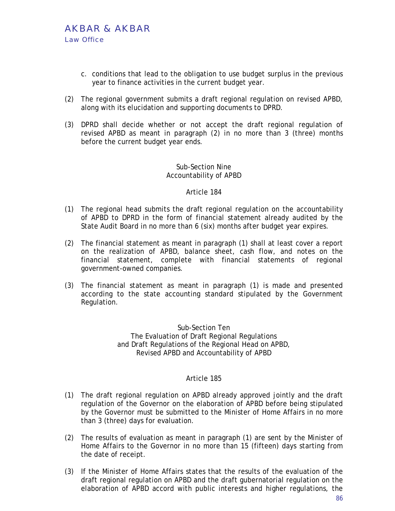- c. conditions that lead to the obligation to use budget surplus in the previous year to finance activities in the current budget year.
- (2) The regional government submits a draft regional regulation on revised APBD, along with its elucidation and supporting documents to DPRD.
- (3) DPRD shall decide whether or not accept the draft regional regulation of revised APBD as meant in paragraph (2) in no more than 3 (three) months before the current budget year ends.

## Sub-Section Nine Accountability of APBD

## Article 184

- (1) The regional head submits the draft regional regulation on the accountability of APBD to DPRD in the form of financial statement already audited by the State Audit Board in no more than 6 (six) months after budget year expires.
- (2) The financial statement as meant in paragraph (1) shall at least cover a report on the realization of APBD, balance sheet, cash flow, and notes on the financial statement, complete with financial statements of regional government-owned companies.
- (3) The financial statement as meant in paragraph (1) is made and presented according to the state accounting standard stipulated by the Government Regulation.

Sub-Section Ten The Evaluation of Draft Regional Regulations and Draft Regulations of the Regional Head on APBD, Revised APBD and Accountability of APBD

- (1) The draft regional regulation on APBD already approved jointly and the draft regulation of the Governor on the elaboration of APBD before being stipulated by the Governor must be submitted to the Minister of Home Affairs in no more than 3 (three) days for evaluation.
- (2) The results of evaluation as meant in paragraph (1) are sent by the Minister of Home Affairs to the Governor in no more than 15 (fifteen) days starting from the date of receipt.
- (3) If the Minister of Home Affairs states that the results of the evaluation of the draft regional regulation on APBD and the draft gubernatorial regulation on the elaboration of APBD accord with public interests and higher regulations, the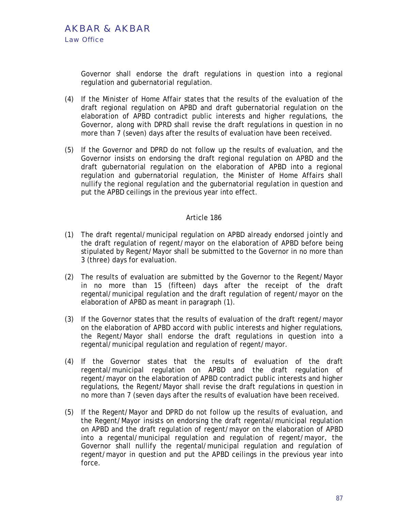Governor shall endorse the draft regulations in question into a regional regulation and gubernatorial regulation.

- (4) If the Minister of Home Affair states that the results of the evaluation of the draft regional regulation on APBD and draft gubernatorial regulation on the elaboration of APBD contradict public interests and higher regulations, the Governor, along with DPRD shall revise the draft regulations in question in no more than 7 (seven) days after the results of evaluation have been received.
- (5) If the Governor and DPRD do not follow up the results of evaluation, and the Governor insists on endorsing the draft regional regulation on APBD and the draft gubernatorial regulation on the elaboration of APBD into a regional regulation and gubernatorial regulation, the Minister of Home Affairs shall nullify the regional regulation and the gubernatorial regulation in question and put the APBD ceilings in the previous year into effect.

- (1) The draft regental/municipal regulation on APBD already endorsed jointly and the draft regulation of regent/mayor on the elaboration of APBD before being stipulated by Regent/Mayor shall be submitted to the Governor in no more than 3 (three) days for evaluation.
- (2) The results of evaluation are submitted by the Governor to the Regent/Mayor in no more than 15 (fifteen) days after the receipt of the draft regental/municipal regulation and the draft regulation of regent/mayor on the elaboration of APBD as meant in paragraph (1).
- (3) If the Governor states that the results of evaluation of the draft regent/mayor on the elaboration of APBD accord with public interests and higher regulations, the Regent/Mayor shall endorse the draft regulations in question into a regental/municipal regulation and regulation of regent/mayor.
- (4) If the Governor states that the results of evaluation of the draft regental/municipal regulation on APBD and the draft regulation of regent/mayor on the elaboration of APBD contradict public interests and higher regulations, the Regent/Mayor shall revise the draft regulations in question in no more than 7 (seven days after the results of evaluation have been received.
- (5) If the Regent/Mayor and DPRD do not follow up the results of evaluation, and the Regent/Mayor insists on endorsing the draft regental/municipal regulation on APBD and the draft regulation of regent/mayor on the elaboration of APBD into a regental/municipal regulation and regulation of regent/mayor, the Governor shall nullify the regental/municipal regulation and regulation of regent/mayor in question and put the APBD ceilings in the previous year into force.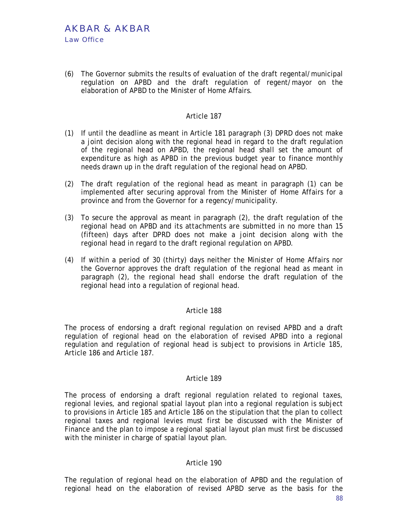(6) The Governor submits the results of evaluation of the draft regental/municipal regulation on APBD and the draft regulation of regent/mayor on the elaboration of APBD to the Minister of Home Affairs.

### Article 187

- (1) If until the deadline as meant in Article 181 paragraph (3) DPRD does not make a joint decision along with the regional head in regard to the draft regulation of the regional head on APBD, the regional head shall set the amount of expenditure as high as APBD in the previous budget year to finance monthly needs drawn up in the draft regulation of the regional head on APBD.
- (2) The draft regulation of the regional head as meant in paragraph (1) can be implemented after securing approval from the Minister of Home Affairs for a province and from the Governor for a regency/municipality.
- (3) To secure the approval as meant in paragraph (2), the draft regulation of the regional head on APBD and its attachments are submitted in no more than 15 (fifteen) days after DPRD does not make a joint decision along with the regional head in regard to the draft regional regulation on APBD.
- (4) If within a period of 30 (thirty) days neither the Minister of Home Affairs nor the Governor approves the draft regulation of the regional head as meant in paragraph (2), the regional head shall endorse the draft regulation of the regional head into a regulation of regional head.

## Article 188

The process of endorsing a draft regional regulation on revised APBD and a draft regulation of regional head on the elaboration of revised APBD into a regional regulation and regulation of regional head is subject to provisions in Article 185, Article 186 and Article 187.

#### Article 189

The process of endorsing a draft regional regulation related to regional taxes, regional levies, and regional spatial layout plan into a regional regulation is subject to provisions in Article 185 and Article 186 on the stipulation that the plan to collect regional taxes and regional levies must first be discussed with the Minister of Finance and the plan to impose a regional spatial layout plan must first be discussed with the minister in charge of spatial layout plan.

#### Article 190

The regulation of regional head on the elaboration of APBD and the regulation of regional head on the elaboration of revised APBD serve as the basis for the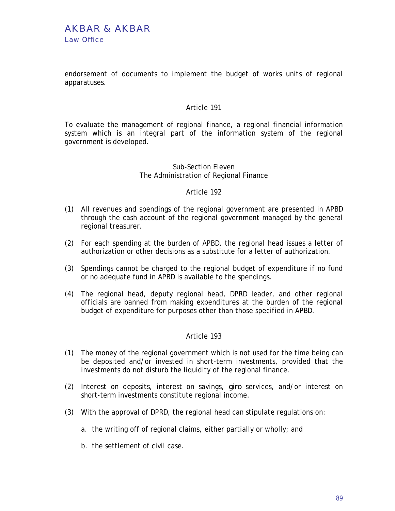endorsement of documents to implement the budget of works units of regional apparatuses.

### Article 191

To evaluate the management of regional finance, a regional financial information system which is an integral part of the information system of the regional government is developed.

### Sub-Section Eleven The Administration of Regional Finance

#### Article 192

- (1) All revenues and spendings of the regional government are presented in APBD through the cash account of the regional government managed by the general regional treasurer.
- (2) For each spending at the burden of APBD, the regional head issues a letter of authorization or other decisions as a substitute for a letter of authorization.
- (3) Spendings cannot be charged to the regional budget of expenditure if no fund or no adequate fund in APBD is available to the spendings.
- (4) The regional head, deputy regional head, DPRD leader, and other regional officials are banned from making expenditures at the burden of the regional budget of expenditure for purposes other than those specified in APBD.

- (1) The money of the regional government which is not used for the time being can be deposited and/or invested in short-term investments, provided that the investments do not disturb the liquidity of the regional finance.
- (2) Interest on deposits, interest on savings, *giro* services, and/or interest on short-term investments constitute regional income.
- (3) With the approval of DPRD, the regional head can stipulate regulations on:
	- a. the writing off of regional claims, either partially or wholly; and
	- b. the settlement of civil case.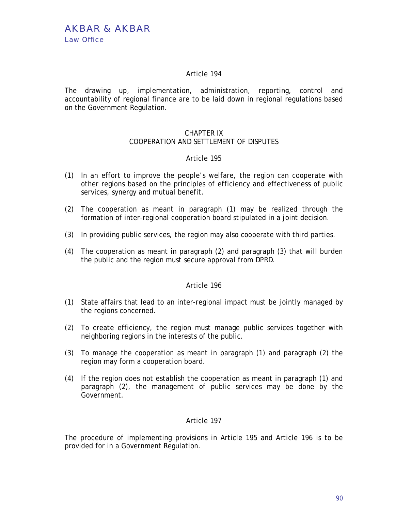The drawing up, implementation, administration, reporting, control and accountability of regional finance are to be laid down in regional regulations based on the Government Regulation.

# CHAPTER IX

## COOPERATION AND SETTLEMENT OF DISPUTES

### Article 195

- (1) In an effort to improve the people's welfare, the region can cooperate with other regions based on the principles of efficiency and effectiveness of public services, synergy and mutual benefit.
- (2) The cooperation as meant in paragraph (1) may be realized through the formation of inter-regional cooperation board stipulated in a joint decision.
- (3) In providing public services, the region may also cooperate with third parties.
- (4) The cooperation as meant in paragraph (2) and paragraph (3) that will burden the public and the region must secure approval from DPRD.

## Article 196

- (1) State affairs that lead to an inter-regional impact must be jointly managed by the regions concerned.
- (2) To create efficiency, the region must manage public services together with neighboring regions in the interests of the public.
- (3) To manage the cooperation as meant in paragraph (1) and paragraph (2) the region may form a cooperation board.
- (4) If the region does not establish the cooperation as meant in paragraph (1) and paragraph (2), the management of public services may be done by the Government.

## Article 197

The procedure of implementing provisions in Article 195 and Article 196 is to be provided for in a Government Regulation.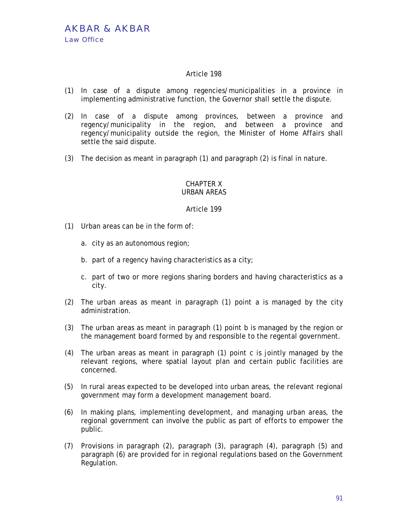- (1) In case of a dispute among regencies/municipalities in a province in implementing administrative function, the Governor shall settle the dispute.
- (2) In case of a dispute among provinces, between a province and regency/municipality in the region, and between a province and regency/municipality outside the region, the Minister of Home Affairs shall settle the said dispute.
- (3) The decision as meant in paragraph (1) and paragraph (2) is final in nature.

#### CHAPTER X URBAN AREAS

- (1) Urban areas can be in the form of:
	- a. city as an autonomous region;
	- b. part of a regency having characteristics as a city;
	- c. part of two or more regions sharing borders and having characteristics as a city.
- (2) The urban areas as meant in paragraph (1) point a is managed by the city administration.
- (3) The urban areas as meant in paragraph (1) point b is managed by the region or the management board formed by and responsible to the regental government.
- (4) The urban areas as meant in paragraph (1) point c is jointly managed by the relevant regions, where spatial layout plan and certain public facilities are concerned.
- (5) In rural areas expected to be developed into urban areas, the relevant regional government may form a development management board.
- (6) In making plans, implementing development, and managing urban areas, the regional government can involve the public as part of efforts to empower the public.
- (7) Provisions in paragraph (2), paragraph (3), paragraph (4), paragraph (5) and paragraph (6) are provided for in regional regulations based on the Government Regulation.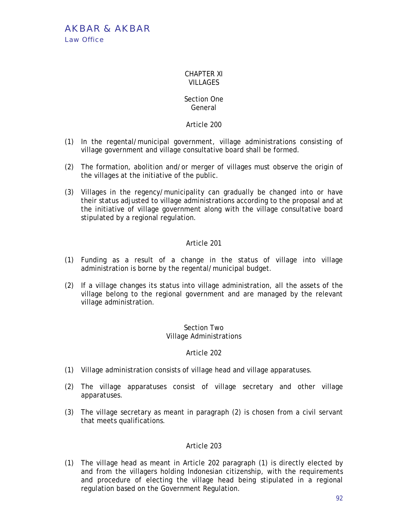AKBAR & AKBAR Law Office

#### CHAPTER XI VILLAGES.

## Section One General

## Article 200

- (1) In the regental/municipal government, village administrations consisting of village government and village consultative board shall be formed.
- (2) The formation, abolition and/or merger of villages must observe the origin of the villages at the initiative of the public.
- (3) Villages in the regency/municipality can gradually be changed into or have their status adjusted to village administrations according to the proposal and at the initiative of village government along with the village consultative board stipulated by a regional regulation.

# Article 201

- (1) Funding as a result of a change in the status of village into village administration is borne by the regental/municipal budget.
- (2) If a village changes its status into village administration, all the assets of the village belong to the regional government and are managed by the relevant village administration.

### Section Two Village Administrations

## Article 202

- (1) Village administration consists of village head and village apparatuses.
- (2) The village apparatuses consist of village secretary and other village apparatuses.
- (3) The village secretary as meant in paragraph (2) is chosen from a civil servant that meets qualifications.

## Article 203

(1) The village head as meant in Article 202 paragraph (1) is directly elected by and from the villagers holding Indonesian citizenship, with the requirements and procedure of electing the village head being stipulated in a regional regulation based on the Government Regulation.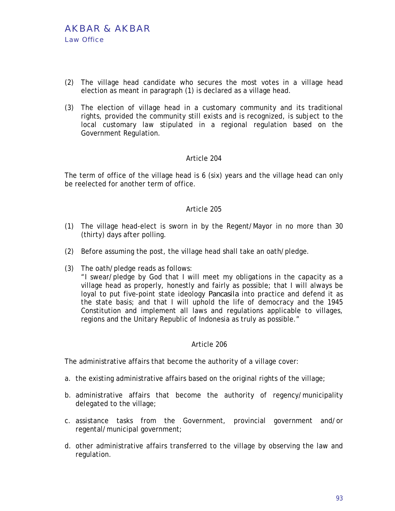- (2) The village head candidate who secures the most votes in a village head election as meant in paragraph (1) is declared as a village head.
- (3) The election of village head in a customary community and its traditional rights, provided the community still exists and is recognized, is subject to the local customary law stipulated in a regional regulation based on the Government Regulation.

The term of office of the village head is 6 (six) years and the village head can only be reelected for another term of office.

## Article 205

- (1) The village head-elect is sworn in by the Regent/Mayor in no more than 30 (thirty) days after polling.
- (2) Before assuming the post, the village head shall take an oath/pledge.
- (3) The oath/pledge reads as follows:

"I swear/pledge by God that I will meet my obligations in the capacity as a village head as properly, honestly and fairly as possible; that I will always be loyal to put five-point state ideology *Pancasila* into practice and defend it as the state basis; and that I will uphold the life of democracy and the 1945 Constitution and implement all laws and regulations applicable to villages, regions and the Unitary Republic of Indonesia as truly as possible."

#### Article 206

The administrative affairs that become the authority of a village cover:

- a. the existing administrative affairs based on the original rights of the village;
- b. administrative affairs that become the authority of regency/municipality delegated to the village;
- c. assistance tasks from the Government, provincial government and/or regental/municipal government;
- d. other administrative affairs transferred to the village by observing the law and regulation.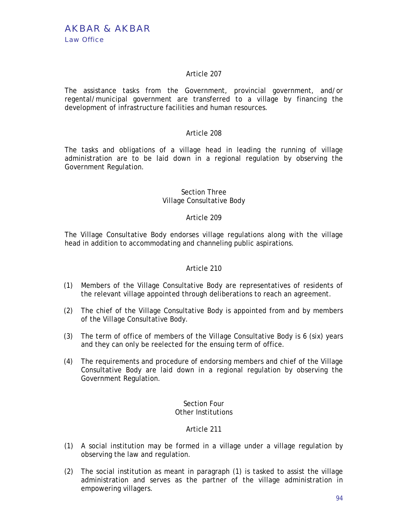The assistance tasks from the Government, provincial government, and/or regental/municipal government are transferred to a village by financing the development of infrastructure facilities and human resources.

# Article 208

The tasks and obligations of a village head in leading the running of village administration are to be laid down in a regional regulation by observing the Government Regulation.

## Section Three Village Consultative Body

# Article 209

The Village Consultative Body endorses village regulations along with the village head in addition to accommodating and channeling public aspirations.

## Article 210

- (1) Members of the Village Consultative Body are representatives of residents of the relevant village appointed through deliberations to reach an agreement.
- (2) The chief of the Village Consultative Body is appointed from and by members of the Village Consultative Body.
- (3) The term of office of members of the Village Consultative Body is 6 (six) years and they can only be reelected for the ensuing term of office.
- (4) The requirements and procedure of endorsing members and chief of the Village Consultative Body are laid down in a regional regulation by observing the Government Regulation.

#### Section Four Other Institutions

- (1) A social institution may be formed in a village under a village regulation by observing the law and regulation.
- (2) The social institution as meant in paragraph (1) is tasked to assist the village administration and serves as the partner of the village administration in empowering villagers.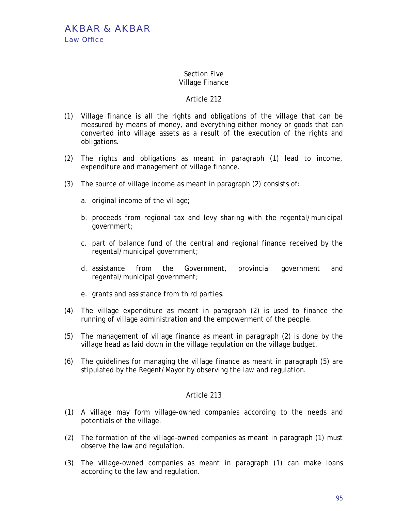### Section Five Village Finance

# Article 212

- (1) Village finance is all the rights and obligations of the village that can be measured by means of money, and everything either money or goods that can converted into village assets as a result of the execution of the rights and obligations.
- (2) The rights and obligations as meant in paragraph (1) lead to income, expenditure and management of village finance.
- (3) The source of village income as meant in paragraph (2) consists of:
	- a. original income of the village;
	- b. proceeds from regional tax and levy sharing with the regental/municipal government;
	- c. part of balance fund of the central and regional finance received by the regental/municipal government;
	- d. assistance from the Government, provincial government and regental/municipal government;
	- e. grants and assistance from third parties.
- (4) The village expenditure as meant in paragraph (2) is used to finance the running of village administration and the empowerment of the people.
- (5) The management of village finance as meant in paragraph (2) is done by the village head as laid down in the village regulation on the village budget.
- (6) The guidelines for managing the village finance as meant in paragraph (5) are stipulated by the Regent/Mayor by observing the law and regulation.

- (1) A village may form village-owned companies according to the needs and potentials of the village.
- (2) The formation of the village–owned companies as meant in paragraph (1) must observe the law and regulation.
- (3) The village-owned companies as meant in paragraph (1) can make loans according to the law and regulation.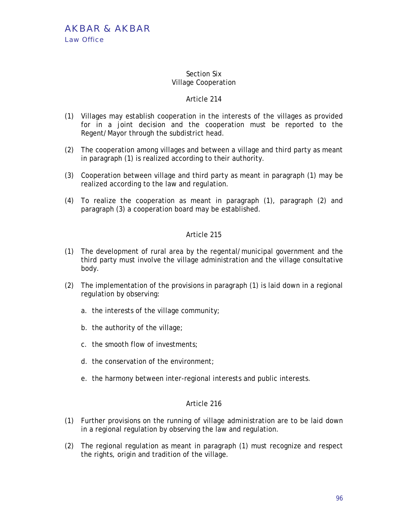## Section Six Village Cooperation

# Article 214

- (1) Villages may establish cooperation in the interests of the villages as provided for in a joint decision and the cooperation must be reported to the Regent/Mayor through the subdistrict head.
- (2) The cooperation among villages and between a village and third party as meant in paragraph (1) is realized according to their authority.
- (3) Cooperation between village and third party as meant in paragraph (1) may be realized according to the law and regulation.
- (4) To realize the cooperation as meant in paragraph (1), paragraph (2) and paragraph (3) a cooperation board may be established.

# Article 215

- (1) The development of rural area by the regental/municipal government and the third party must involve the village administration and the village consultative body.
- (2) The implementation of the provisions in paragraph (1) is laid down in a regional regulation by observing:
	- a. the interests of the village community;
	- b. the authority of the village;
	- c. the smooth flow of investments;
	- d. the conservation of the environment;
	- e. the harmony between inter-regional interests and public interests.

- (1) Further provisions on the running of village administration are to be laid down in a regional regulation by observing the law and regulation.
- (2) The regional regulation as meant in paragraph (1) must recognize and respect the rights, origin and tradition of the village.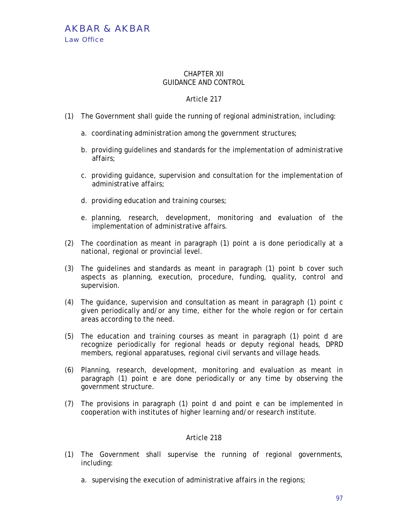AKBAR & AKBAR Law Office

### CHAPTER XII GUIDANCE AND CONTROL

# Article 217

- (1) The Government shall guide the running of regional administration, including:
	- a. coordinating administration among the government structures;
	- b. providing guidelines and standards for the implementation of administrative affairs;
	- c. providing guidance, supervision and consultation for the implementation of administrative affairs;
	- d. providing education and training courses;
	- e. planning, research, development, monitoring and evaluation of the implementation of administrative affairs.
- (2) The coordination as meant in paragraph (1) point a is done periodically at a national, regional or provincial level.
- (3) The guidelines and standards as meant in paragraph (1) point b cover such aspects as planning, execution, procedure, funding, quality, control and supervision.
- (4) The guidance, supervision and consultation as meant in paragraph (1) point c given periodically and/or any time, either for the whole region or for certain areas according to the need.
- (5) The education and training courses as meant in paragraph (1) point d are recognize periodically for regional heads or deputy regional heads, DPRD members, regional apparatuses, regional civil servants and village heads.
- (6) Planning, research, development, monitoring and evaluation as meant in paragraph (1) point e are done periodically or any time by observing the government structure.
- (7) The provisions in paragraph (1) point d and point e can be implemented in cooperation with institutes of higher learning and/or research institute.

- (1) The Government shall supervise the running of regional governments, including:
	- a. supervising the execution of administrative affairs in the regions;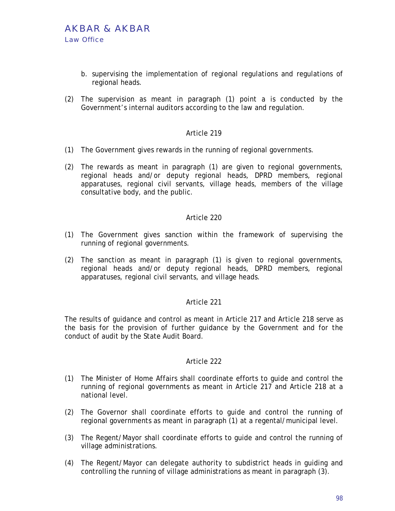- b. supervising the implementation of regional regulations and regulations of regional heads.
- (2) The supervision as meant in paragraph (1) point a is conducted by the Government's internal auditors according to the law and regulation.

- (1) The Government gives rewards in the running of regional governments.
- (2) The rewards as meant in paragraph (1) are given to regional governments, regional heads and/or deputy regional heads, DPRD members, regional apparatuses, regional civil servants, village heads, members of the village consultative body, and the public.

## Article 220

- (1) The Government gives sanction within the framework of supervising the running of regional governments.
- (2) The sanction as meant in paragraph (1) is given to regional governments, regional heads and/or deputy regional heads, DPRD members, regional apparatuses, regional civil servants, and village heads.

## Article 221

The results of guidance and control as meant in Article 217 and Article 218 serve as the basis for the provision of further guidance by the Government and for the conduct of audit by the State Audit Board.

- (1) The Minister of Home Affairs shall coordinate efforts to guide and control the running of regional governments as meant in Article 217 and Article 218 at a national level.
- (2) The Governor shall coordinate efforts to guide and control the running of regional governments as meant in paragraph (1) at a regental/municipal level.
- (3) The Regent/Mayor shall coordinate efforts to guide and control the running of village administrations.
- (4) The Regent/Mayor can delegate authority to subdistrict heads in guiding and controlling the running of village administrations as meant in paragraph (3).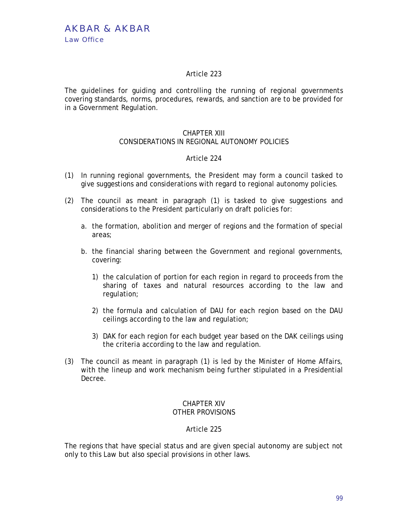The guidelines for guiding and controlling the running of regional governments covering standards, norms, procedures, rewards, and sanction are to be provided for in a Government Regulation.

# CHAPTER XIII

# CONSIDERATIONS IN REGIONAL AUTONOMY POLICIES

# Article 224

- (1) In running regional governments, the President may form a council tasked to give suggestions and considerations with regard to regional autonomy policies.
- (2) The council as meant in paragraph (1) is tasked to give suggestions and considerations to the President particularly on draft policies for:
	- a. the formation, abolition and merger of regions and the formation of special areas;
	- b. the financial sharing between the Government and regional governments, covering:
		- 1) the calculation of portion for each region in regard to proceeds from the sharing of taxes and natural resources according to the law and regulation;
		- 2) the formula and calculation of DAU for each region based on the DAU ceilings according to the law and regulation;
		- 3) DAK for each region for each budget year based on the DAK ceilings using the criteria according to the law and regulation.
- (3) The council as meant in paragraph (1) is led by the Minister of Home Affairs, with the lineup and work mechanism being further stipulated in a Presidential Decree.

### CHAPTER XIV OTHER PROVISIONS

## Article 225

The regions that have special status and are given special autonomy are subject not only to this Law but also special provisions in other laws.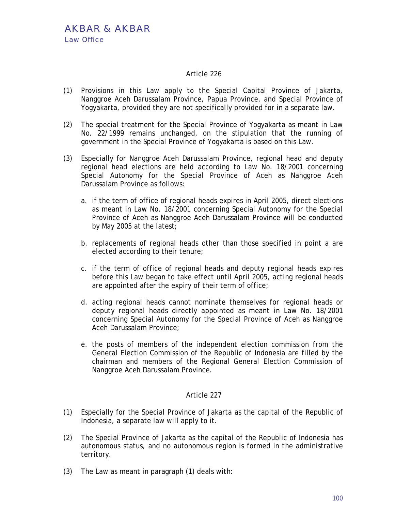- (1) Provisions in this Law apply to the Special Capital Province of Jakarta, Nanggroe Aceh Darussalam Province, Papua Province, and Special Province of Yogyakarta, provided they are not specifically provided for in a separate law.
- (2) The special treatment for the Special Province of Yogyakarta as meant in Law No. 22/1999 remains unchanged, on the stipulation that the running of government in the Special Province of Yogyakarta is based on this Law.
- (3) Especially for Nanggroe Aceh Darussalam Province, regional head and deputy regional head elections are held according to Law No. 18/2001 concerning Special Autonomy for the Special Province of Aceh as Nanggroe Aceh Darussalam Province as follows:
	- a. if the term of office of regional heads expires in April 2005, direct elections as meant in Law No. 18/2001 concerning Special Autonomy for the Special Province of Aceh as Nanggroe Aceh Darussalam Province will be conducted by May 2005 at the latest;
	- b. replacements of regional heads other than those specified in point a are elected according to their tenure;
	- c. if the term of office of regional heads and deputy regional heads expires before this Law began to take effect until April 2005, acting regional heads are appointed after the expiry of their term of office;
	- d. acting regional heads cannot nominate themselves for regional heads or deputy regional heads directly appointed as meant in Law No. 18/2001 concerning Special Autonomy for the Special Province of Aceh as Nanggroe Aceh Darussalam Province;
	- e. the posts of members of the independent election commission from the General Election Commission of the Republic of Indonesia are filled by the chairman and members of the Regional General Election Commission of Nanggroe Aceh Darussalam Province.

- (1) Especially for the Special Province of Jakarta as the capital of the Republic of Indonesia, a separate law will apply to it.
- (2) The Special Province of Jakarta as the capital of the Republic of Indonesia has autonomous status, and no autonomous region is formed in the administrative territory.
- (3) The Law as meant in paragraph (1) deals with: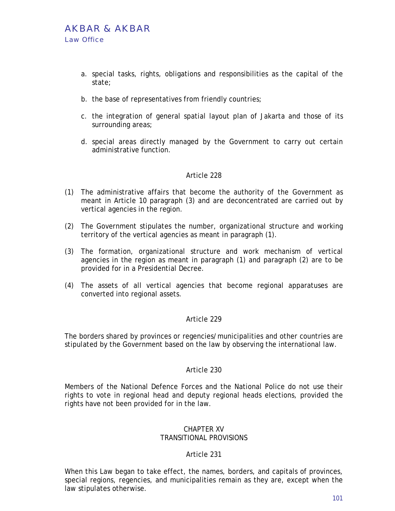- a. special tasks, rights, obligations and responsibilities as the capital of the state;
- b. the base of representatives from friendly countries;
- c. the integration of general spatial layout plan of Jakarta and those of its surrounding areas;
- d. special areas directly managed by the Government to carry out certain administrative function.

- (1) The administrative affairs that become the authority of the Government as meant in Article 10 paragraph (3) and are deconcentrated are carried out by vertical agencies in the region.
- (2) The Government stipulates the number, organizational structure and working territory of the vertical agencies as meant in paragraph (1).
- (3) The formation, organizational structure and work mechanism of vertical agencies in the region as meant in paragraph (1) and paragraph (2) are to be provided for in a Presidential Decree.
- (4) The assets of all vertical agencies that become regional apparatuses are converted into regional assets.

## Article 229

The borders shared by provinces or regencies/municipalities and other countries are stipulated by the Government based on the law by observing the international law.

#### Article 230

Members of the National Defence Forces and the National Police do not use their rights to vote in regional head and deputy regional heads elections, provided the rights have not been provided for in the law.

#### CHAPTER XV TRANSITIONAL PROVISIONS

## Article 231

When this Law began to take effect, the names, borders, and capitals of provinces, special regions, regencies, and municipalities remain as they are, except when the law stipulates otherwise.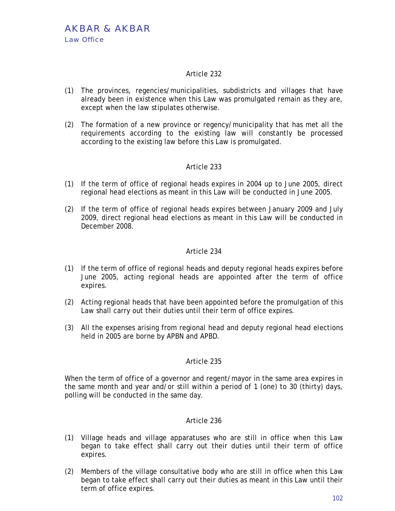- (1) The provinces, regencies/municipalities, subdistricts and villages that have already been in existence when this Law was promulgated remain as they are, except when the law stipulates otherwise.
- (2) The formation of a new province or regency/municipality that has met all the requirements according to the existing law will constantly be processed according to the existing law before this Law is promulgated.

# Article 233

- (1) If the term of office of regional heads expires in 2004 up to June 2005, direct regional head elections as meant in this Law will be conducted in June 2005.
- (2) If the term of office of regional heads expires between January 2009 and July 2009, direct regional head elections as meant in this Law will be conducted in December 2008.

## Article 234

- (1) If the term of office of regional heads and deputy regional heads expires before June 2005, acting regional heads are appointed after the term of office expires.
- (2) Acting regional heads that have been appointed before the promulgation of this Law shall carry out their duties until their term of office expires.
- (3) All the expenses arising from regional head and deputy regional head elections held in 2005 are borne by APBN and APBD.

## Article 235

When the term of office of a governor and regent/mayor in the same area expires in the same month and year and/or still within a period of 1 (one) to 30 (thirty) days, polling will be conducted in the same day.

- (1) Village heads and village apparatuses who are still in office when this Law began to take effect shall carry out their duties until their term of office expires.
- (2) Members of the village consultative body who are still in office when this Law began to take effect shall carry out their duties as meant in this Law until their term of office expires.